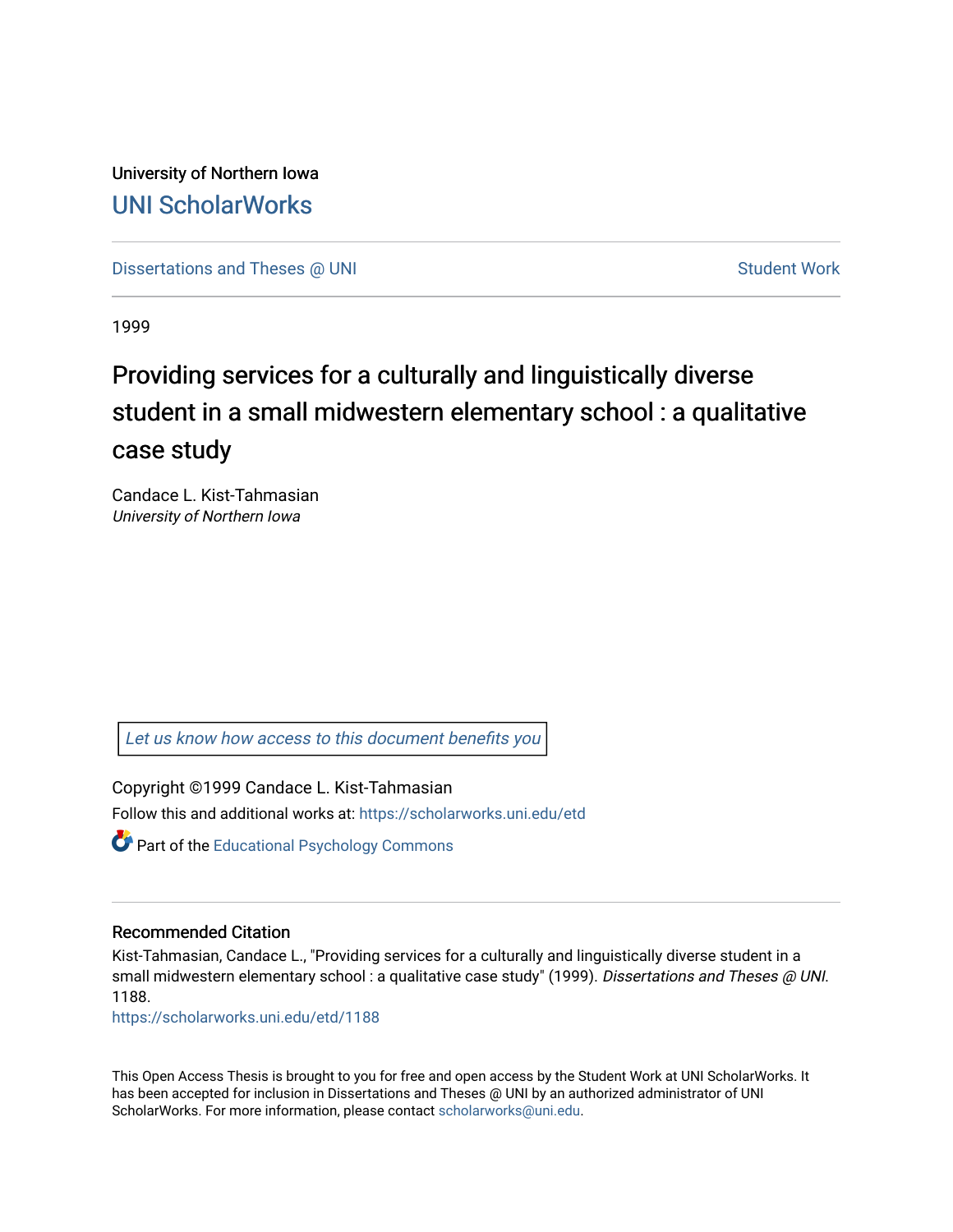University of Northern Iowa [UNI ScholarWorks](https://scholarworks.uni.edu/) 

[Dissertations and Theses @ UNI](https://scholarworks.uni.edu/etd) Student Work

1999

# Providing services for a culturally and linguistically diverse student in a small midwestern elementary school : a qualitative case study

Candace L. Kist-Tahmasian University of Northern Iowa

[Let us know how access to this document benefits you](https://scholarworks.uni.edu/feedback_form.html) 

Copyright ©1999 Candace L. Kist-Tahmasian Follow this and additional works at: [https://scholarworks.uni.edu/etd](https://scholarworks.uni.edu/etd?utm_source=scholarworks.uni.edu%2Fetd%2F1188&utm_medium=PDF&utm_campaign=PDFCoverPages) 

**Part of the Educational Psychology Commons** 

#### Recommended Citation

Kist-Tahmasian, Candace L., "Providing services for a culturally and linguistically diverse student in a small midwestern elementary school : a qualitative case study" (1999). Dissertations and Theses @ UNI. 1188.

[https://scholarworks.uni.edu/etd/1188](https://scholarworks.uni.edu/etd/1188?utm_source=scholarworks.uni.edu%2Fetd%2F1188&utm_medium=PDF&utm_campaign=PDFCoverPages)

This Open Access Thesis is brought to you for free and open access by the Student Work at UNI ScholarWorks. It has been accepted for inclusion in Dissertations and Theses @ UNI by an authorized administrator of UNI ScholarWorks. For more information, please contact [scholarworks@uni.edu](mailto:scholarworks@uni.edu).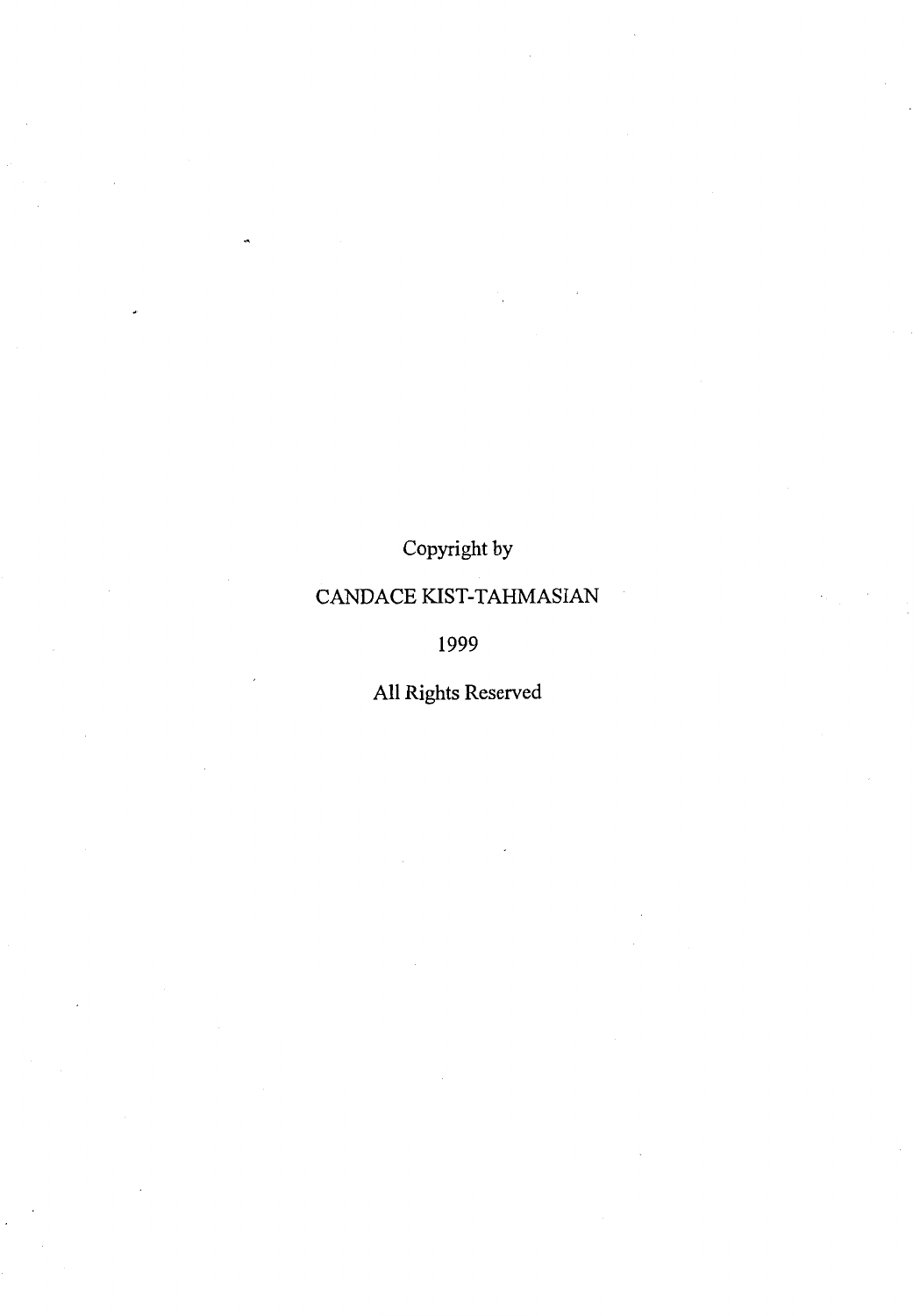Copyright by

## CANDACE KIST-TAHMASIAN

1999

All Rights Reserved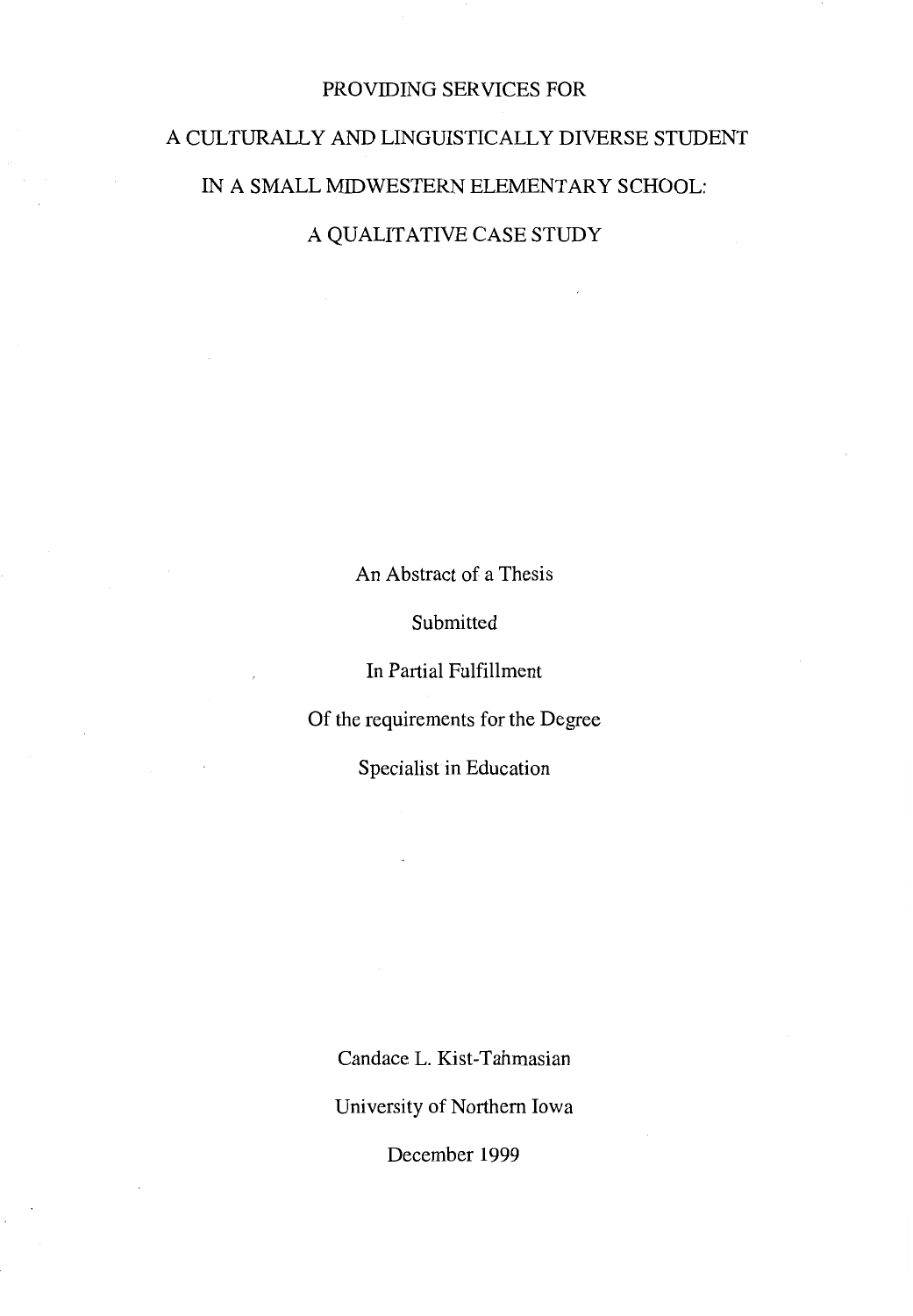#### PROVIDING SERVICES FOR

# A CULTURALLY AND LINGUISTICALLY DIVERSE STUDENT IN A SMALL MIDWESTERN ELEMENTARY SCHOOL:

A QUALITATIVE CASE STUDY

An Abstract of a Thesis

Submitted

In Partial Fulfillment

Of the requirements for the Degree

Specialist in Education

Candace L. Kist-Tahmasian

University of Northern Iowa

December 1999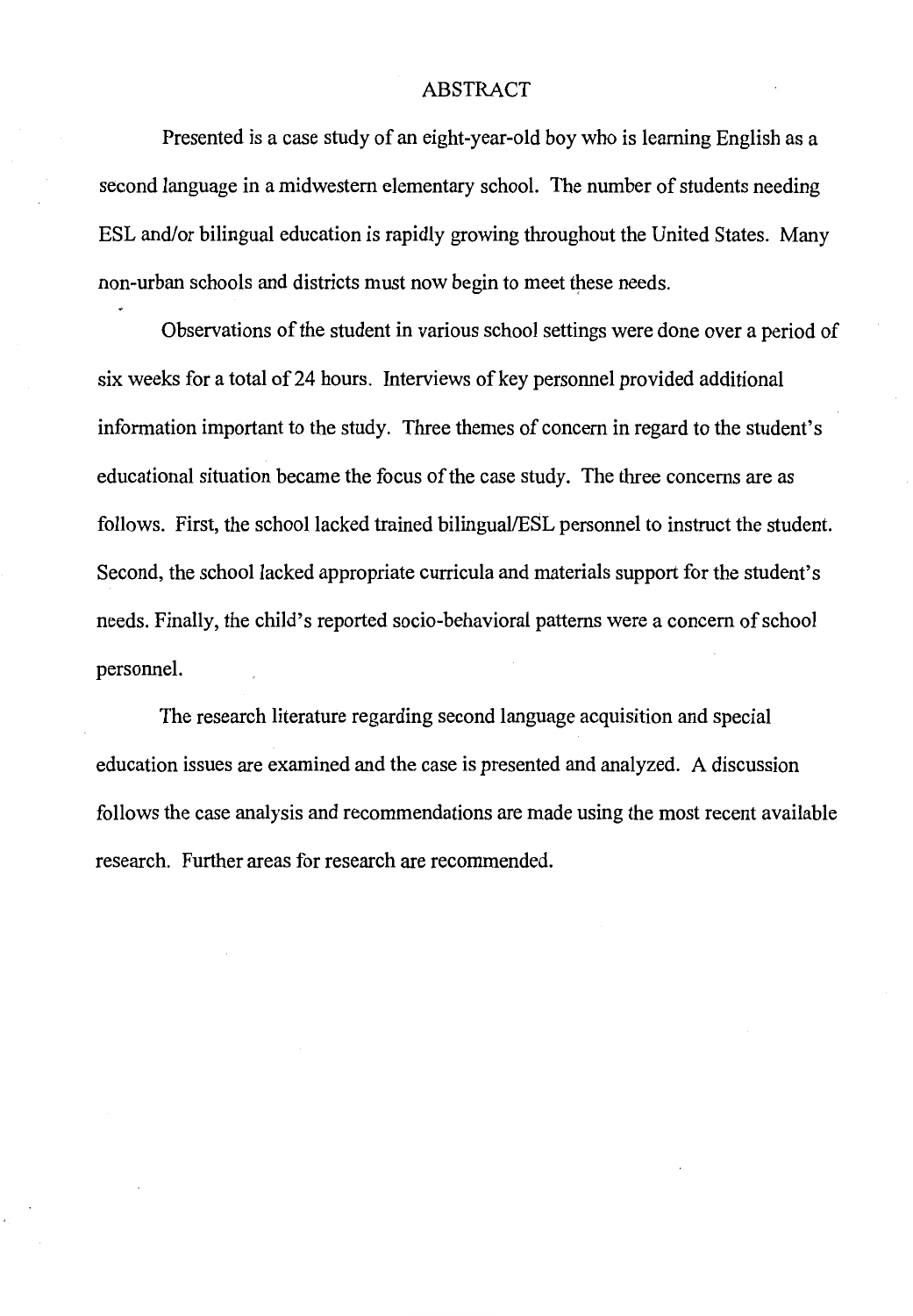#### ABSTRACT

Presented is a case study of an eight-year-old boy who is learning English as a second language in a midwestern elementary school. The number of students needing ESL and/or bilingual education is rapidly growing throughout the United States. Many non-urban schools and districts must now begin to meet these needs.

Observations of the student in various school settings were done over a period of six weeks for a total of 24 hours. Interviews of key personnel provided additional information important to the study. Three themes of concern in regard to the student's educational situation became the focus of the case study. The three concerns are as follows. First, the school lacked trained bilingual/ESL personnel to instruct the student. Second, the school lacked appropriate curricula and materials support for the student's needs. Finally, the child's reported socio-behavioral patterns were a concern of school personnel.

The research literature regarding second language acquisition and special education issues are examined and the case is presented and analyzed. A discussion follows the case analysis and recommendations are made using the most recent available research. Further areas for research are recommended.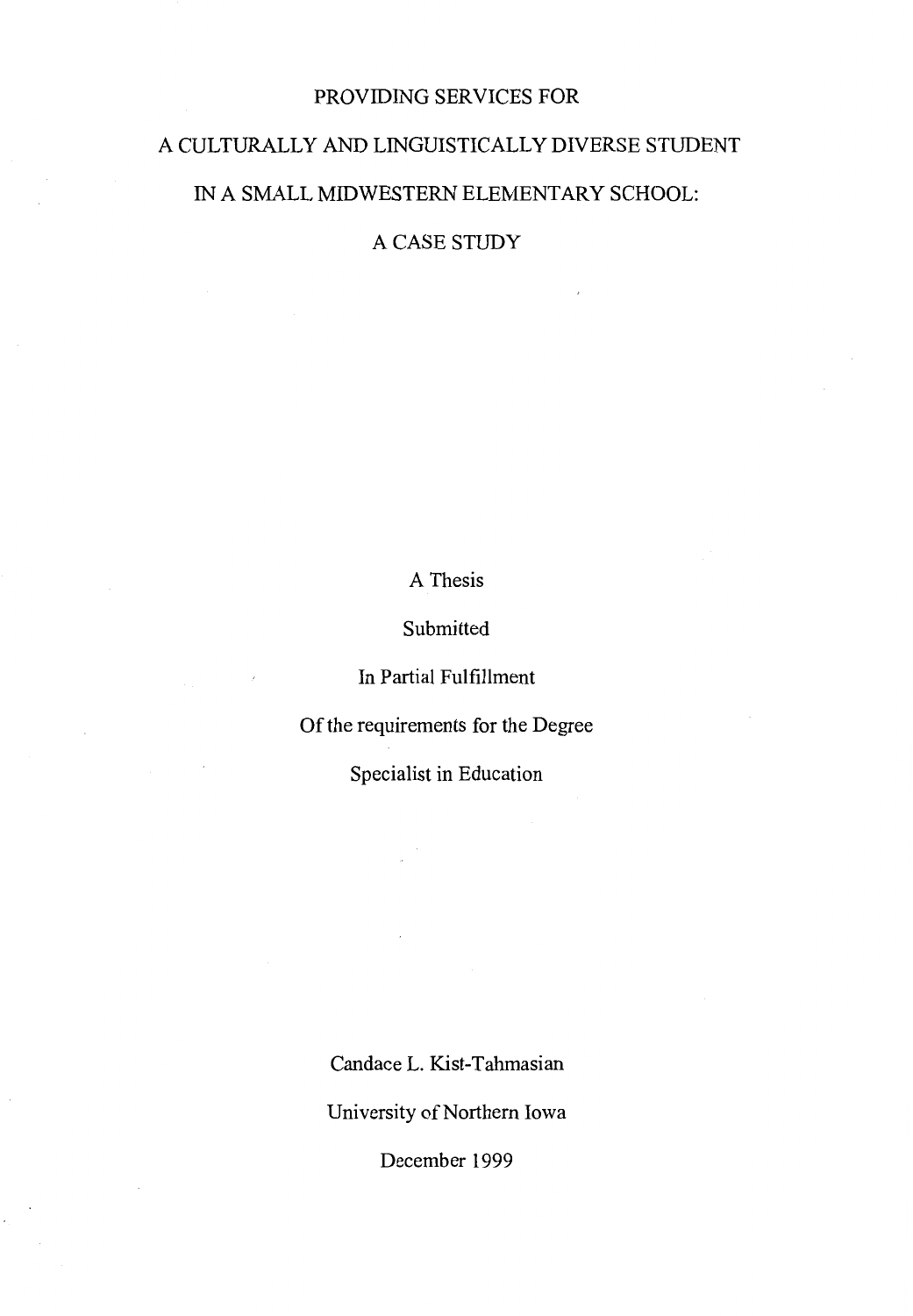#### PROVIDING SERVICES FOR

# A CULTURALLY AND LINGUISTICALLY DIVERSE STUDENT IN A SMALL MIDWESTERN ELEMENTARY SCHOOL:

A CASE STUDY

A Thesis

Submitted

In Partial Fulfillment

Of the requirements for the Degree

Specialist in Education

Candace L. Kist-Tahmasian

University of Northern Iowa

December 1999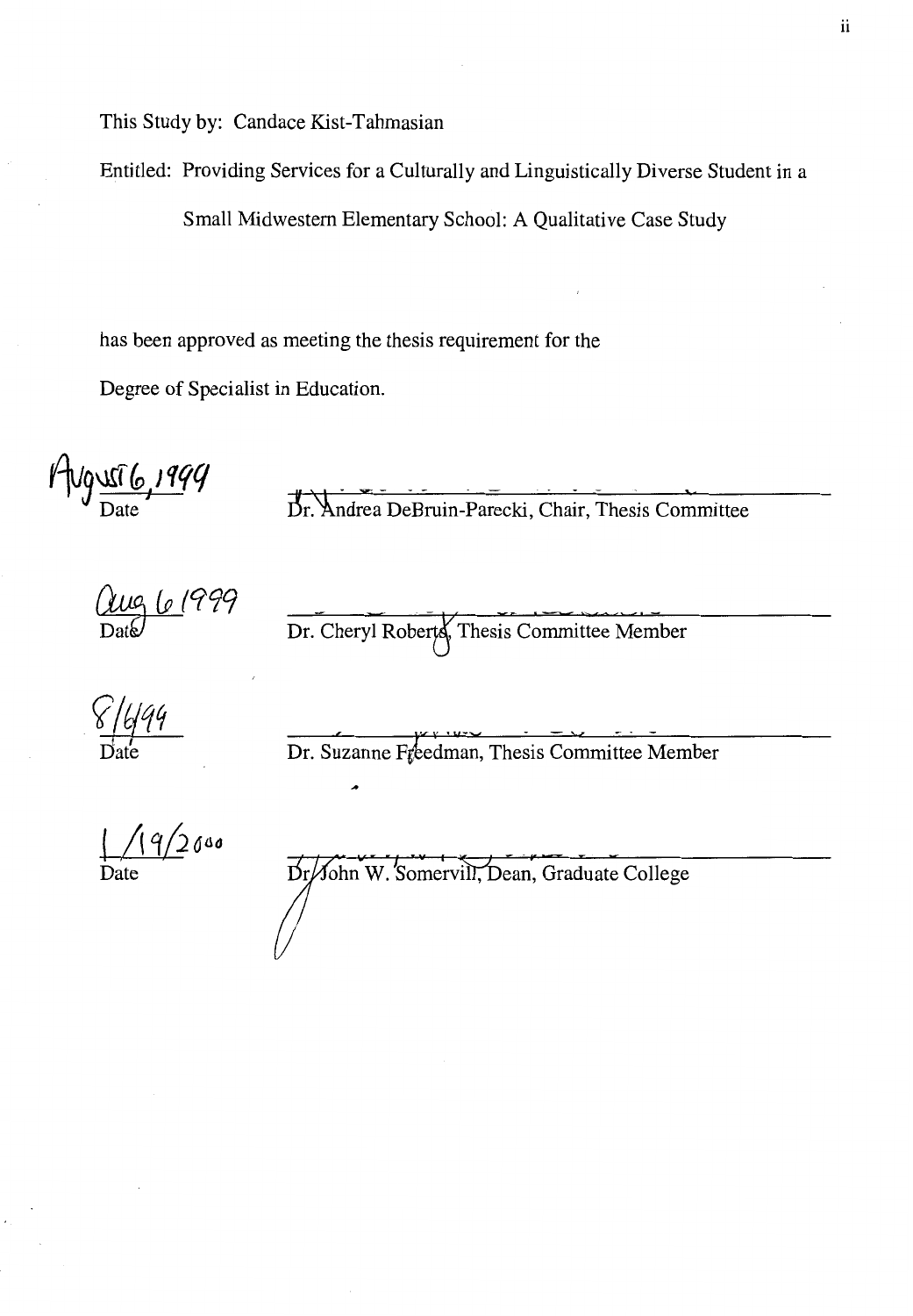This Study by: Candace Kist-Tahmasian

Entitled: Providing Services for a Culturally and Linguistically Diverse Student in a

Small Midwestern Elementary School: A Qualitative Case Study

has been approved as meeting the thesis requirement for the

Degree of Specialist in Education.

**r-lv9~~/'fqq**  Date

Dr. Andrea DeBruin-Parecki, Chair, Thesis Committee

(<u>UUG (o 1</u>999<br>Date

Dr. Cheryl Roberts, Thesis Committee Member

 $\frac{8}{10}$  1499

Dr. Suzanne Freedman, Thesis Committee Member

 $(9/200$ Date

Dr/John W. Somervill, Dean, Graduate College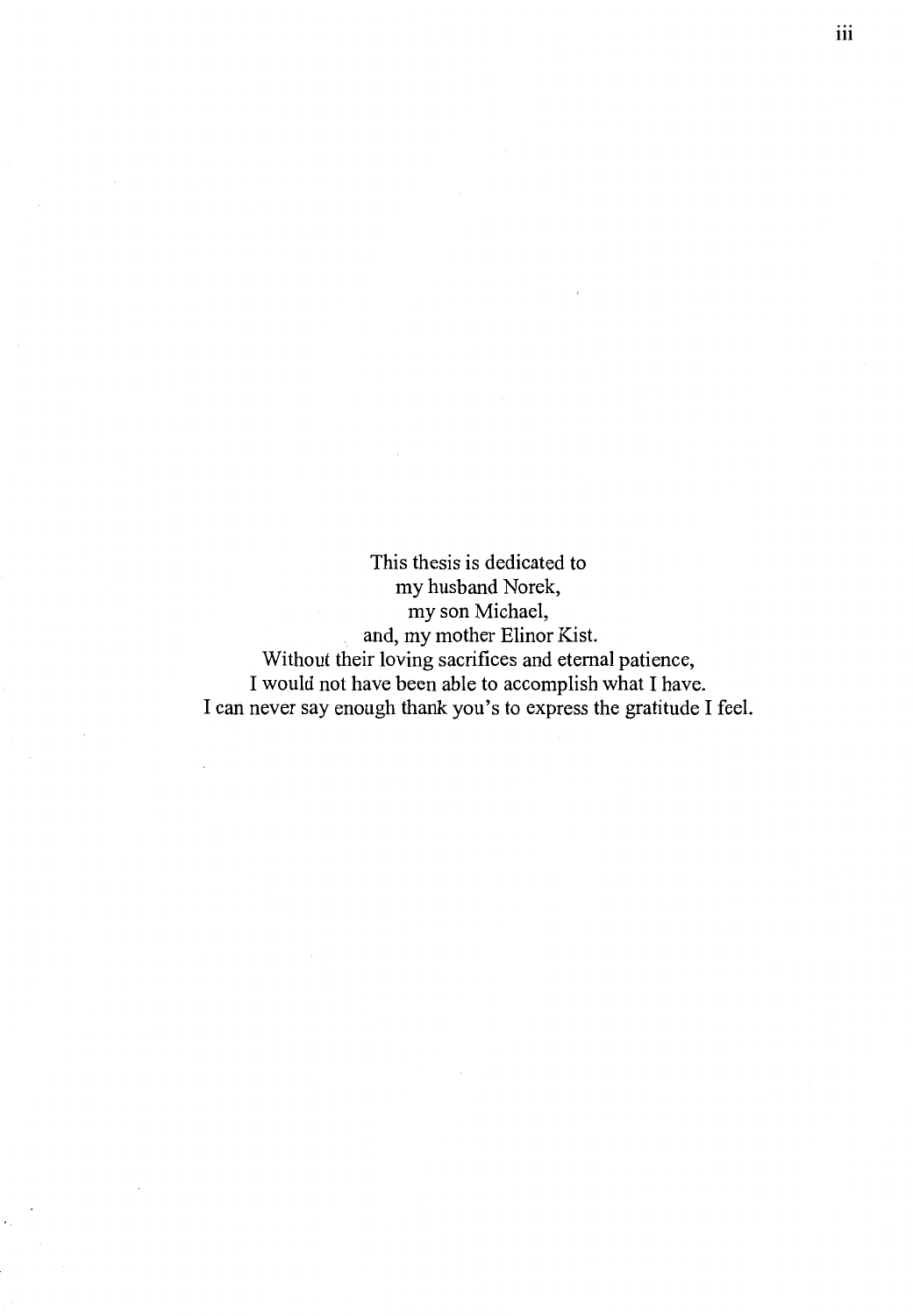This thesis is dedicated to my husband Norek, my son Michael, and, my mother Elinor Kist. Without their loving sacrifices and eternal patience, I would not have been able to accomplish what I have. I can never say enough thank you's to express the gratitude I feel. iii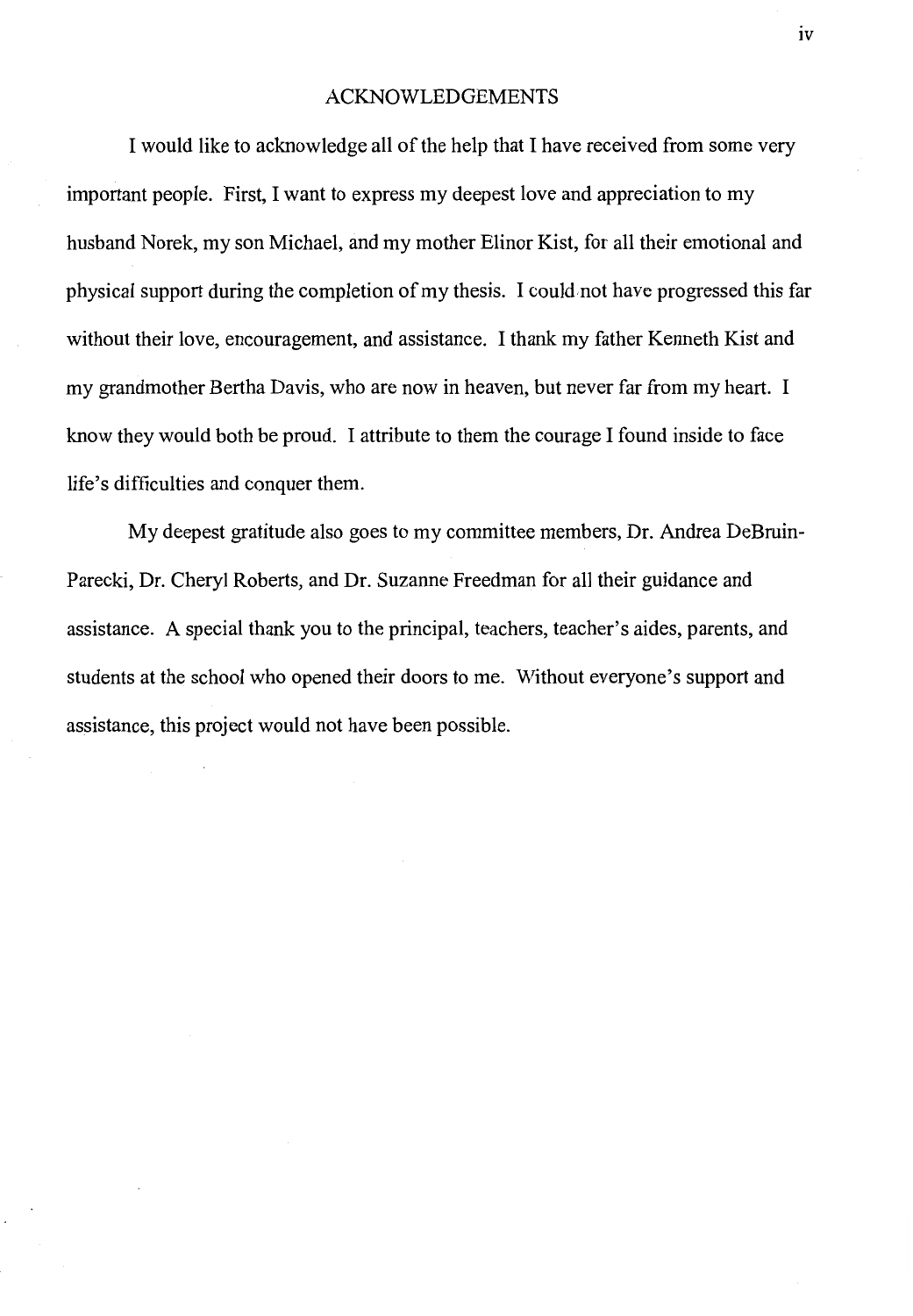#### ACKNOWLEDGEMENTS

I would like to acknowledge all of the help that I have received from some very important people. First, I want to express my deepest love and appreciation to my husband Norek, my son Michael, and my mother Elinor Kist, for all their emotional and physical support during the completion of my thesis. I could,not have progressed this far without their love, encouragement, and assistance. I thank my father Kenneth Kist and my grandmother Bertha Davis, who are now in heaven, but never far from my heart. I know they would both be proud. I attribute to them the courage I found inside to face life's difficulties and conquer them.

My deepest gratitude also goes to my committee members, Dr. Andrea DeBruin-Parecki, Dr. Cheryl Roberts, and Dr. Suzanne Freedman for all their guidance and assistance. A special thank you to the principal, teachers, teacher's aides, parents, and students at the school who opened their doors to me. Without everyone's support and assistance, this project would not have been possible.

 $iv$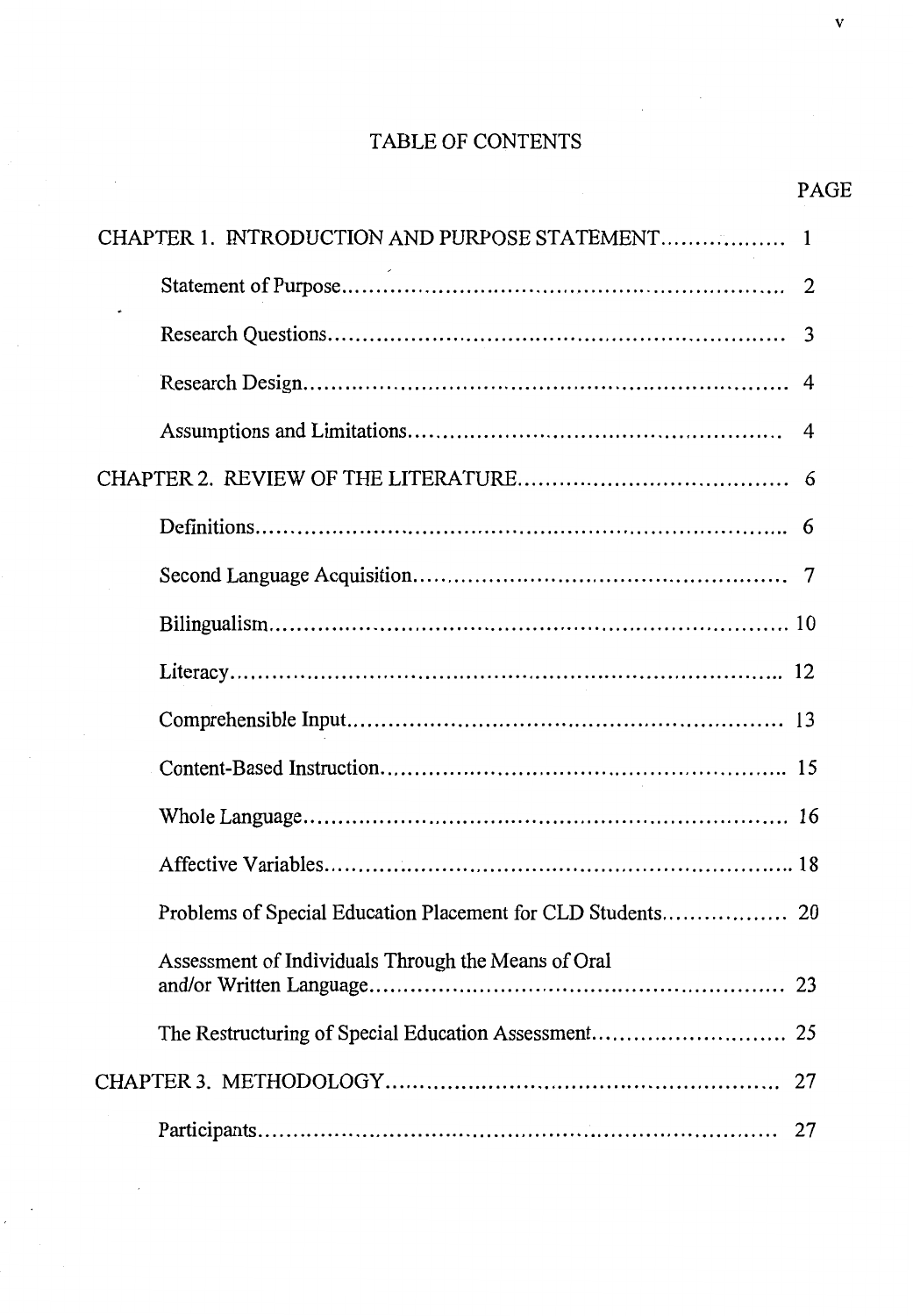### TABLE OF CONTENTS

| CHAPTER 1. INTRODUCTION AND PURPOSE STATEMENT 1     |
|-----------------------------------------------------|
|                                                     |
| 3                                                   |
| 4                                                   |
| 4                                                   |
|                                                     |
|                                                     |
|                                                     |
|                                                     |
|                                                     |
|                                                     |
|                                                     |
|                                                     |
|                                                     |
|                                                     |
| Assessment of Individuals Through the Means of Oral |
|                                                     |
| 27                                                  |
| 27                                                  |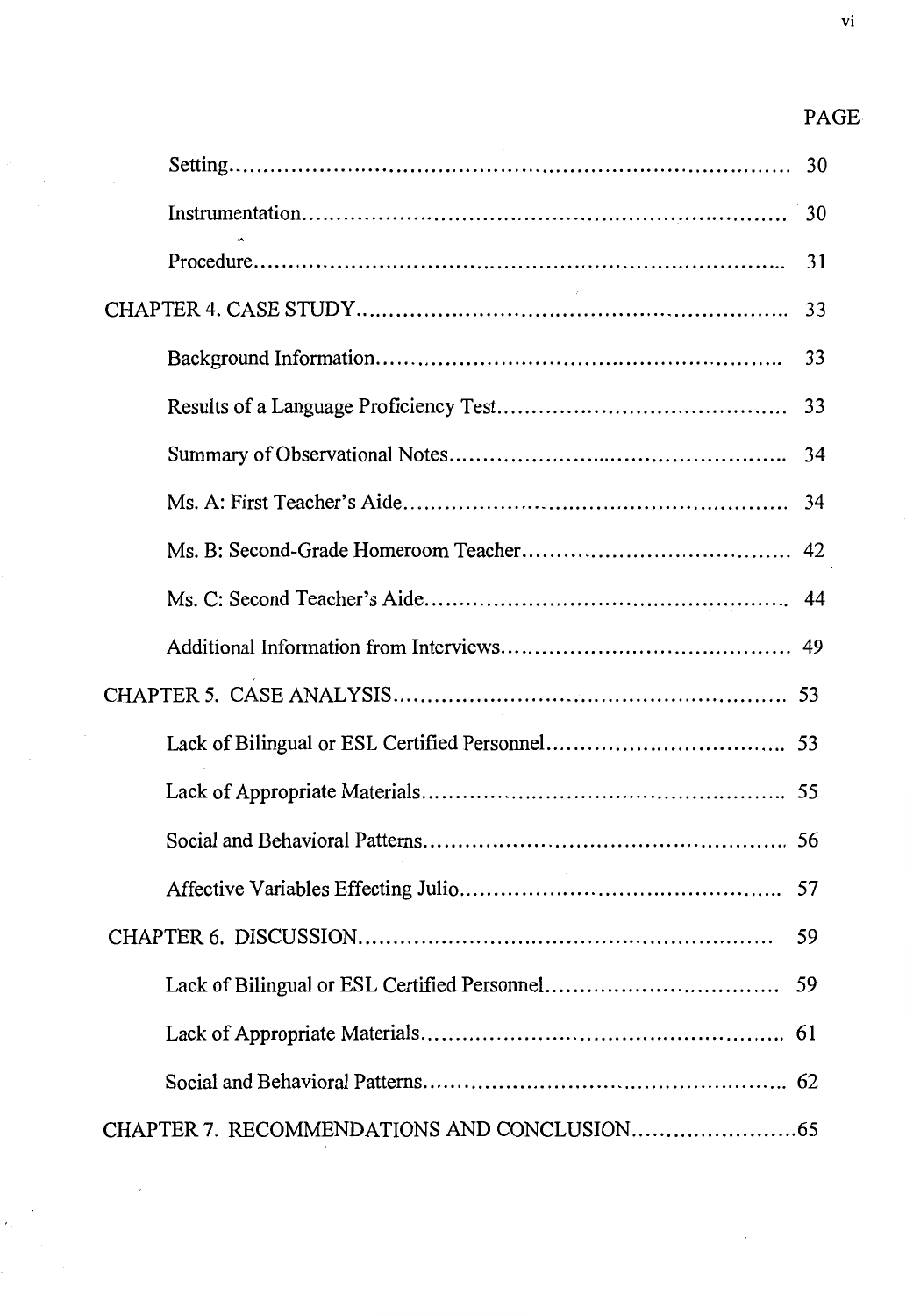# PAGE

| 30 |
|----|
| 31 |
| 33 |
| 33 |
| 33 |
| 34 |
|    |
|    |
|    |
|    |
|    |
|    |
|    |
|    |
|    |
| 59 |
| 59 |
|    |
|    |
|    |

vi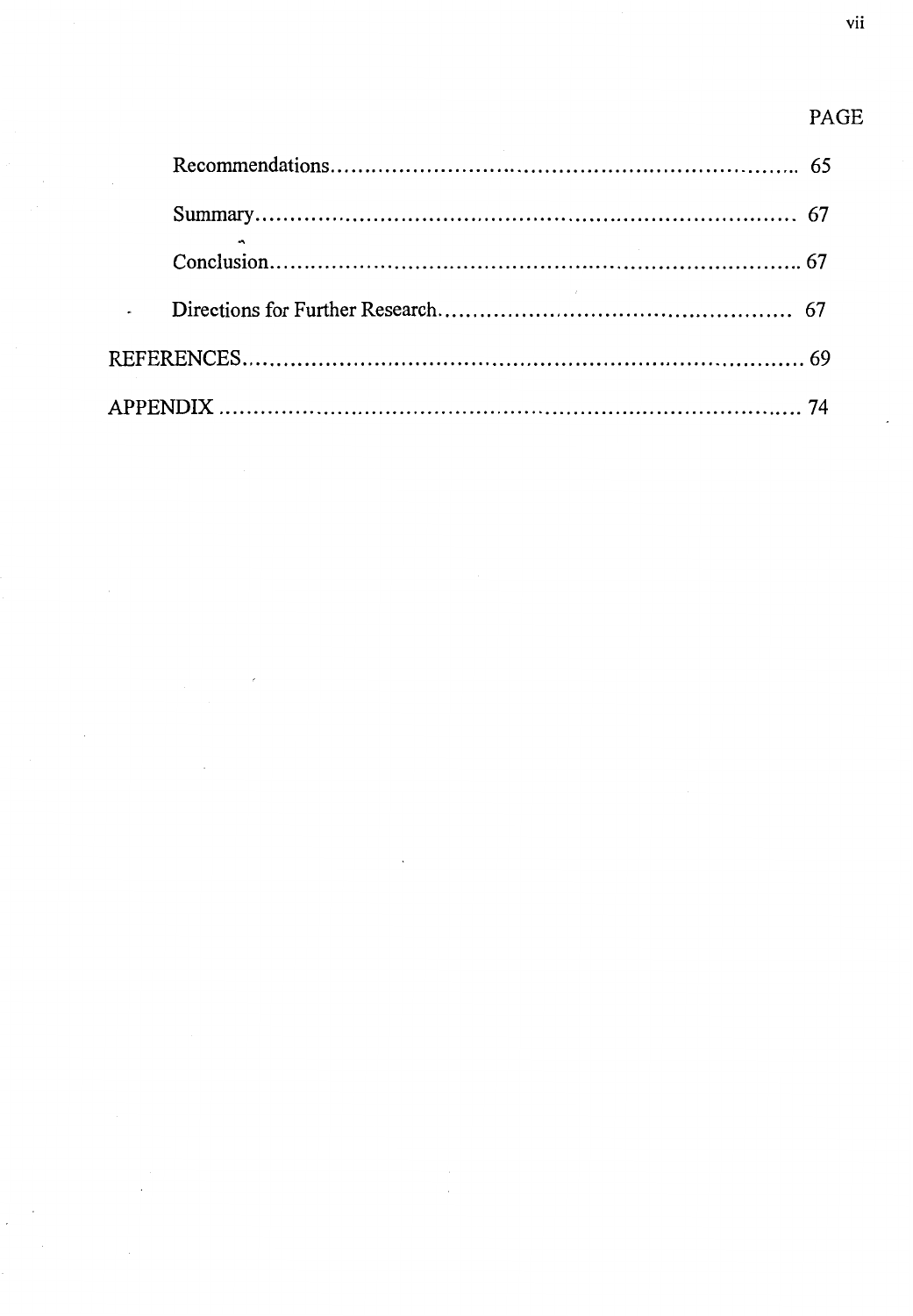## PAGE

| $\mathcal{L}^{\text{max}}$ |  |
|----------------------------|--|
|                            |  |
|                            |  |
|                            |  |
|                            |  |
|                            |  |

 $\overline{\phantom{a}}$ 

 $\overline{\phantom{a}}$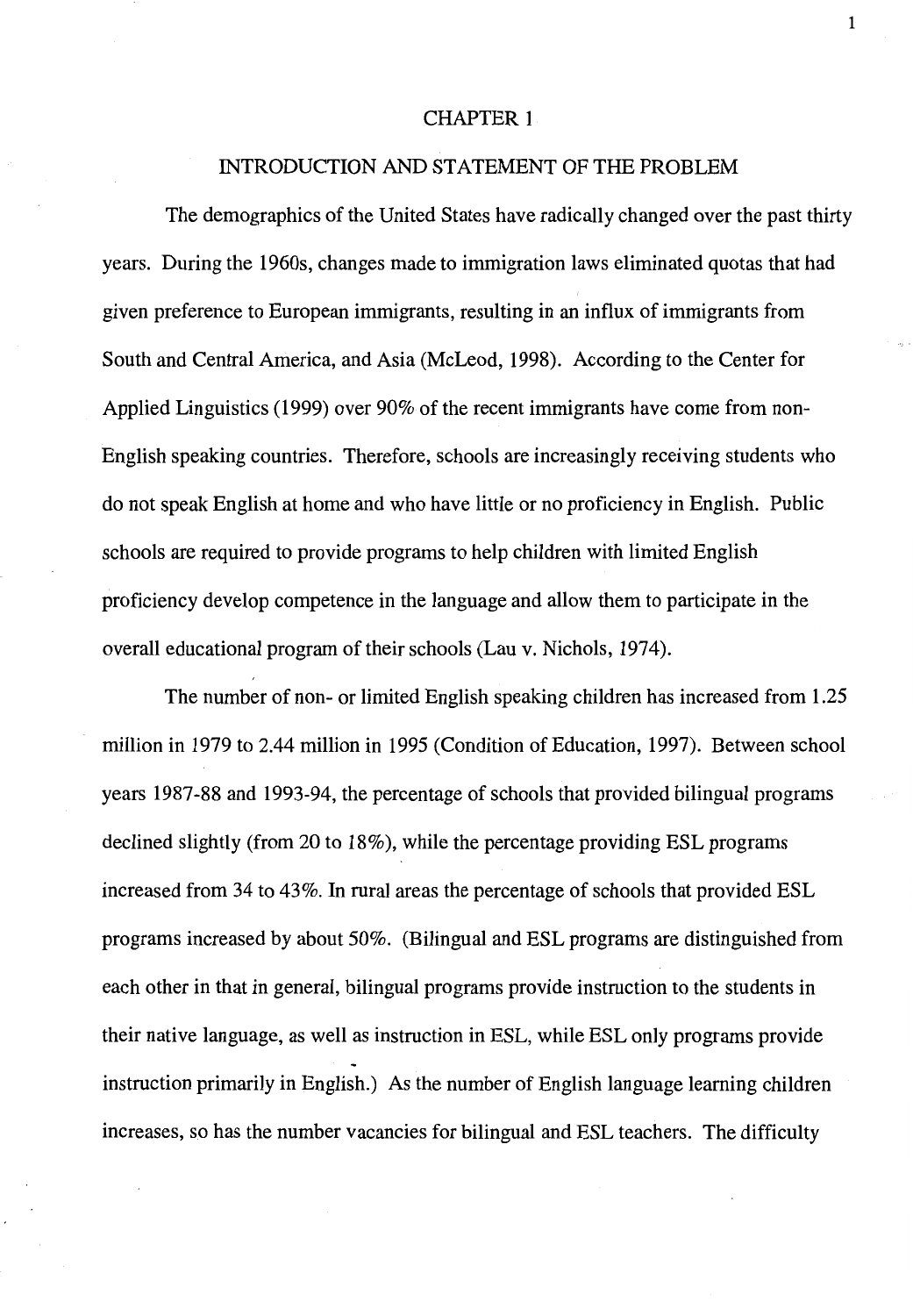#### CHAPTER 1

#### INTRODUCTION AND STATEMENT OF THE PROBLEM

The demographics of the United States have radically changed over the past thirty years. During the 1960s, changes made to immigration laws eliminated quotas that had given preference to European immigrants, resulting in an influx of immigrants from South and Central America, and Asia (McLeod, 1998). According to the Center for Applied Linguistics (1999) over 90% of the recent immigrants have come from non-English speaking countries. Therefore, schools are increasingly receiving students who do not speak English at home and who have little or no proficiency in English. Public schools are required to provide programs to help children with limited English proficiency develop competence in the language and allow them to participate in the overall educational program of their schools (Lau v. Nichols, 1974).

The number of non- or limited English speaking children has increased from 1.25 million in 1979 to 2.44 million in 1995 (Condition of Education, 1997). Between school years 1987-88 and 1993-94, the percentage of schools that provided bilingual programs declined slightly (from 20 to 18%), while the percentage providing ESL programs increased from 34 to 43%. In rural areas the percentage of schools that provided ESL programs increased by about 50%. (Bilingual and ESL programs are distinguished from each other in that in general, bilingual programs provide instruction to the students in their native language, as well as instruction in ESL, while ESL only programs provide instruction primarily in English.) As the number of English language learning children increases, so has the number vacancies for bilingual and ESL teachers. The difficulty

1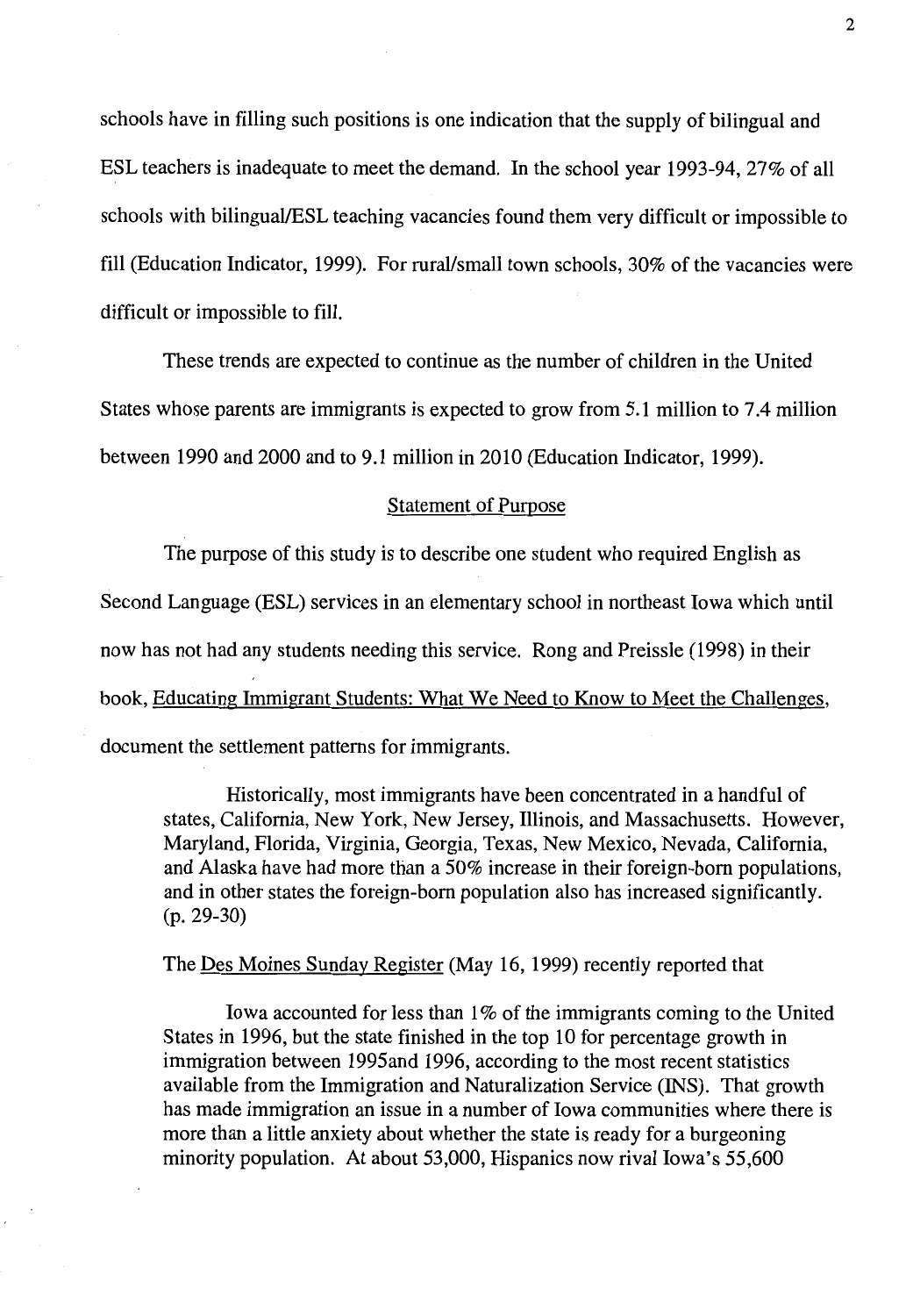schools have in filling such positions is one indication that the supply of bilingual and ESL teachers is inadequate to meet the demand. In the school year 1993-94, 27% of all schools with bilingual/ESL teaching vacancies found them very difficult or impossible to fill (Education Indicator, 1999). For rural/small town schools, 30% of the vacancies were difficult or impossible to fill.

These trends are expected to continue as the number of children in the United States whose parents are immigrants is expected to grow from 5 .1 million to 7.4 million between 1990 and 2000 and to 9.1 million in 2010 (Education Indicator, 1999).

#### Statement of Purpose

The purpose of this study is to describe one student who required English as Second Language (ESL) services in an elementary school in northeast Iowa which until now has not had any students needing this service. Rong and Preissle (1998) in their book, Educating Immigrant Students: What We Need to Know to Meet the Challenges, document the settlement patterns for immigrants.

Historically, most immigrants have been concentrated in a handful of states, California, New York, New Jersey, Illinois, and Massachusetts. However, Maryland, Florida, Virginia, Georgia, Texas, New Mexico, Nevada, California, and Alaska have had more than a 50% increase in their foreign-born populations, and in other states the foreign-born population also has increased significantly. (p. 29-30)

The Des Moines Sunday Register (May 16, 1999) recently reported that

Iowa accounted for less than  $1\%$  of the immigrants coming to the United States in 1996, but the state finished in the top 10 for percentage growth in immigration between 1995and 1996, according to the most recent statistics available from the Immigration and Naturalization Service (INS). That growth has made immigration an issue in a number of Iowa communities where there is more than a little anxiety about whether the state is ready for a burgeoning minority population. At about 53,000, Hispanics now rival Iowa's 55,600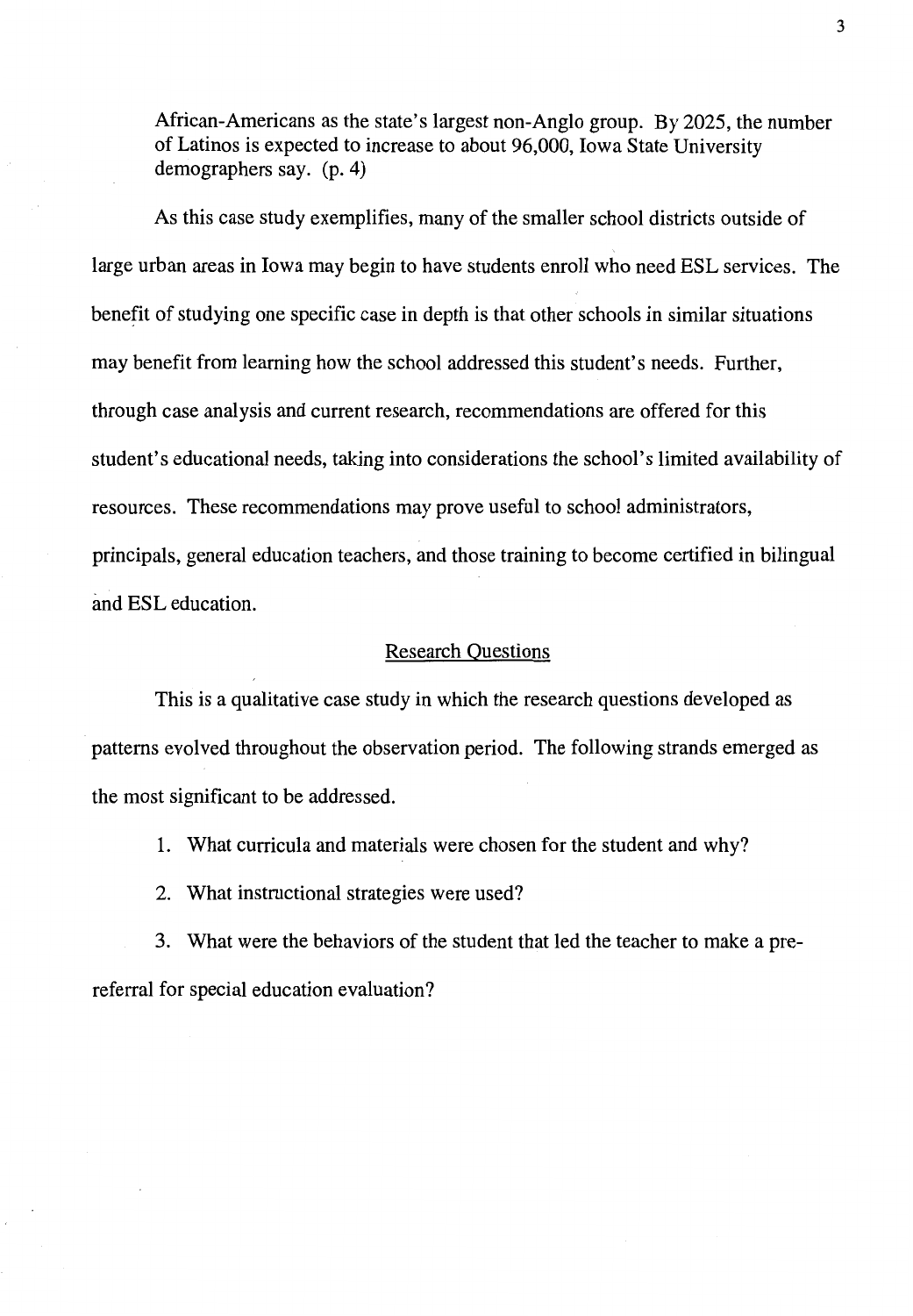African-Americans as the state's largest non-Anglo group. By 2025, the number of Latinos is expected to increase to about 96,000, Iowa State University demographers say. (p. 4)

As this case study exemplifies, many of the smaller school districts outside of large urban areas in Iowa may begin to have students enroll who need ESL services. The benefit of studying one specific case in depth is that other schools in similar situations may benefit from learning how the school addressed this student's needs. Further, through case analysis and current research, recommendations are offered for this student's educational needs, taking into considerations the school's limited availability of resources. These recommendations may prove useful to school administrators, principals, general education teachers, and those training to become certified in bilingual and ESL education.

#### Research Questions

This is a qualitative case study in which the research questions developed as patterns evolved throughout the observation period. The following strands emerged as the most significant to be addressed.

1. What curricula and materials were chosen for the student and why?

2. What instructional strategies were used?

3. What were the behaviors of the student that led the teacher to make a prereferral for special education evaluation?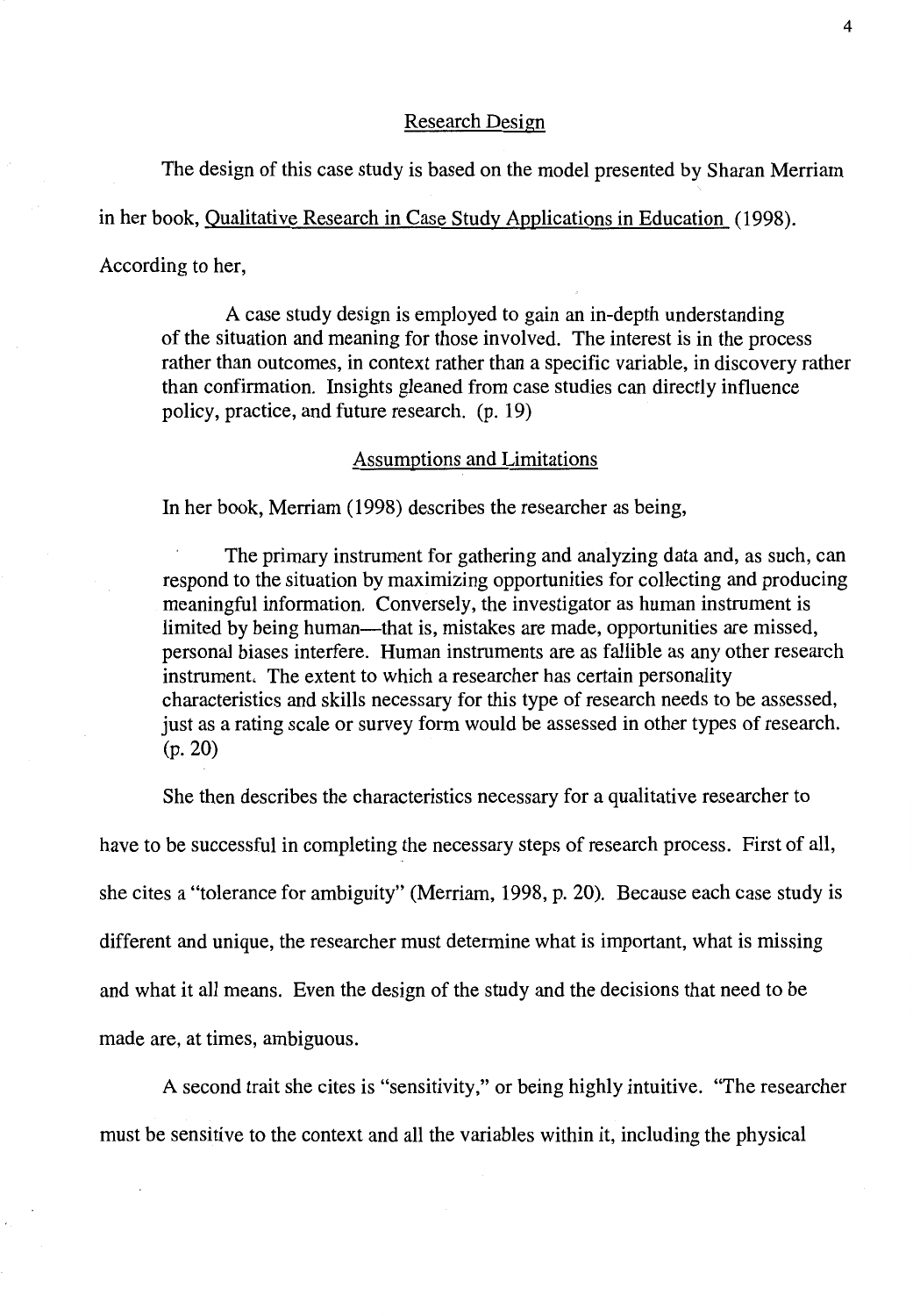#### Research Design

The design of this case study is based on the model presented by Sharan Merriam

in her book, Qualitative Research in Case Study Applications in Education (1998).

According to her,

A case study design is employed to gain an in-depth understanding of the situation and meaning for those involved. The interest is in the process rather than outcomes, in context rather than a specific variable, in discovery rather than confirmation. Insights gleaned from case studies can directly influence policy, practice, and future research. (p. 19)

#### Assumptions and Limitations

In her book, Merriam (1998) describes the researcher as being,

The primary instrument for gathering and analyzing data and, as such, can respond to the situation by maximizing opportunities for collecting and producing meaningful information. Conversely, the investigator as human instrument is limited by being human—that is, mistakes are made, opportunities are missed, personal biases interfere. Human instruments are as fallible as any other research instrument. The extent to which a researcher has certain personality characteristics and skills necessary for this type of research needs to be assessed, just as a rating scale or survey form would be assessed in other types of research. (p. 20)

She then describes the characteristics necessary for a qualitative researcher to

have to be successful in completing the necessary steps of research process. First of all, she cites a "tolerance for ambiguity" (Merriam, 1998, p. 20). Because each case study is different and unique, the researcher must determine what is important, what is missing and what it all means. Even the design of the study and the decisions that need to be made are, at times, ambiguous.

A second trait she cites is "sensitivity," or being highly intuitive. "The researcher must be sensitive to the context and all the variables within it, including the physical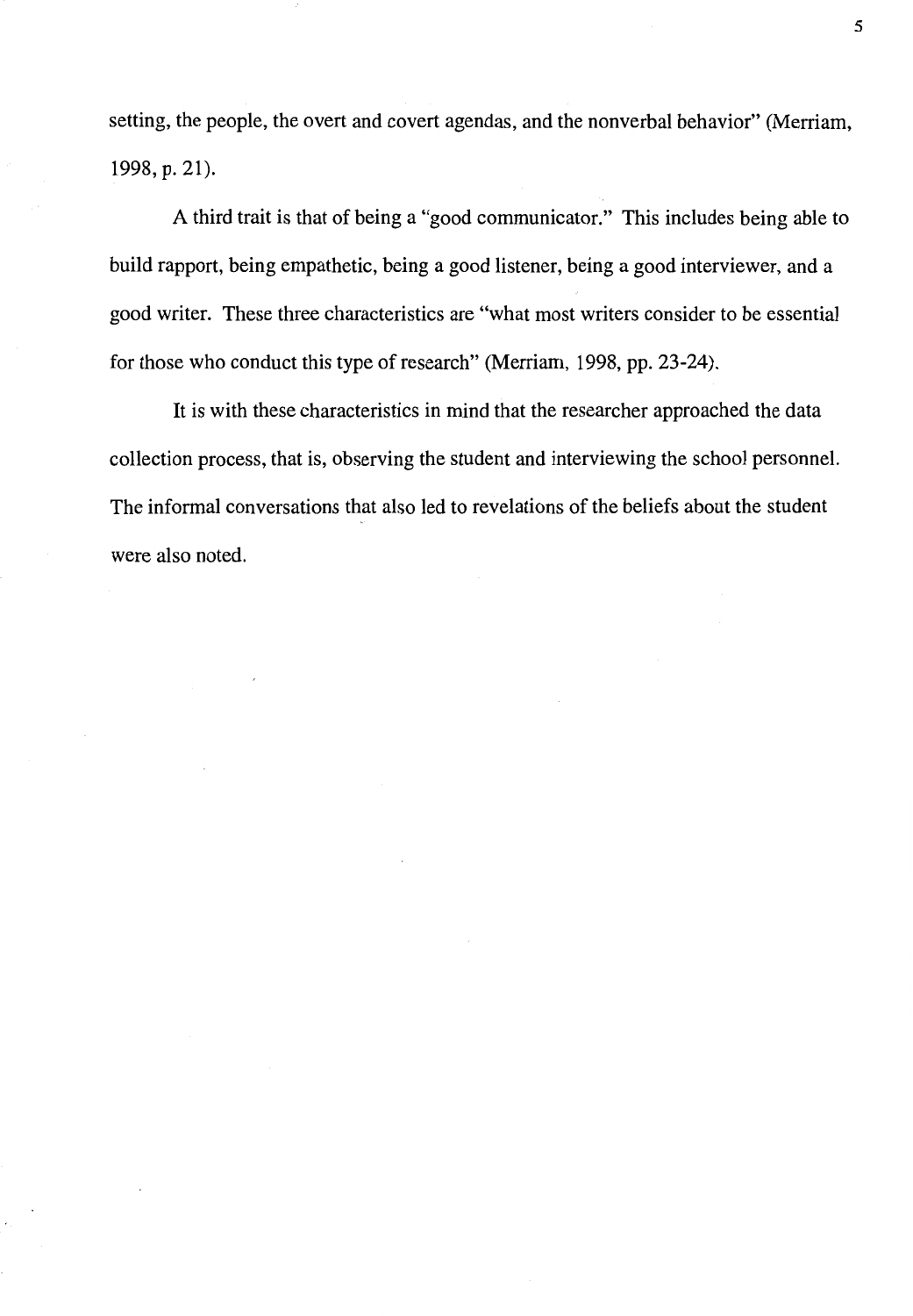setting, the people, the overt and covert agendas, and the nonverbal behavior" (Merriam, 1998, p. 21).

A third trait is that of being a "good communicator." This includes being able to build rapport, being empathetic, being a good listener, being a good interviewer, and a good writer. These three characteristics are "what most writers consider to be essential for those who conduct this type of research" (Merriam, 1998, pp. 23-24).

It is with these characteristics in mind that the researcher approached the data collection process, that is, observing the student and interviewing the school personnel. The informal conversations that also led to revelations of the beliefs about the student were also noted.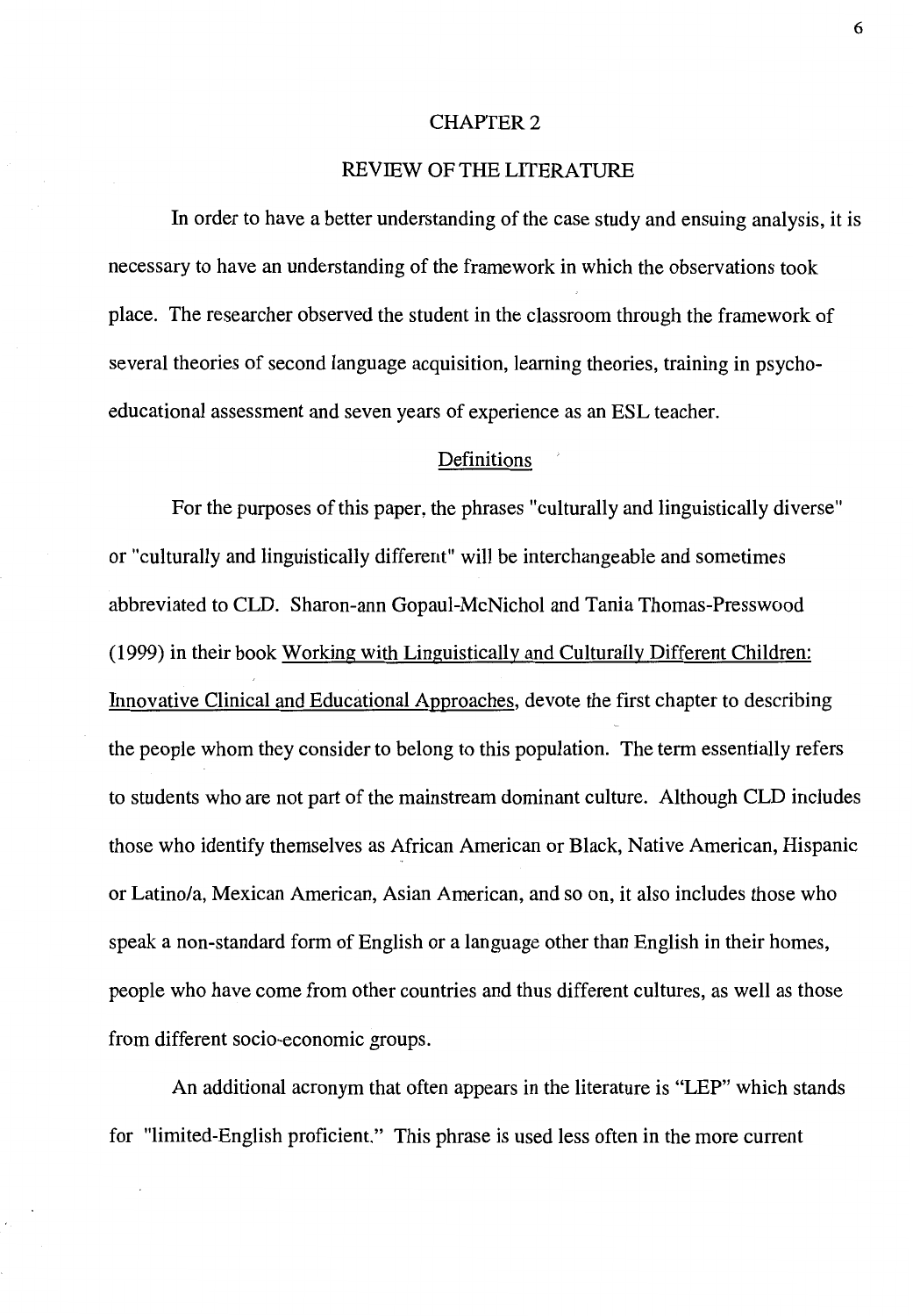#### CHAPTER 2

#### REVIEW OF THE LITERATURE

In order to have a better understanding of the case study and ensuing analysis, it is necessary to have an understanding of the framework in which the observations took place. The researcher observed the student in the classroom through the framework of several theories of second language acquisition, learning theories, training in psychoeducational assessment and seven years of experience as an ESL teacher.

#### Definitions

For the purposes of this paper, the phrases "culturally and linguistically diverse" or "culturally and linguistically different" will be interchangeable and sometimes abbreviated to CLD. Sharon-ann Gopaul-McNichol and Tania Thomas-Presswood (1999) in their book Working with Linguistically and Culturally Different Children: Innovative Clinical and Educational Approaches, devote the first chapter to describing the people whom they consider to belong to this population. The term essentially refers to students who are not part of the mainstream dominant culture. Although CLD includes those who identify themselves as African American or Black, Native American, Hispanic or Latino/a, Mexican American, Asian American, and so on, it also includes those who speak a non-standard form of English or a language other than English in their homes, people who have come from other countries and thus different cultures, as well as those from different socio-economic groups.

An additional acronym that often appears in the literature is "LEP" which stands for "limited-English proficient." This phrase is used less often in the more current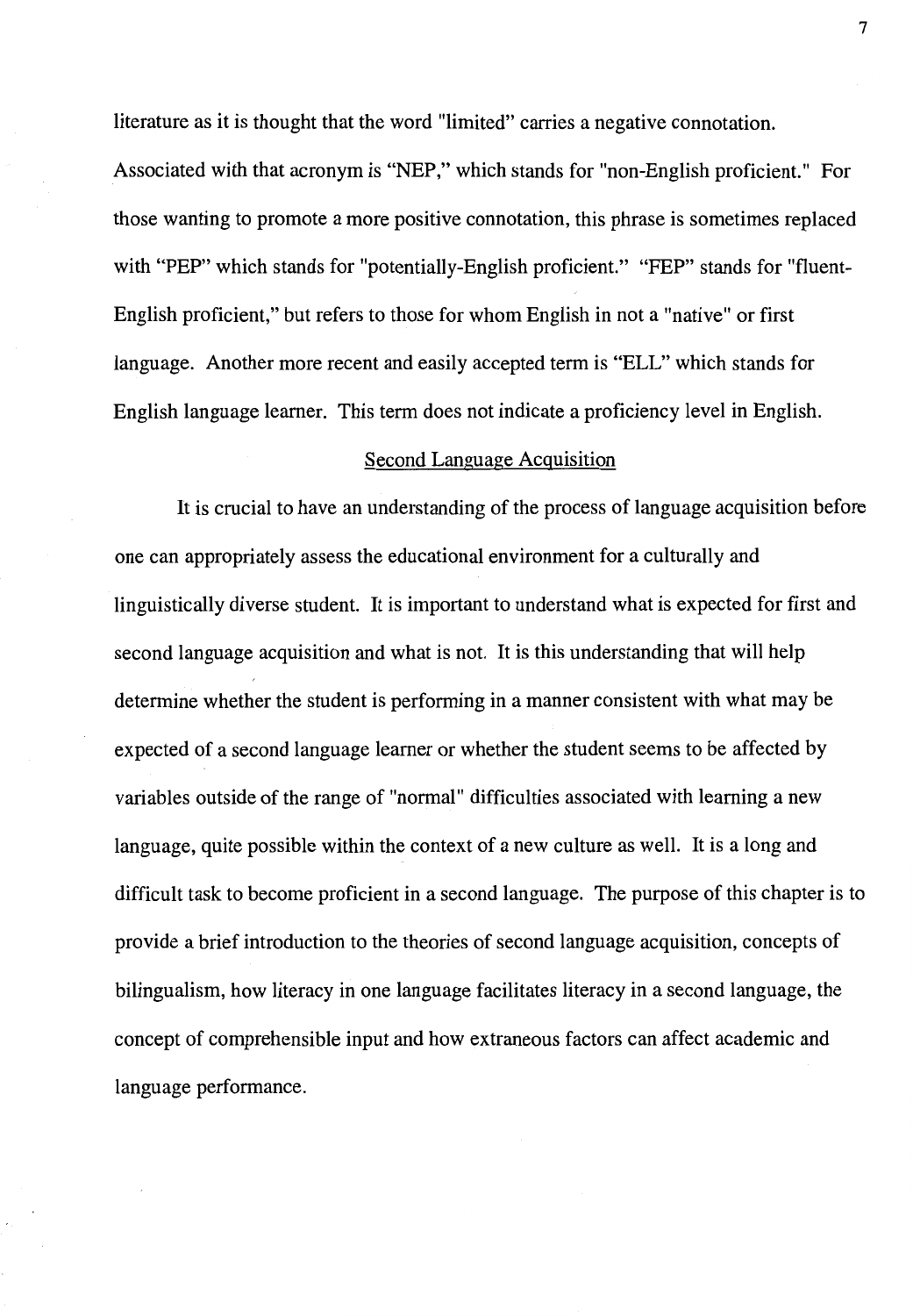literature as it is thought that the word "limited" carries a negative connotation.

Associated with that acronym is "NEP," which stands for "non-English proficient." For those wanting to promote a more positive connotation, this phrase is sometimes replaced with "PEP" which stands for "potentially-English proficient." "FEP" stands for "fluent-English proficient," but refers to those for whom English in not a "native" or first language. Another more recent and easily accepted term is "ELL" which stands for English language learner. This term does not indicate a proficiency level in English.

#### Second Language Acquisition

It is crucial to have an understanding of the process of language acquisition before one can appropriately assess the educational environment for a culturally and linguistically diverse student. It is important to understand what is expected for first and second language acquisition and what is not. It is this understanding that will help determine whether the student is performing in a manner consistent with what may be expected of a second language learner or whether the student seems to be affected by variables outside of the range of "normal" difficulties associated with learning a new language, quite possible within the context of a new culture as well. It is a long and difficult task to become proficient in a second language. The purpose of this chapter is to provide a brief introduction to the theories of second language acquisition, concepts of bilingualism, how literacy in one language facilitates literacy in a second language, the concept of comprehensible input and how extraneous factors can affect academic and language performance.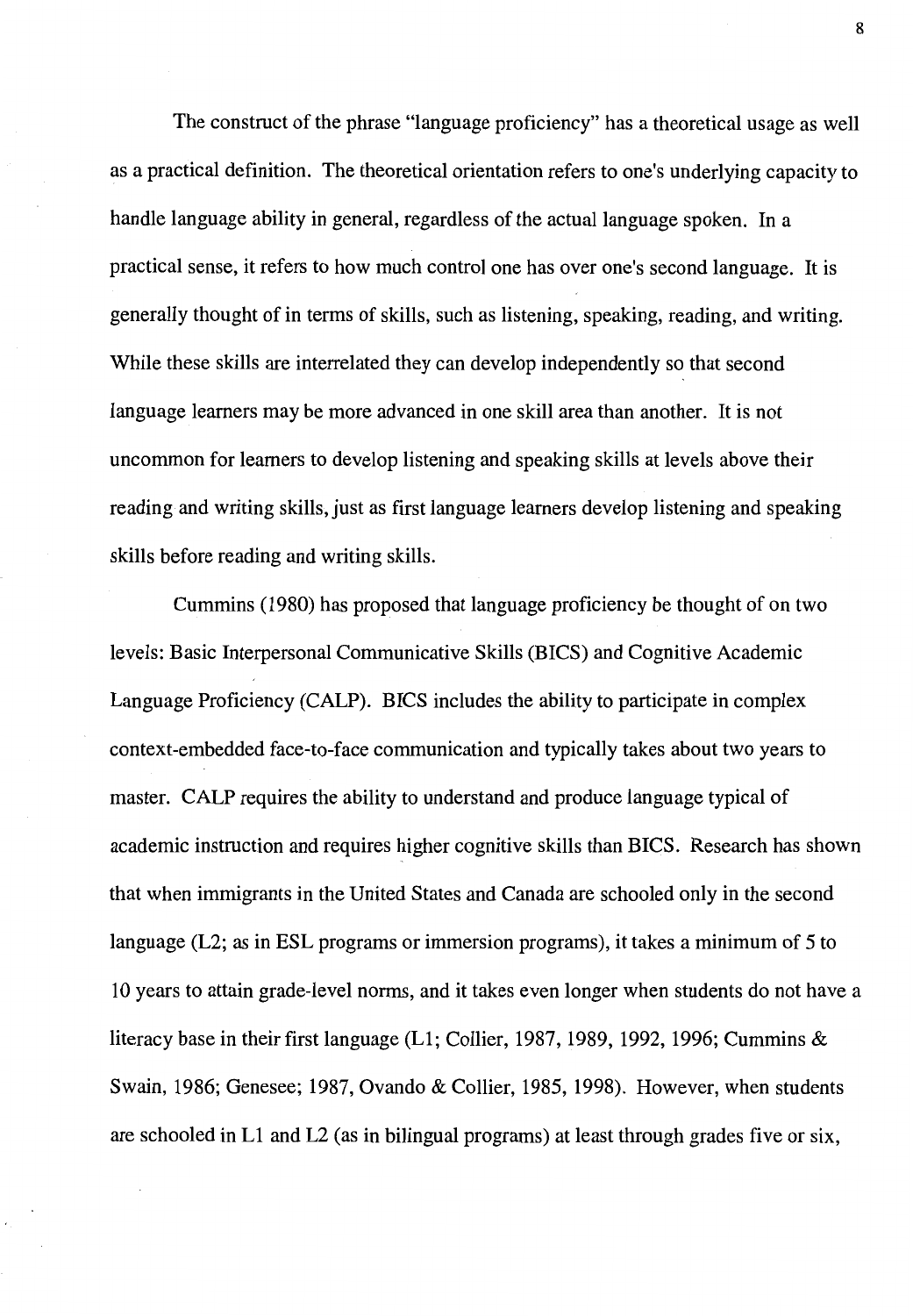The construct of the phrase "language proficiency" has a theoretical usage as well as a practical definition. The theoretical orientation refers to one's underlying capacity to handle language ability in general, regardless of the actual language spoken. In a practical sense, it refers to how much control one has over one's second language. It is generally thought of in terms of skills, such as listening, speaking, reading, and writing. While these skills are interrelated they can develop independently so that second language learners may be more advanced in one skill area than another. It is not uncommon for learners to develop listening and speaking skills at levels above their reading and writing skills, just as first language learners develop listening and speaking skills before reading and writing skills.

Cummins (1980) has proposed that language proficiency be thought of on two levels: Basic Interpersonal Communicative Skills (BICS) and Cognitive Academic Language Proficiency (CALP). BICS includes the ability to participate in complex context-embedded face-to-face communication and typically takes about two years to master. CALP requires the ability to understand and produce language typical of academic instruction and requires higher cognitive skills than BICS. Research has shown that when immigrants in the United States and Canada are schooled only in the second language (L2; as in ESL programs or immersion programs), it takes a minimum of 5 to 10 years to attain grade-level norms, and it takes even longer when students do not have a literacy base in their first language  $(L1;$  Collier, 1987, 1989, 1992, 1996; Cummins & Swain, 1986; Genesee; 1987, Ovando & Collier, 1985, 1998). However, when students are schooled in Ll and L2 (as in bilingual programs) at least through grades five or six,

8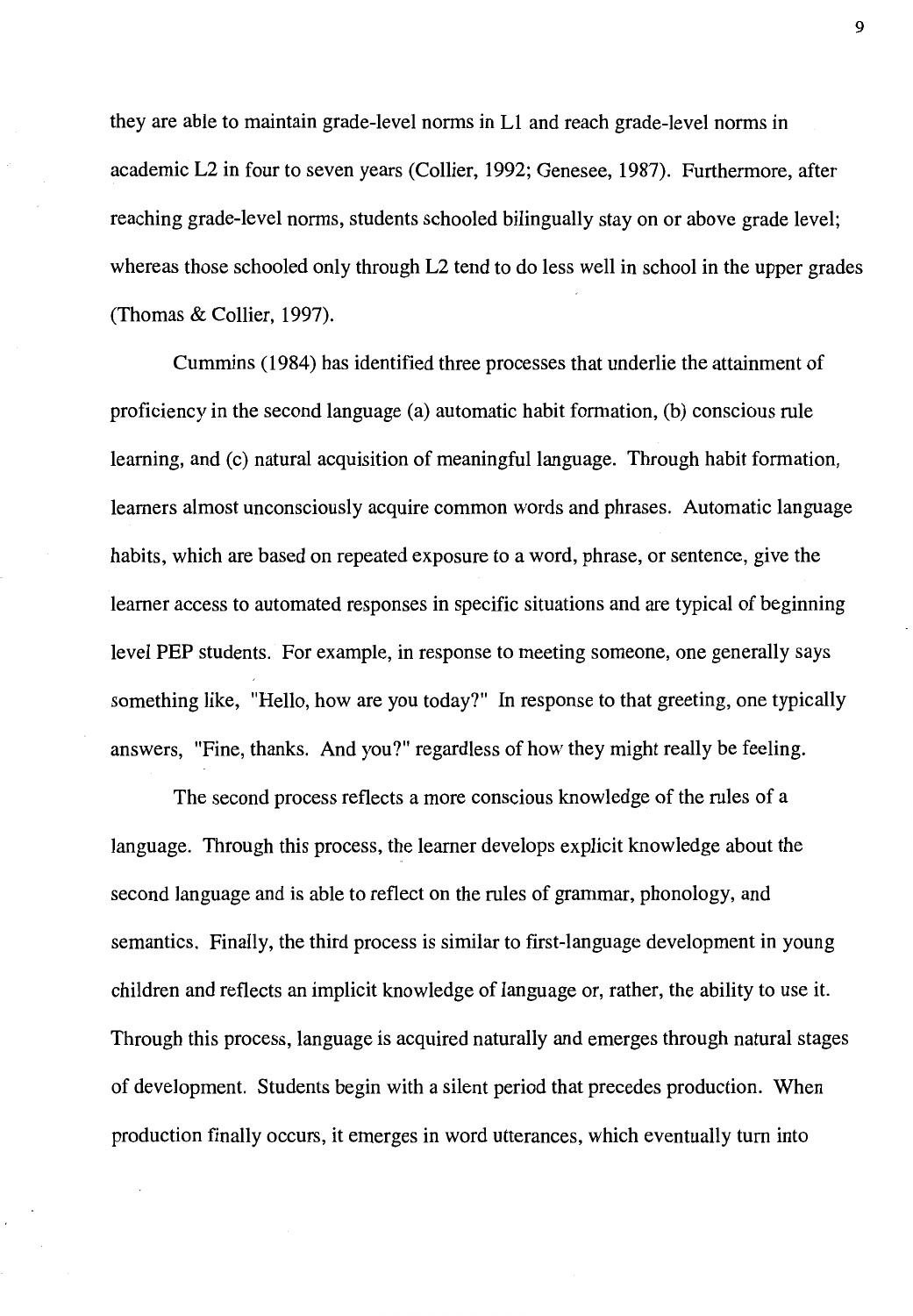they are able to maintain grade-level norms in Ll and reach grade-level norms in academic L2 in four to seven years (Collier, 1992; Genesee, 1987). Furthermore, after reaching grade-level norms, students schooled bilingually stay on or above grade level; whereas those schooled only through L2 tend to do less well in school in the upper grades (Thomas & Collier, 1997).

Cummins ( 1984) has identified three processes that underlie the attainment of proficiency in the second language (a) automatic habit formation, (b) conscious rule learning, and (c) natural acquisition of meaningful language. Through habit formation, learners almost unconsciously acquire common words and phrases. Automatic language habits, which are based on repeated exposure to a word, phrase, or sentence, give the learner access to automated responses in specific situations and are typical of beginning level PEP students. For example, in response to meeting someone, one generally says something like, "Hello, how are you today?" In response to that greeting, one typically answers, "Fine, thanks. And you?" regardless of how they might really be feeling.

The second process reflects a more conscious knowledge of the rules of a language. Through this process, the learner develops explicit knowledge about the second language and is able to reflect on the rules of grammar, phonology, and semantics. Finally, the third process is similar to first-language development in young children and reflects an implicit knowledge of language or, rather, the ability to use it. Through this process, language is acquired naturally and emerges through natural stages of development. Students begin with a silent period that precedes production. When production finally occurs, it emerges in word utterances, which eventually tum into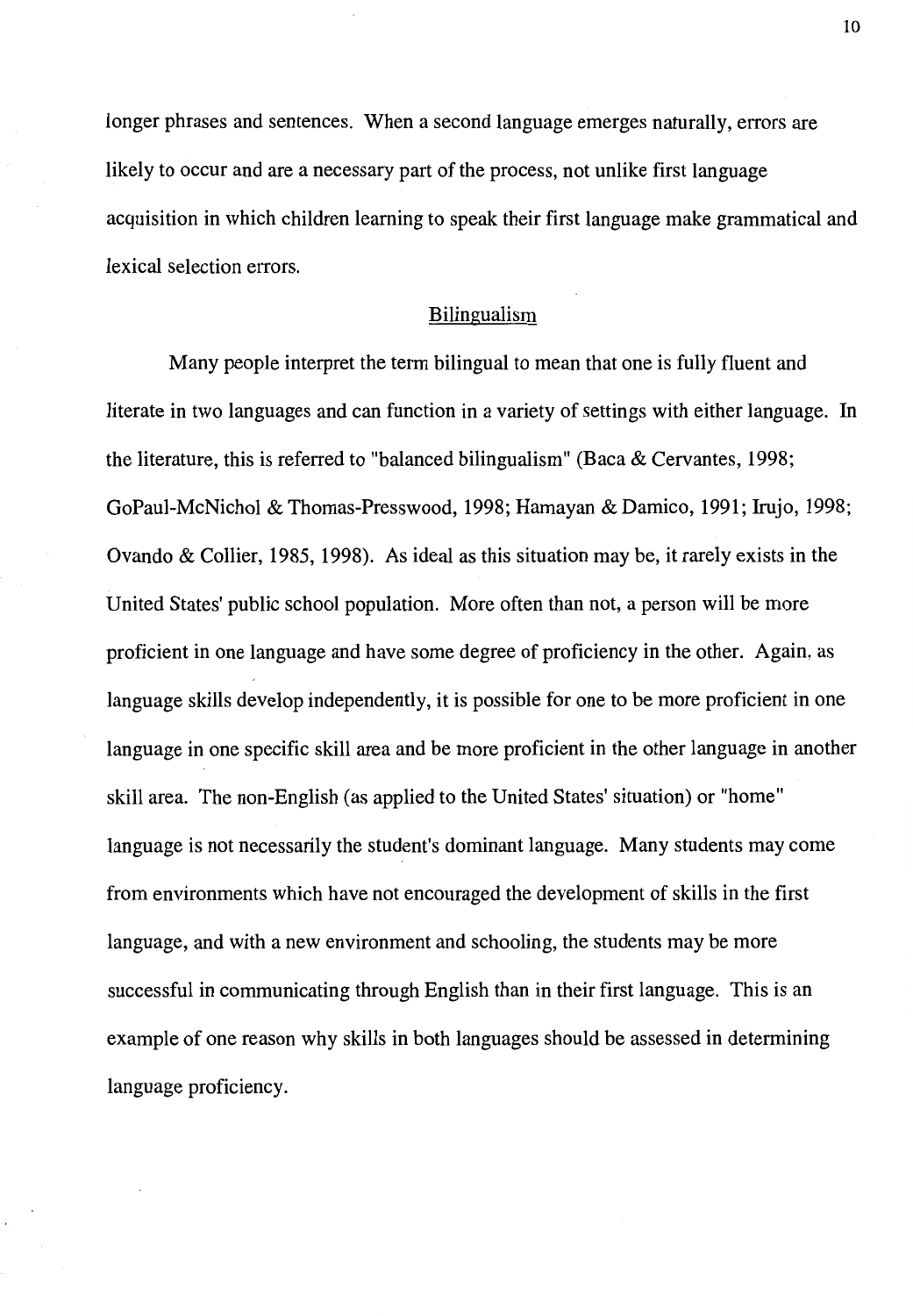longer phrases and sentences. When a second language emerges naturally, errors are likely to occur and are a necessary part of the process, not unlike first language acquisition in which children learning to speak their first language make grammatical and lexical selection errors.

#### Bilingualism

Many people interpret the term bilingual to mean that one is fully fluent and literate in two languages and can function in a variety of settings with either language. In the literature, this is referred to "balanced bilingualism" (Baca & Cervantes, 1998; GoPaul-McNichol & Thomas-Presswood, 1998; Hamayan & Damico, 1991; Irujo, 1998; Ovando & Collier, 1985, 1998). As ideal as this situation may be, it rarely exists in the United States' public school population. More often than not, a person will be more proficient in one language and have some degree of proficiency in the other. Again, as language skills develop independently, it is possible for one to be more proficient in one language in one specific skill area and be more proficient in the other language in another skill area. The non-English (as applied to the United States' situation) or "home" language is not necessarily the student's dominant language. Many students may come from environments which have not encouraged the development of skills in the first language, and with a new environment and schooling, the students may be more successful in communicating through English than in their first language. This is an example of one reason why skills in both languages should be assessed in determining language proficiency.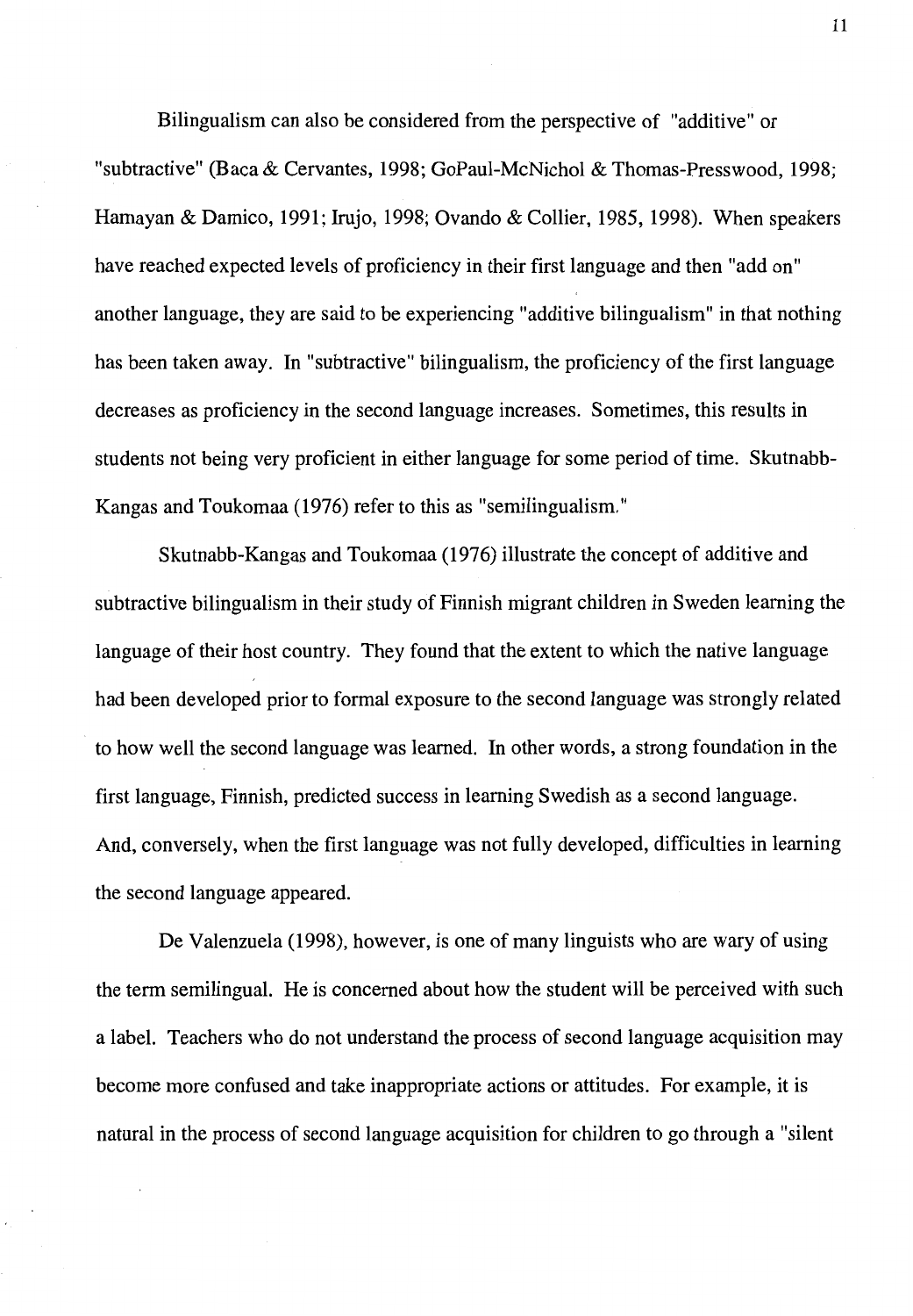Bilingualism can also be considered from the perspective of "additive" or "subtractive" (Baca & Cervantes, 1998; GoPaul-McNichol & Thomas-Presswood, 1998; Hamayan & Damico, 1991; Irujo, 1998; Ovando & Collier, 1985, 1998). When speakers have reached expected levels of proficiency in their first language and then "add on" another language, they are said to be experiencing "additive bilingualism" in that nothing has been taken away. In "subtractive" bilingualism, the proficiency of the first language decreases as proficiency in the second language increases. Sometimes, this results in students not being very proficient in either language for some period of time. Skutnabb-Kangas and Toukomaa (1976) refer to this as "semilingualism."

Skutnabb-Kangas and Toukomaa (1976) illustrate the concept of additive and subtractive bilingualism in their study of Finnish migrant children in Sweden learning the language of their host country. They found that the extent to which the native language had been developed prior to formal exposure to the second language was strongly related to how well the second language was learned. In other words, a strong foundation in the first language, Finnish, predicted success in learning Swedish as a second language. And, conversely, when the first language was not fully developed, difficulties in learning the second language appeared.

De Valenzuela (1998), however, is one of many linguists who are wary of using the term semilingual. He is concerned about how the student will be perceived with such a label. Teachers who do not understand the process of second language acquisition may become more confused and take inappropriate actions or attitudes. For example, it is natural in the process of second language acquisition for children to go through a "silent

11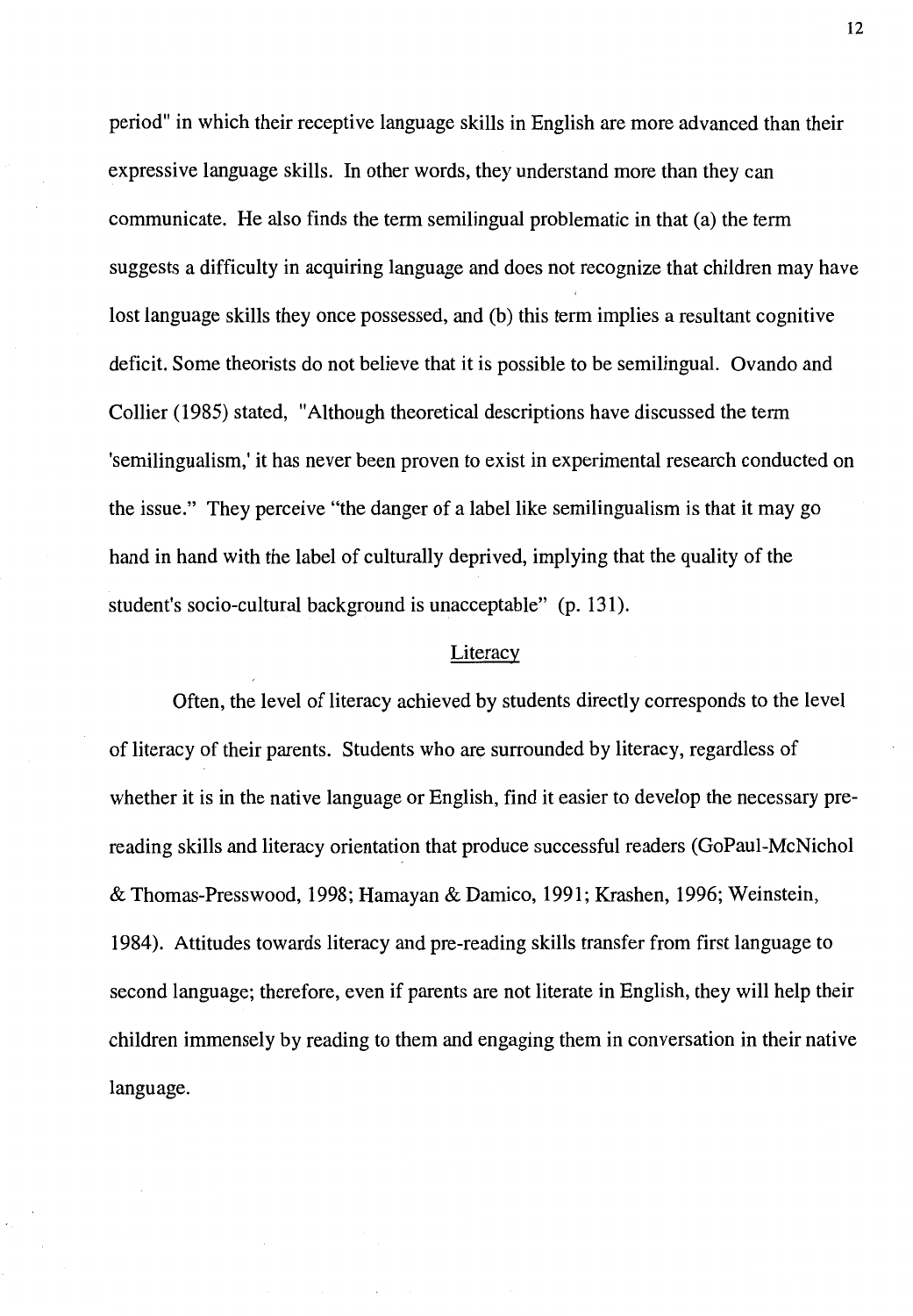period" in which their receptive language skills in English are more advanced than their expressive language skills. In other words, they understand more than they can communicate. He also finds the term semilingual problematic in that (a) the term suggests a difficulty in acquiring language and does not recognize that children may have lost language skills they once possessed, and (b) this term implies a resultant cognitive deficit. Some theorists do not believe that it is possible to be semilingual. Ovando and Collier (1985) stated, "Although theoretical descriptions have discussed the term 'semilingualism,' it has never been proven to exist in experimental research conducted on the issue." They perceive "the danger of a label like semilingualism is that it may go hand in hand with the label of culturally deprived, implying that the quality of the student's socio-cultural background is unacceptable" (p. 131).

#### Literacy

Often, the level of literacy achieved by students directly corresponds to the level of literacy of their parents. Students who are surrounded by literacy, regardless of whether it is in the native language or English, find it easier to develop the necessary prereading skills and literacy orientation that produce successful readers (GoPaul-McNichol & Thomas-Presswood, 1998; Hamayan & Damico, 1991; Krashen, 1996; Weinstein, 1984). Attitudes towards literacy and pre-reading skills transfer from first language to second language; therefore, even if parents are not literate in English, they will help their children immensely by reading to them and engaging them in conversation in their native language.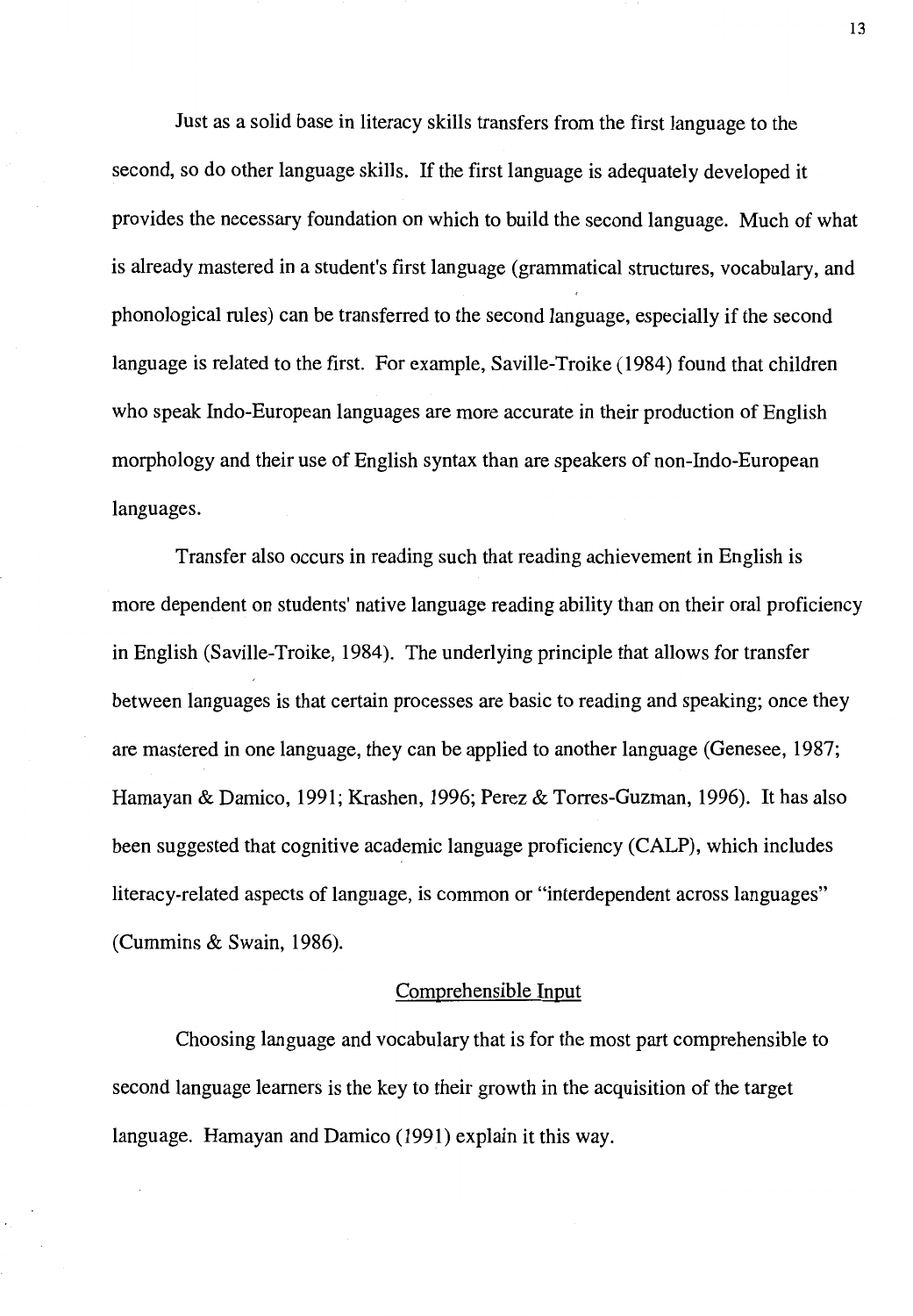Just as a solid base in literacy skills transfers from the first language to the second, so do other language skills. If the first language is adequately developed it provides the necessary foundation on which to build the second language. Much of what is already mastered in a student's first language (grammatical structures, vocabulary, and phonological rules) can be transferred to the second language, especially if the second language is related to the first. For example, Saville-Troike ( 1984) found that children who speak Indo-European languages are more accurate in their production of English morphology and their use of English syntax than are speakers of non-Indo-European languages.

Transfer also occurs in reading such that reading achievement in English is more dependent on students' native language reading ability than on their oral proficiency in English (Saville-Troike, 1984). The underlying principle that allows for transfer between languages is that certain processes are basic to reading and speaking; once they are mastered in one language, they can be applied to another language (Genesee, 1987; Hamayan & Damico, 1991; Krashen, 1996; Perez & Torres-Guzman, 1996). It has also been suggested that cognitive academic language proficiency (CALP), which includes literacy-related aspects of language, is common or "interdependent across languages" (Cummins & Swain, 1986).

#### Comprehensible Input

Choosing language and vocabulary that is for the most part comprehensible to second language learners is the key to their growth in the acquisition of the target language. Hamayan and Damico (1991) explain it this way.

13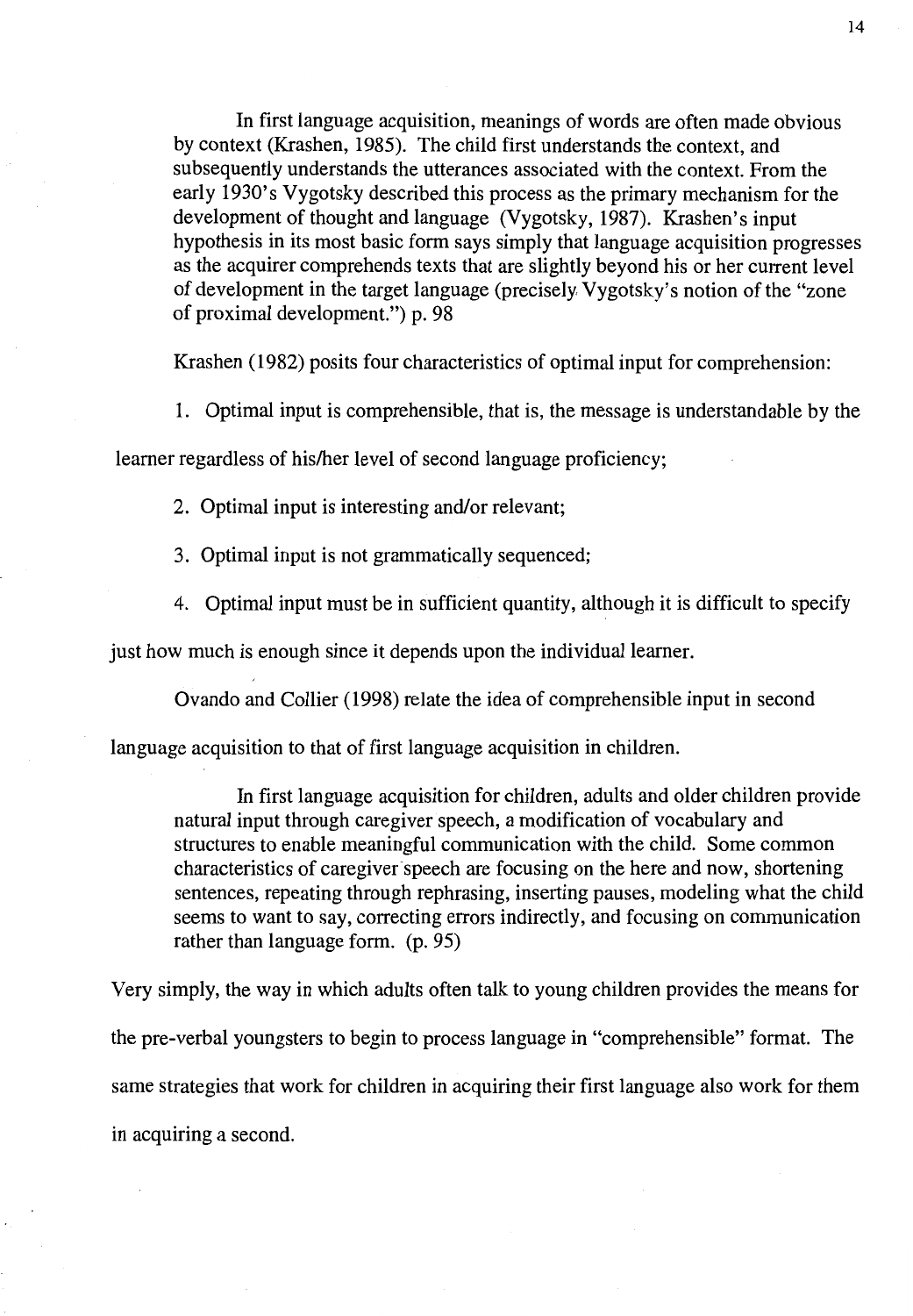In first language acquisition, meanings of words are often made obvious by context (Krashen, 1985). The child first understands the context, and subsequently understands the utterances associated with the context. From the early 1930's Vygotsky described this process as the primary mechanism for the development of thought and language (Vygotsky, 1987). Krashen's input hypothesis in its most basic form says simply that language acquisition progresses as the acquirer comprehends texts that are slightly beyond his or her current level of development in the target language (precisely Vygotsky's notion of the "zone of proximal development.") p. 98

Krashen ( 1982) posits four characteristics of optimal input for comprehension:

1. Optimal input is comprehensible, that is, the message is understandable by the

learner regardless of his/her level of second language proficiency;

2. Optimal input is interesting and/or relevant;

3. Optimal input is not grammatically sequenced;

4. Optimal input must be in sufficient quantity, although it is difficult to specify

just how much is enough since it depends upon the individual learner.

Ovando and Collier ( 1998) relate the idea of comprehensible input in second

language acquisition to that of first language acquisition in children.

In first language acquisition for children, adults and older children provide natural input through caregiver speech, a modification of vocabulary and structures to enable meaningful communication with the child. Some common characteristics of caregiver speech are focusing on the here and now, shortening sentences, repeating through rephrasing, inserting pauses, modeling what the child seems to want to say, correcting errors indirectly, and focusing on communication rather than language form. (p. 95)

Very simply, the way in which adults often talk to young children provides the means for the pre-verbal youngsters to begin to process language in "comprehensible" format. The same strategies that work for children in acquiring their first language also work for them in acquiring a second.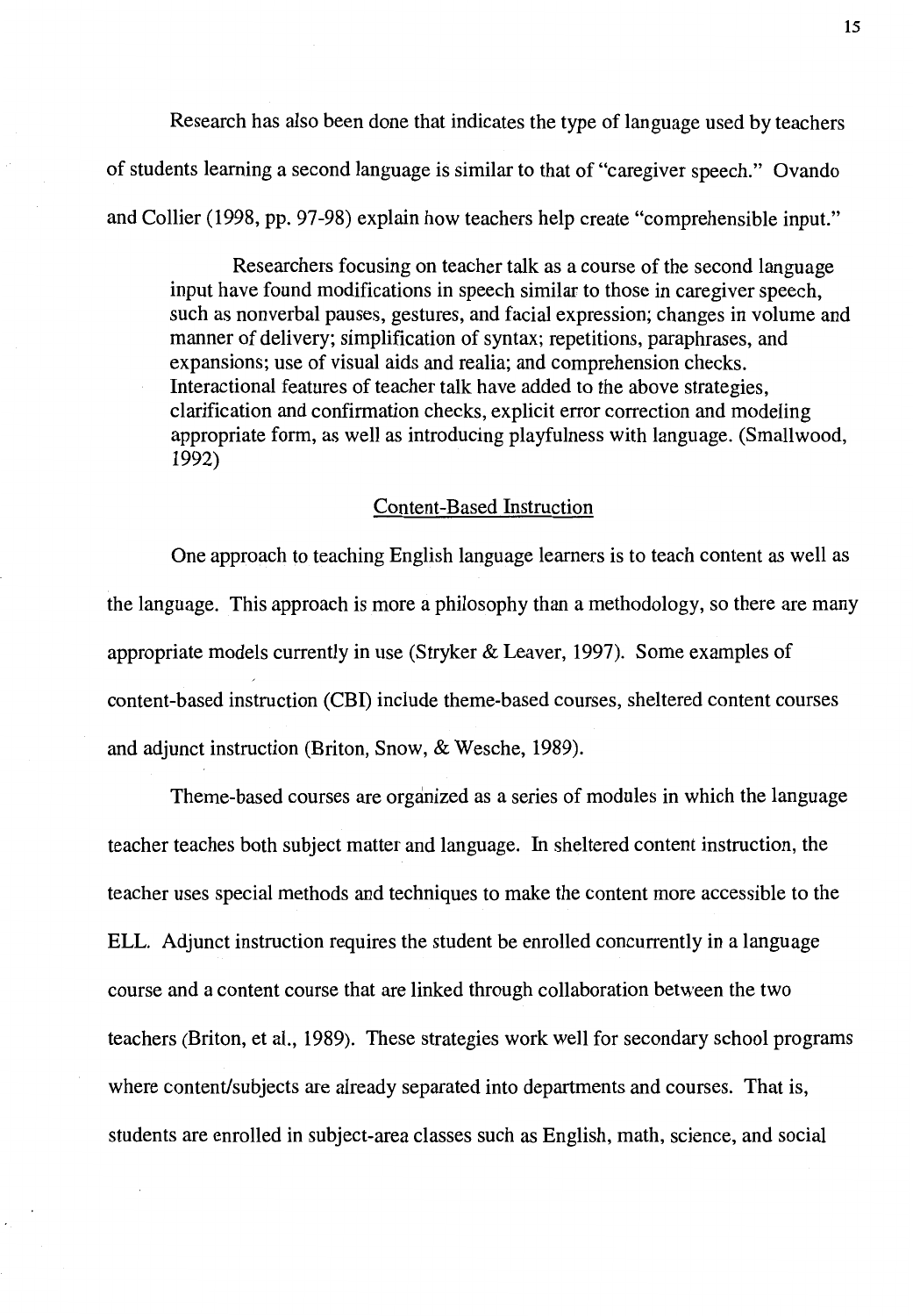Research has also been done that indicates the type of language used by teachers of students learning a second language is similar to that of "caregiver speech." Ovando and Collier (1998, pp. 97-98) explain how teachers help create "comprehensible input."

Researchers focusing on teacher talk as a course of the second language input have found modifications in speech similar to those in caregiver speech, such as nonverbal pauses, gestures, and facial expression; changes in volume and manner of delivery; simplification of syntax; repetitions, paraphrases, and expansions; use of visual aids and realia; and comprehension checks. Interactional features of teacher talk have added to the above strategies, clarification and confirmation checks, explicit error correction and modeling appropriate form, as well as introducing playfulness with language. (Smallwood, 1992)

#### Content-Based Instruction

One approach to teaching English language learners is to teach content as well as the language. This approach is more a philosophy than a methodology, so there are many appropriate models currently in use (Stryker & Leaver, 1997). Some examples of content-based instruction (CBI) include theme-based courses, sheltered content courses and adjunct instruction (Briton, Snow, & Wesche, 1989).

Theme-based courses are organized as a series of modules in which the language teacher teaches both subject matter and language. In sheltered content instruction, the teacher uses special methods and techniques to make the content more accessible to the ELL. Adjunct instruction requires the student be enrolled concurrently in a language course and a content course that are linked through collaboration between the two teachers (Briton, et al., 1989). These strategies work well for secondary school programs where content/subjects are already separated into departments and courses. That is, students are enrolled in subject-area classes such as English, math, science, and social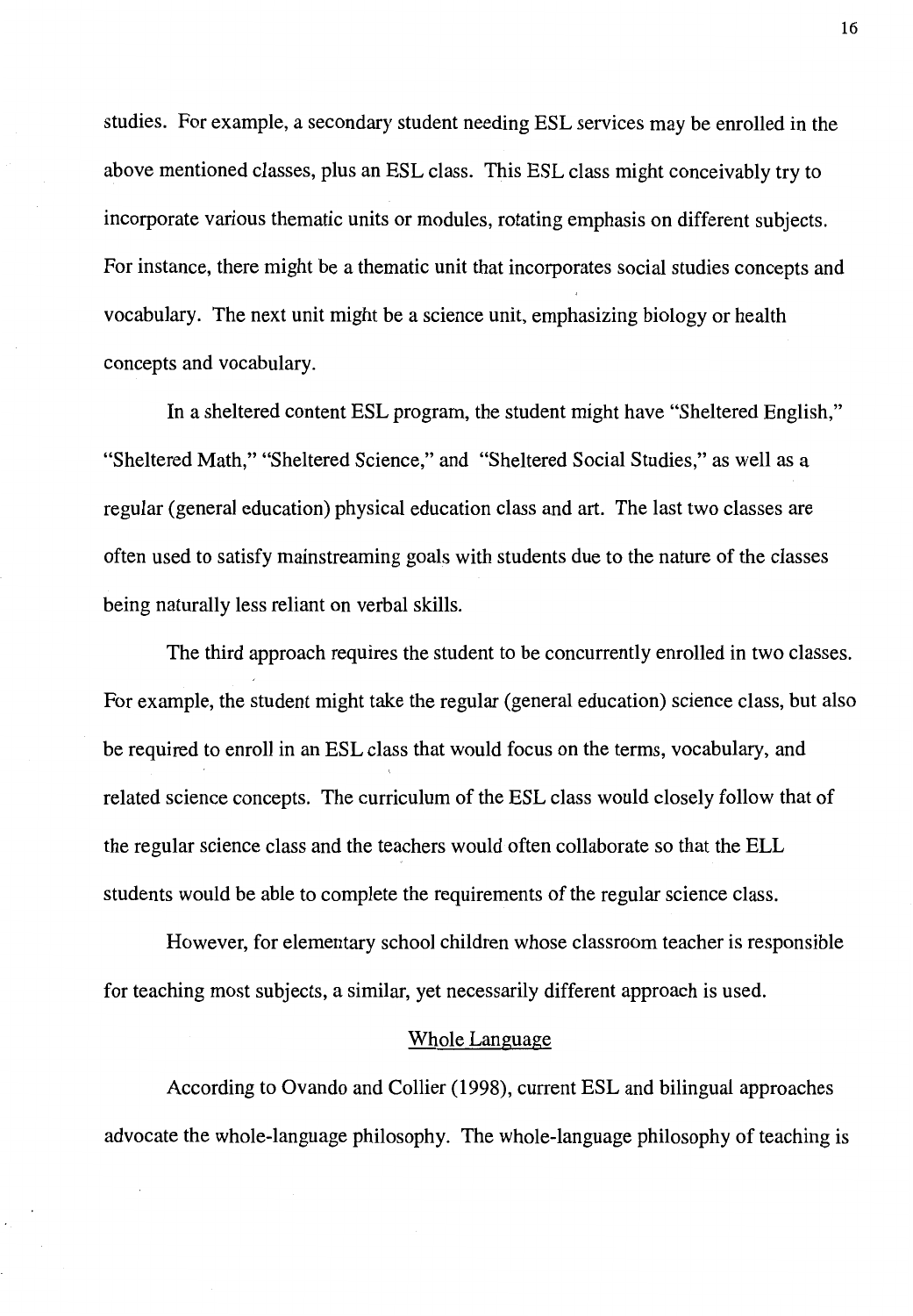studies. For example, a secondary student needing ESL services may be enrolled in the above mentioned classes, plus an ESL class. This ESL class might conceivably try to incorporate various thematic units or modules, rotating emphasis on different subjects. For instance, there might be a thematic unit that incorporates social studies concepts and vocabulary. The next unit might be a science unit, emphasizing biology or health concepts and vocabulary.

In a sheltered content ESL program, the student might have "Sheltered English," "Sheltered Math," "Sheltered Science," and "Sheltered Social Studies," as well as a regular (general education) physical education class and art. The last two classes are often used to satisfy mainstreaming goals with students due to the nature of the classes being naturally less reliant on verbal skills.

The third approach requires the student to be concurrently enrolled in two classes. For example, the student might take the regular (general education) science class, but also be required to enroll in an ESL class that would focus on the terms, vocabulary, and related science concepts. The curriculum of the ESL class would closely follow that of the regular science class and the teachers would often collaborate so that the ELL students would be able to complete the requirements of the regular science class.

However, for elementary school children whose classroom teacher is responsible for teaching most subjects, a similar, yet necessarily different approach is used.

#### Whole Language

According to Ovando and Collier (1998), current ESL and bilingual approaches advocate the whole-language philosophy. The whole-language philosophy of teaching is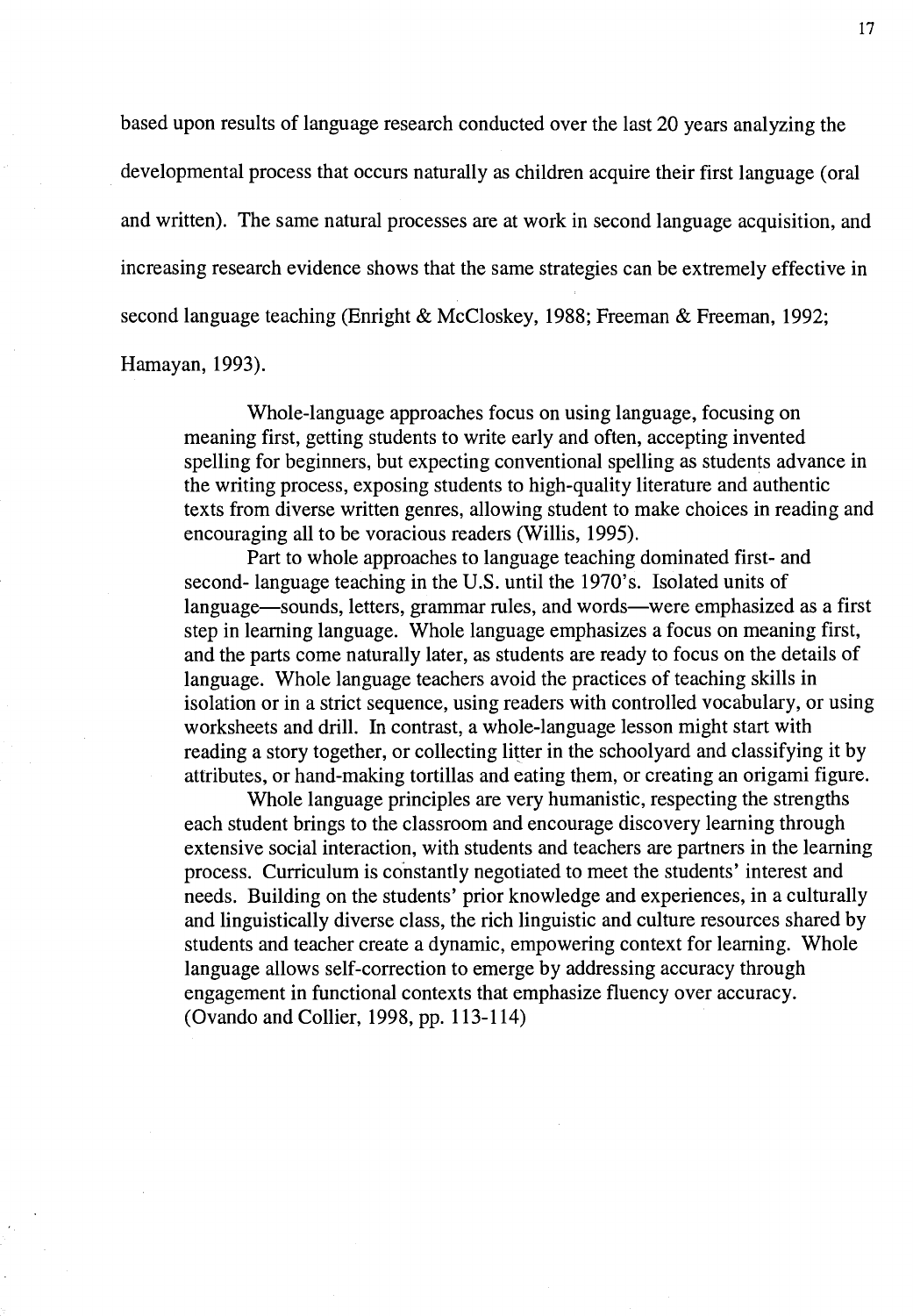based upon results of language research conducted over the last 20 years analyzing the developmental process that occurs naturally as children acquire their first language ( oral and written). The same natural processes are at work in second language acquisition, and increasing research evidence shows that the same strategies can be extremely effective in second language teaching (Enright & McCloskey, 1988; Freeman & Freeman, 1992;

Hamayan, 1993).

Whole-language approaches focus on using language, focusing on meaning first, getting students to write early and often, accepting invented spelling for beginners, but expecting conventional spelling as students advance in the writing process, exposing students to high-quality literature and authentic texts from diverse written genres, allowing student to make choices in reading and encouraging all to be voracious readers (Willis, 1995).

Part to whole approaches to language teaching dominated first- and second- language teaching in the U.S. until the 1970's. Isolated units of language-sounds, letters, grammar rules, and words-were emphasized as a first step in learning language. Whole language emphasizes a focus on meaning first, and the parts come naturally later, as students are ready to focus on the details of language. Whole language teachers avoid the practices of teaching skills in isolation or in a strict sequence, using readers with controlled vocabulary, or using worksheets and drill. In contrast, a whole-language lesson might start with reading a story together, or collecting litter in the schoolyard and classifying it by attributes, or hand-making tortillas and eating them, or creating an origami figure.

Whole language principles are very humanistic, respecting the strengths each student brings to the classroom and encourage discovery learning through extensive social interaction, with students and teachers are partners in the learning process. Curriculum is constantly negotiated to meet the students' interest and needs. Building on the students' prior knowledge and experiences, in a culturally and linguistically diverse class, the rich linguistic and culture resources shared by students and teacher create a dynamic, empowering context for learning. Whole language allows self-correction to emerge by addressing accuracy through engagement in functional contexts that emphasize fluency over accuracy. (Ovando and Collier, 1998, pp. 113-114)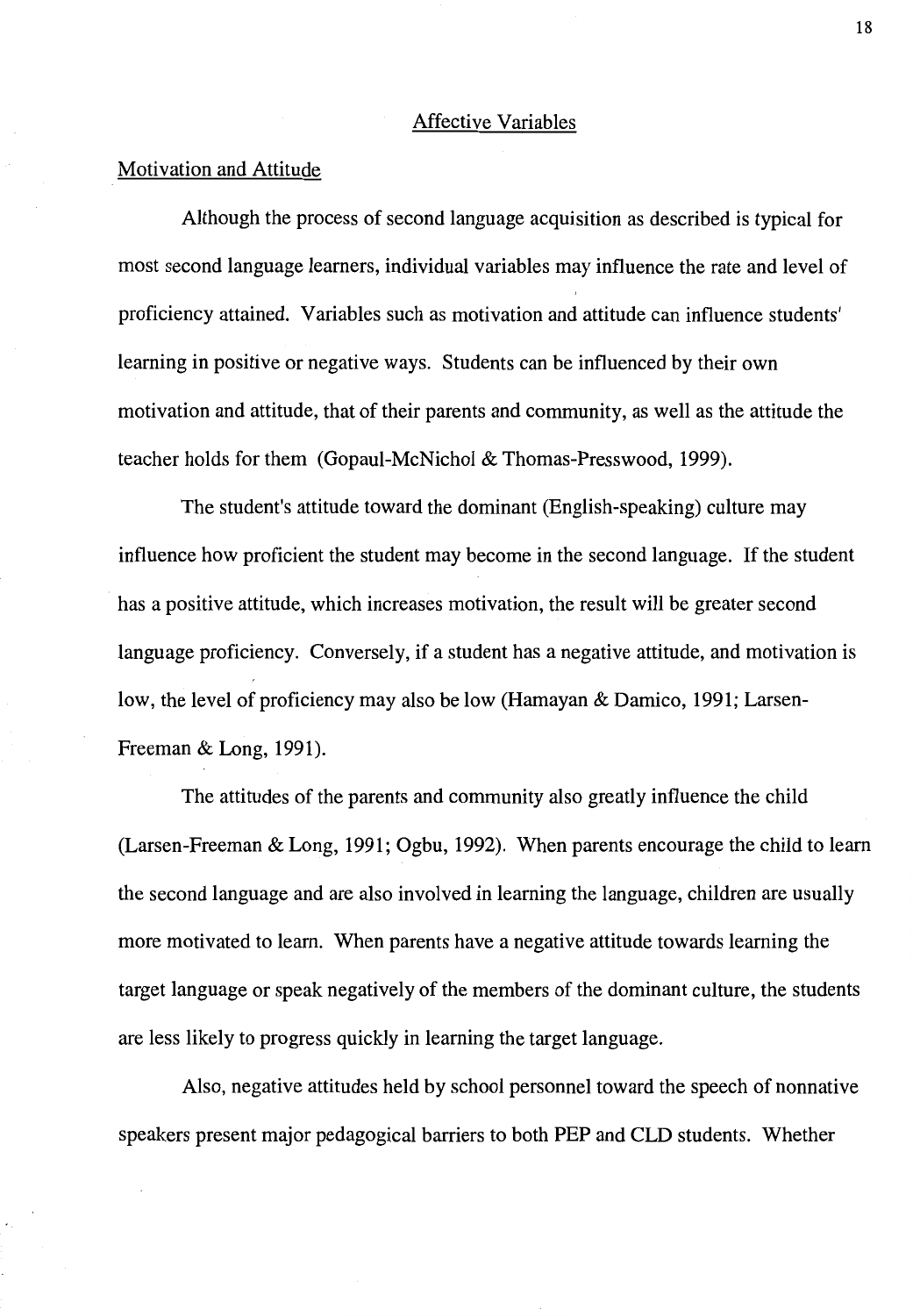#### Affective Variables

#### Motivation and Attitude

Although the process of second language acquisition as described is typical for most second language learners, individual variables may influence the rate and level of proficiency attained. Variables such as motivation and attitude can influence students' learning in positive or negative ways. Students can be influenced by their own motivation and attitude, that of their parents and community, as well as the attitude the teacher holds for them (Gopaul-McNichol & Thomas-Presswood, 1999).

The student's attitude toward the dominant (English-speaking) culture may influence how proficient the student may become in the second language. If the student has a positive attitude, which increases motivation, the result will be greater second language proficiency. Conversely, if a student has a negative attitude, and motivation is low, the level of proficiency may also be low (Hamayan & Damico, 1991; Larsen-Freeman & Long, 1991).

The attitudes of the parents and community also greatly influence the child (Larsen-Freeman & Long, 1991; Ogbu, 1992). When parents encourage the child to learn the second language and are also involved in learning the language, children are usually more motivated to learn. When parents have a negative attitude towards learning the target language or speak negatively of the members of the dominant culture, the students are less likely to progress quickly in learning the target language.

Also, negative attitudes held by school personnel toward the speech of nonnative speakers present major pedagogical barriers to both PEP and CLD students. Whether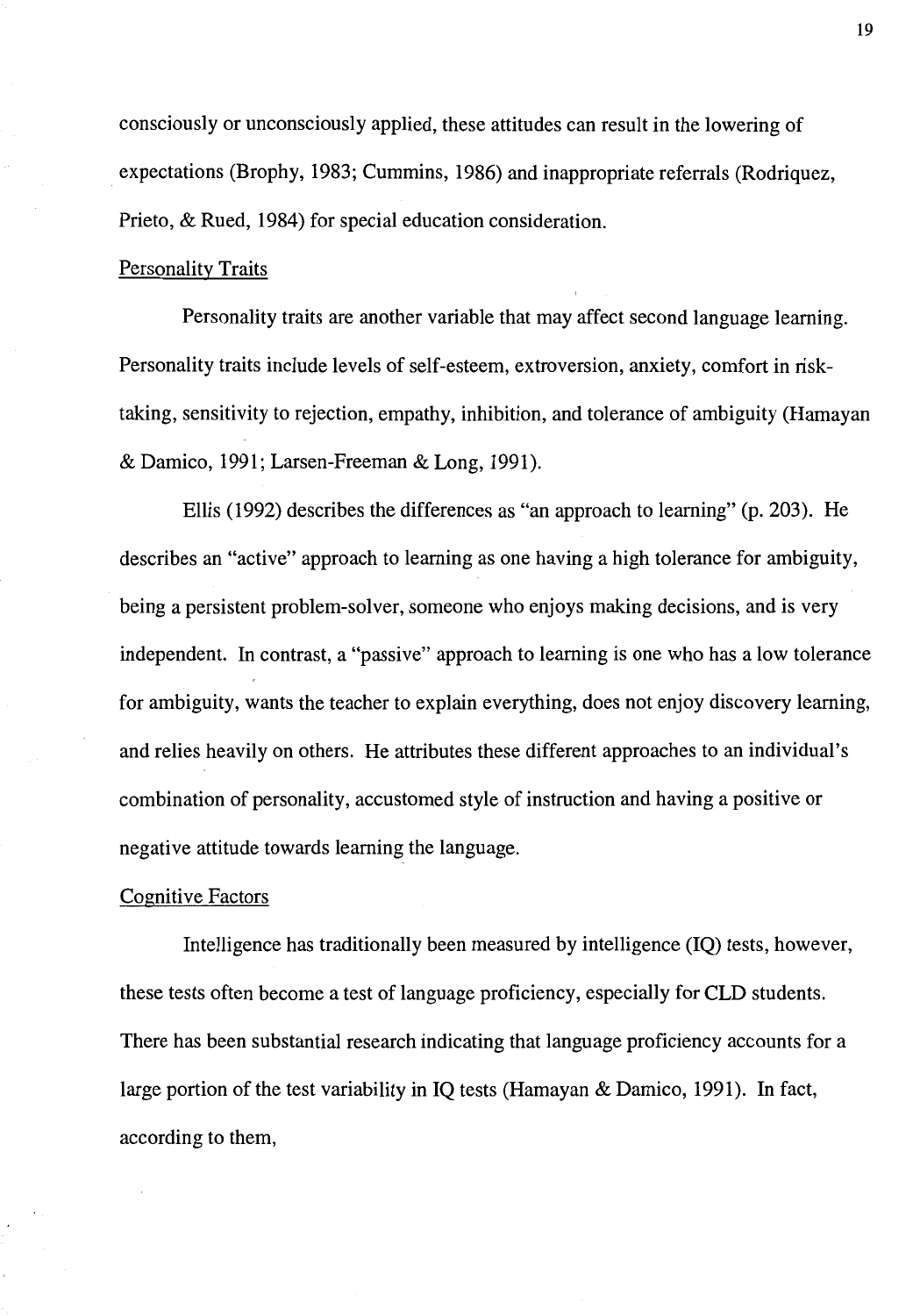consciously or unconsciously applied, these attitudes can result in the lowering of expectations (Brophy, 1983; Cummins, 1986) and inappropriate referrals (Rodriquez, Prieto, & Rued, 1984) for special education consideration.

#### Personality Traits

Personality traits are another variable that may affect second language learning. Personality traits include levels of self-esteem, extroversion, anxiety, comfort in risktaking, sensitivity to rejection, empathy, inhibition, and tolerance of ambiguity (Hamayan & Damico, 1991; Larsen-Freeman & Long, 1991).

Ellis (1992) describes the differences as "an approach to learning" (p. 203). He describes an "active" approach to learning as one having a high tolerance for ambiguity, being a persistent problem-solver, someone who enjoys making decisions, and is very independent. In contrast, a "passive" approach to learning is one who has a low tolerance for ambiguity, wants the teacher to explain everything, does not enjoy discovery learning, and relies heavily on others. He attributes these different approaches to an individual's combination of personality, accustomed style of instruction and having a positive or negative attitude towards learning the language.

#### Cognitive Factors

Intelligence has traditionally been measured by intelligence (IQ) tests, however, these tests often become a test of language proficiency, especially for CLD students. There has been substantial research indicating that language proficiency accounts for a large portion of the test variability in IQ tests (Hamayan & Damico, 1991). In fact, according to them,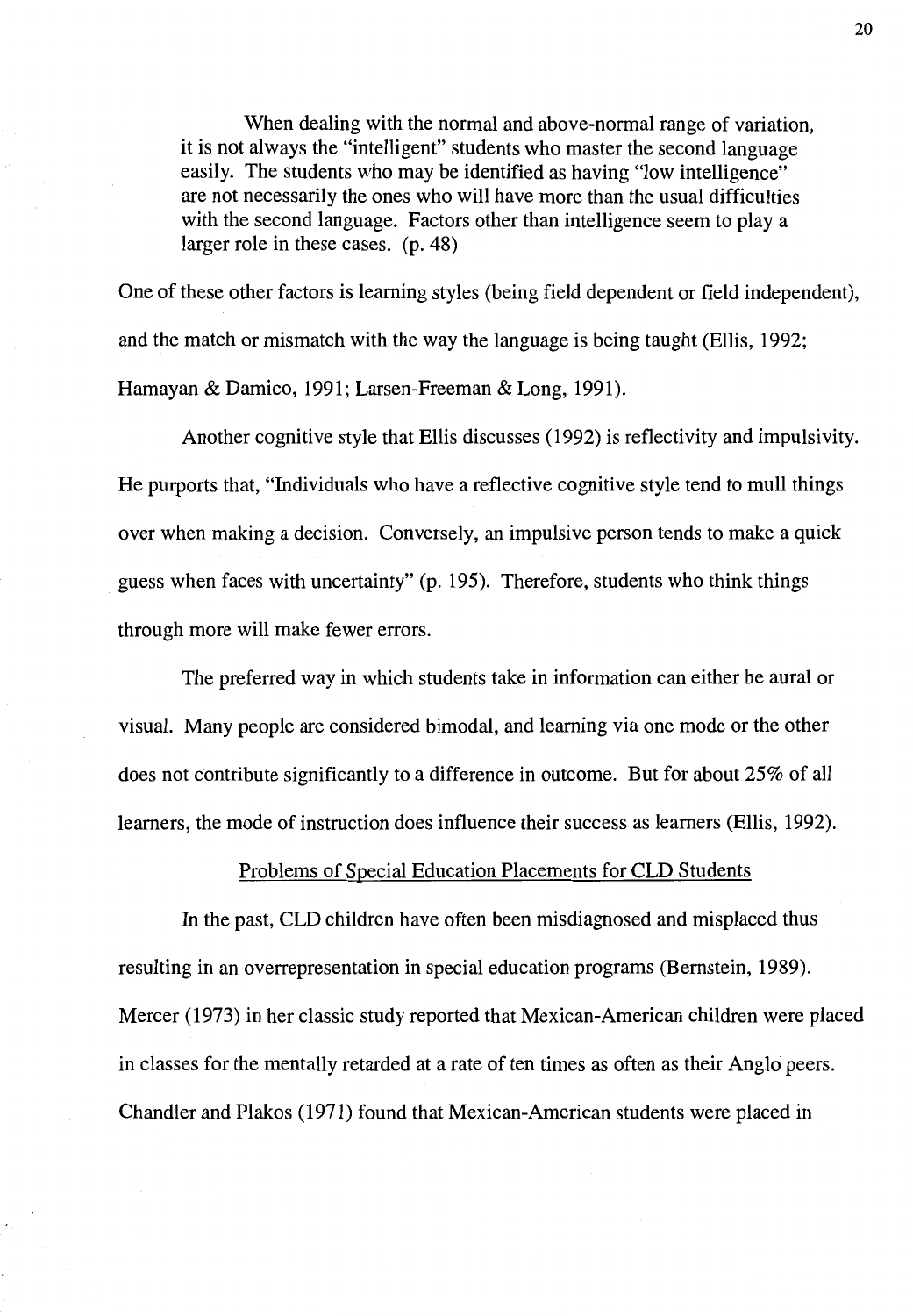When dealing with the normal and above-normal range of variation, it is not always the "intelligent" students who master the second language easily. The students who may be identified as having "low intelligence" are not necessarily the ones who will have more than the usual difficulties with the second language. Factors other than intelligence seem to play a larger role in these cases. (p. 48)

One of these other factors is learning styles (being field dependent or field independent), and the match or mismatch with the way the language is being taught (Ellis, 1992; Hamayan & Damico, 1991; Larsen-Freeman & Long, 1991).

Another cognitive style that Ellis discusses (1992) is reflectivity and impulsivity. He purports that, "Individuals who have a reflective cognitive style tend to mull things over when making a decision. Conversely, an impulsive person tends to make a quick guess when faces with uncertainty" (p. 195). Therefore, students who think things through more will make fewer errors.

The preferred way in which students take in information can either be aural or visual. Many people are considered bimodal, and learning via one mode or the other does not contribute significantly to a difference in outcome. But for about 25% of all learners, the mode of instruction does influence their success as learners (Ellis, 1992).

#### Problems of Special Education Placements for CLO Students

In the past, CLO children have often been misdiagnosed and misplaced thus resulting in an overrepresentation in special education programs (Bernstein, 1989). Mercer (1973) in her classic study reported that Mexican-American children were placed in classes for the mentally retarded at a rate of ten times as often as their Anglo peers. Chandler and Plakos (1971) found that Mexican-American students were placed in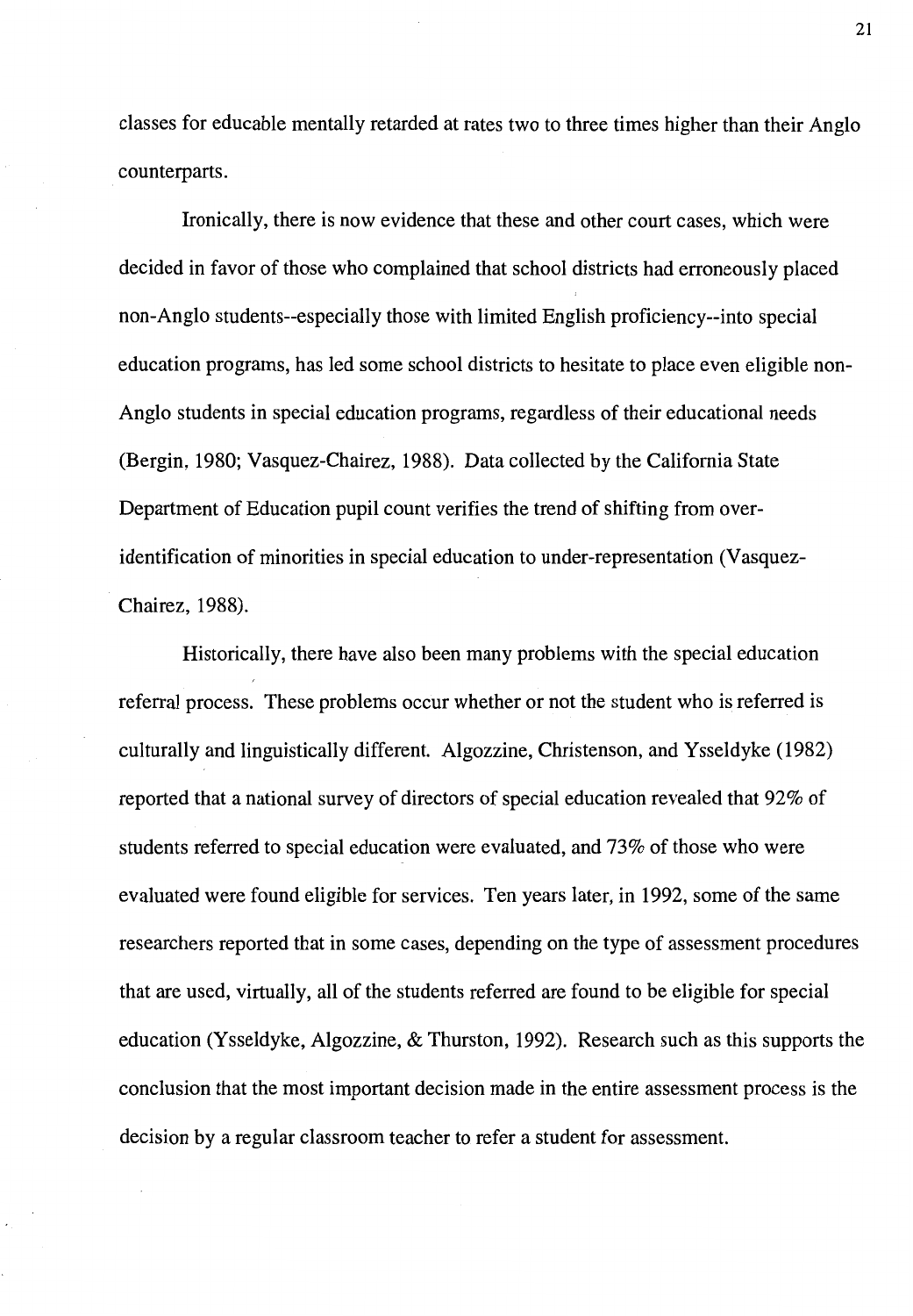classes for educable mentally retarded at rates two to three times higher than their Anglo counterparts.

Ironically, there is now evidence that these and other court cases, which were decided in favor of those who complained that school districts had erroneously placed non-Anglo students--especially those with limited English proficiency--into special education programs, has led some school districts to hesitate to place even eligible non-Anglo students in special education programs, regardless of their educational needs (Bergin, 1980; Vasquez-Chairez, 1988). Data collected by the California State Department of Education pupil count verifies the trend of shifting from overidentification of minorities in special education to under-representation (Vasquez-Chairez, 1988).

Historically, there have also been many problems with the special education referral process. These problems occur whether or not the student who is referred is culturally and linguistically different. Algozzine, Christenson, and Ysseldyke (1982) reported that a national survey of directors of special education revealed that 92% of students referred to special education were evaluated, and 73% of those who were evaluated were found eligible for services. Ten years later, in 1992, some of the same researchers reported that in some cases, depending on the type of assessment procedures that are used, virtually, all of the students referred are found to be eligible for special education (Ysseldyke, Algozzine, & Thurston, 1992). Research such as this supports the conclusion that the most important decision made in the entire assessment process is the decision by a regular classroom teacher to refer a student for assessment.

21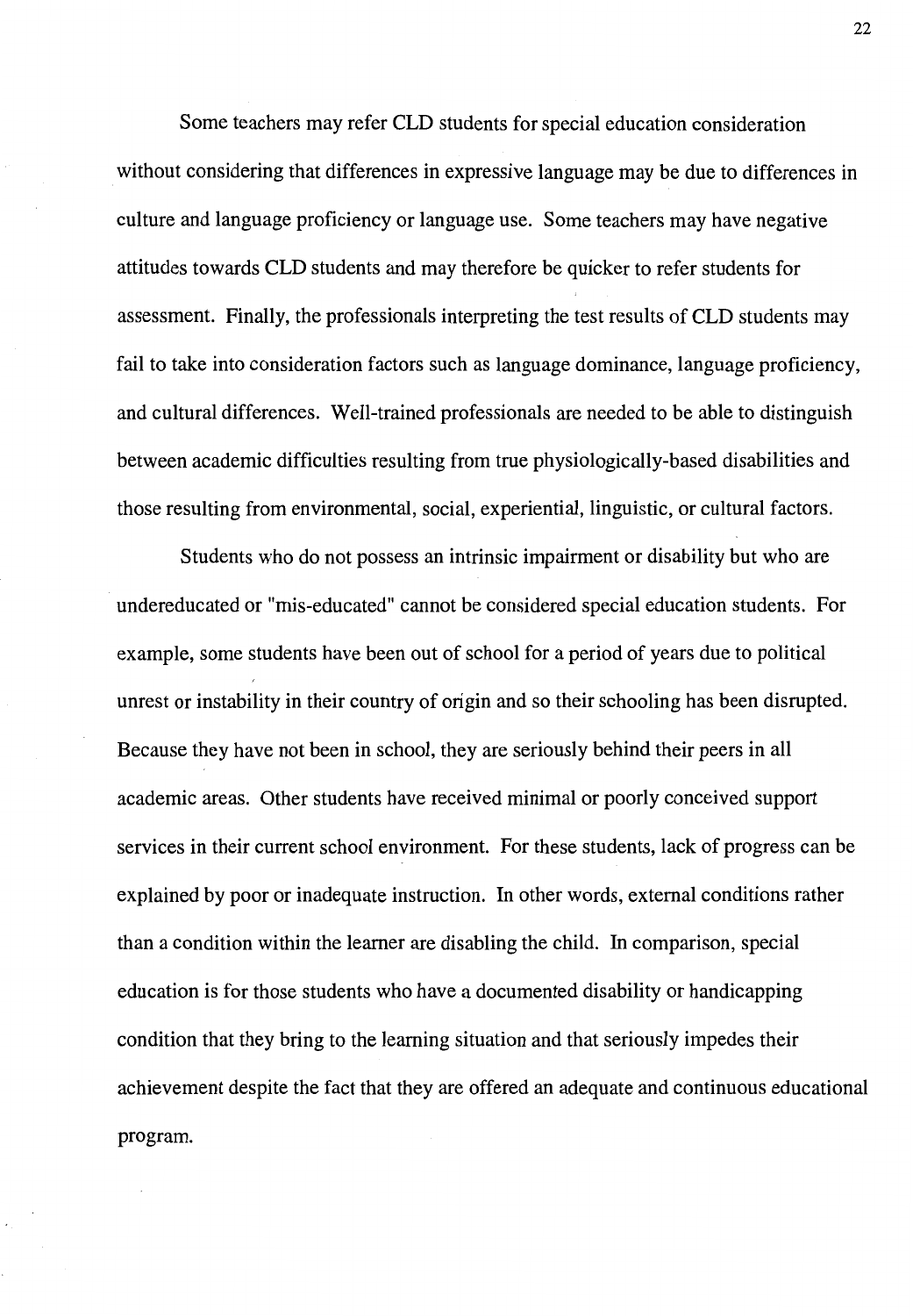Some teachers may refer CLD students for special education consideration without considering that differences in expressive language may be due to differences in culture and language proficiency or language use. Some teachers may have negative attitudes towards CLD students and may therefore be quicker to refer students for assessment. Finally, the professionals interpreting the test results of CLD students may fail to take into consideration factors such as language dominance, language proficiency, and cultural differences. Well-trained professionals are needed to be able to distinguish between academic difficulties resulting from true physiologically-based disabilities and those resulting from environmental, social, experiential, linguistic, or cultural factors.

Students who do not possess an intrinsic impairment or disability but who are undereducated or "mis-educated" cannot be considered special education students. For example, some students have been out of school for a period of years due to political unrest or instability in their country of origin and so their schooling has been disrupted. Because they have not been in school, they are seriously behind their peers in all academic areas. Other students have received minimal or poorly conceived support services in their current school environment. For these students, lack of progress can be explained by poor or inadequate instruction. In other words, external conditions rather than a condition within the learner are disabling the child. In comparison, special education is for those students who have a documented disability or handicapping condition that they bring to the learning situation and that seriously impedes their achievement despite the fact that they are offered an adequate and continuous educational program.

22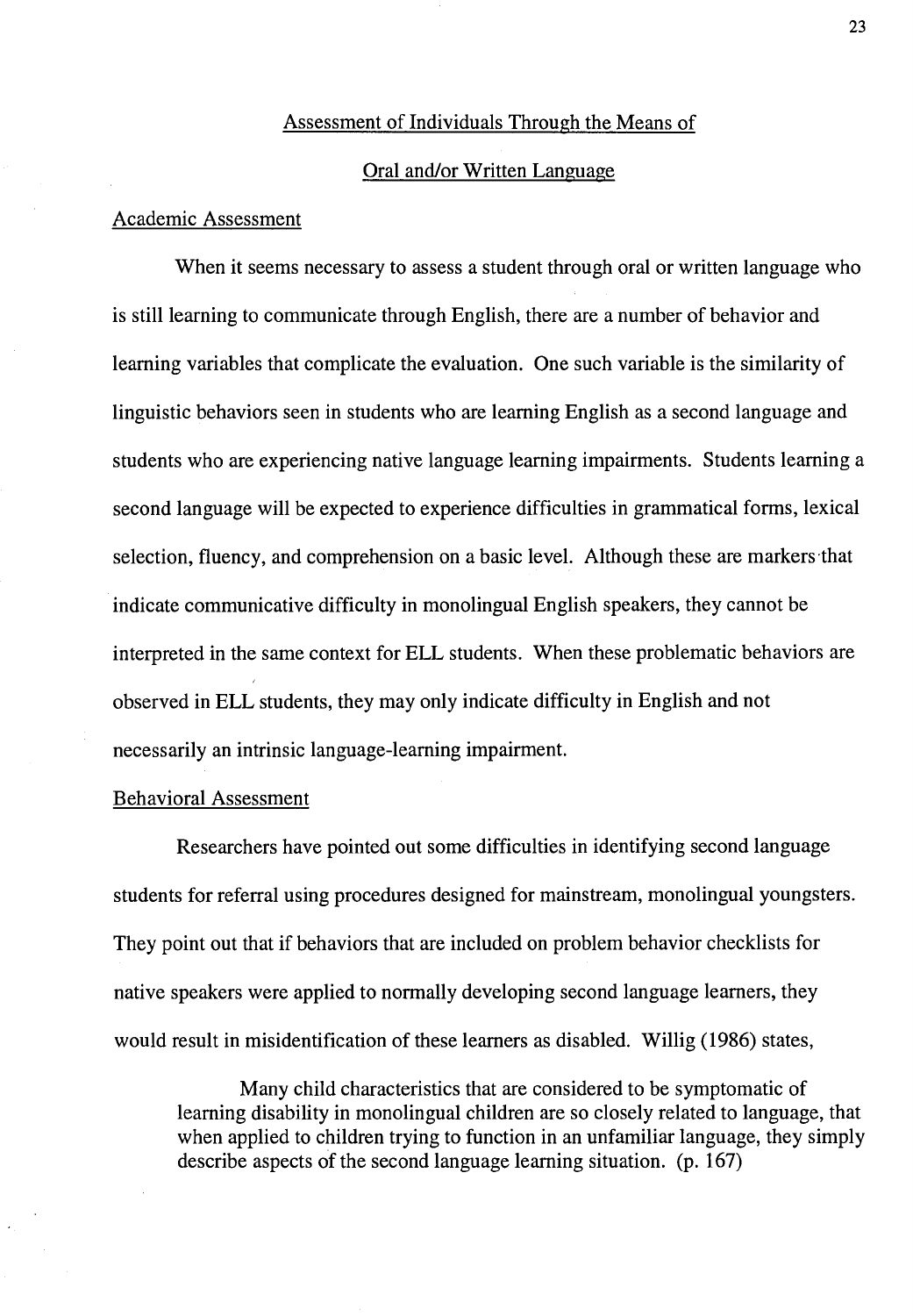#### Assessment of Individuals Through the Means of

#### Oral and/or Written Language

#### Academic Assessment

When it seems necessary to assess a student through oral or written language who is still learning to communicate through English, there are a number of behavior and learning variables that complicate the evaluation. One such variable is the similarity of linguistic behaviors seen in students who are learning English as a second language and students who are experiencing native language learning impairments. Students learning a second language will be expected to experience difficulties in grammatical forms, lexical selection, fluency, and comprehension on a basic level. Although these are markers that indicate communicative difficulty in monolingual English speakers, they cannot be interpreted in the same context for ELL students. When these problematic behaviors are observed in ELL students, they may only indicate difficulty in English and not necessarily an intrinsic language-learning impairment.

#### Behavioral Assessment

Researchers have pointed out some difficulties in identifying second language students for referral using procedures designed for mainstream, monolingual youngsters. They point out that if behaviors that are included on problem behavior checklists for native speakers were applied to normally developing second language learners, they would result in misidentification of these learners as disabled. Willig ( 1986) states,

Many child characteristics that are considered to be symptomatic of learning disability in monolingual children are so closely related to language, that when applied to children trying to function in an unfamiliar language, they simply describe aspects of the second language learning situation. (p. 167)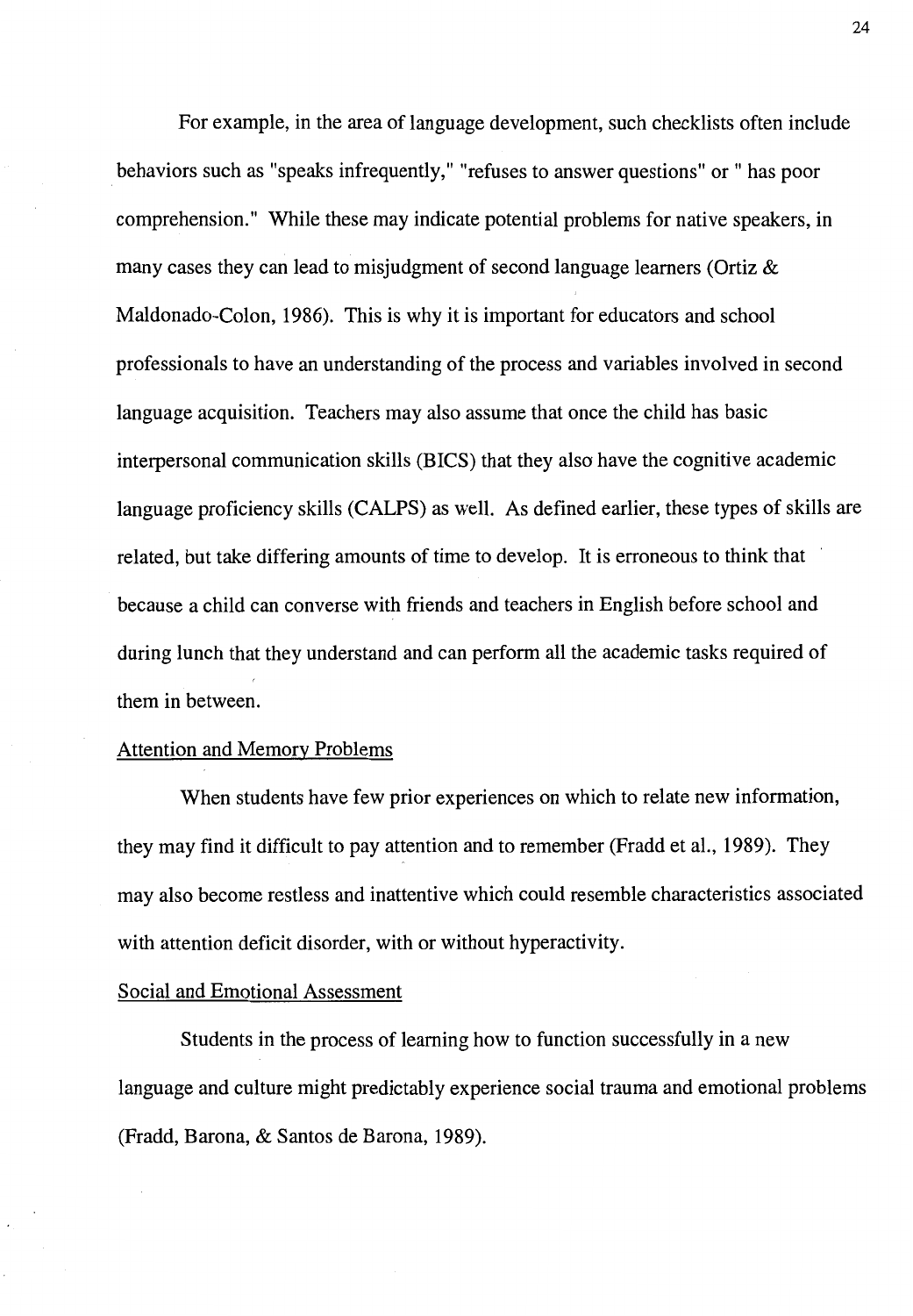For example, in the area of language development, such checklists often include behaviors such as "speaks infrequently," "refuses to answer questions" or" has poor comprehension." While these may indicate potential problems for native speakers, in many cases they can lead to misjudgment of second language learners (Ortiz & Maldonado-Colon, 1986). This is why it is important for educators and school professionals to have an understanding of the process and variables involved in second language acquisition. Teachers may also assume that once the child has basic interpersonal communication skills (BICS) that they also have the cognitive academic language proficiency skills (CALPS) as well. As defined earlier, these types of skills are related, but take differing amounts of time to develop. It is erroneous to think that because a child can converse with friends and teachers in English before school and during lunch that they understand and can perform all the academic tasks required of them in between.

#### Attention and Memory Problems

When students have few prior experiences on which to relate new information, they may find it difficult to pay attention and to remember (Fradd et al., 1989). They may also become restless and inattentive which could resemble characteristics associated with attention deficit disorder, with or without hyperactivity.

#### Social and Emotional Assessment

Students in the process of learning how to function successfully in a new language and culture might predictably experience social trauma and emotional problems (Fradd, Barona, & Santos de Barona, 1989).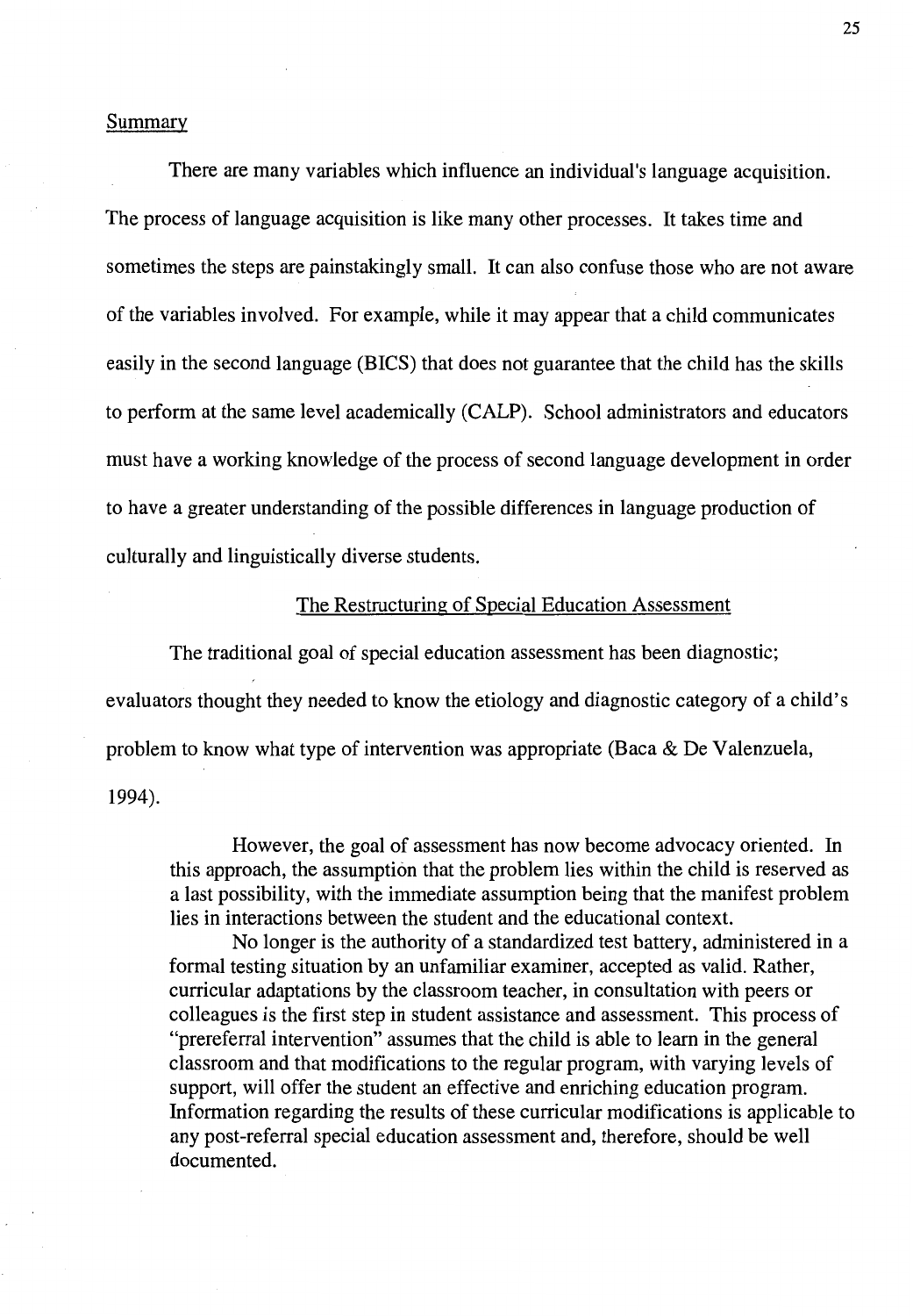#### Summary

There are many variables which influence an individual's language acquisition. The process of language acquisition is like many other processes. It takes time and sometimes the steps are painstakingly small. It can also confuse those who are not aware of the variables involved. For example, while it may appear that a child communicates easily in the second language (BICS) that does not guarantee that the child has the skills to perform at the same level academically (CALP). School administrators and educators must have a working knowledge of the process of second language development in order to have a greater understanding of the possible differences in language production of culturally and linguistically diverse students.

#### The Restructuring of Special Education Assessment

The traditional goal of special education assessment has been diagnostic; evaluators thought they needed to know the etiology and diagnostic category of a child's problem to know what type of intervention was appropriate (Baca  $\&$  De Valenzuela, 1994).

However, the goal of assessment has now become advocacy oriented. In this approach, the assumption that the problem lies within the child is reserved as a last possibility, with the immediate assumption being that the manifest problem lies in interactions between the student and the educational context.

No longer is the authority of a standardized test battery, administered in a formal testing situation by an unfamiliar examiner, accepted as valid. Rather, curricular adaptations by the classroom teacher, in consultation with peers or colleagues is the first step in student assistance and assessment. This process of "prereferral intervention" assumes that the child is able to learn in the general classroom and that modifications to the regular program, with varying levels of support, will offer the student an effective and enriching education program. Information regarding the results of these curricular modifications is applicable to any post-referral special education assessment and, therefore, should be well documented.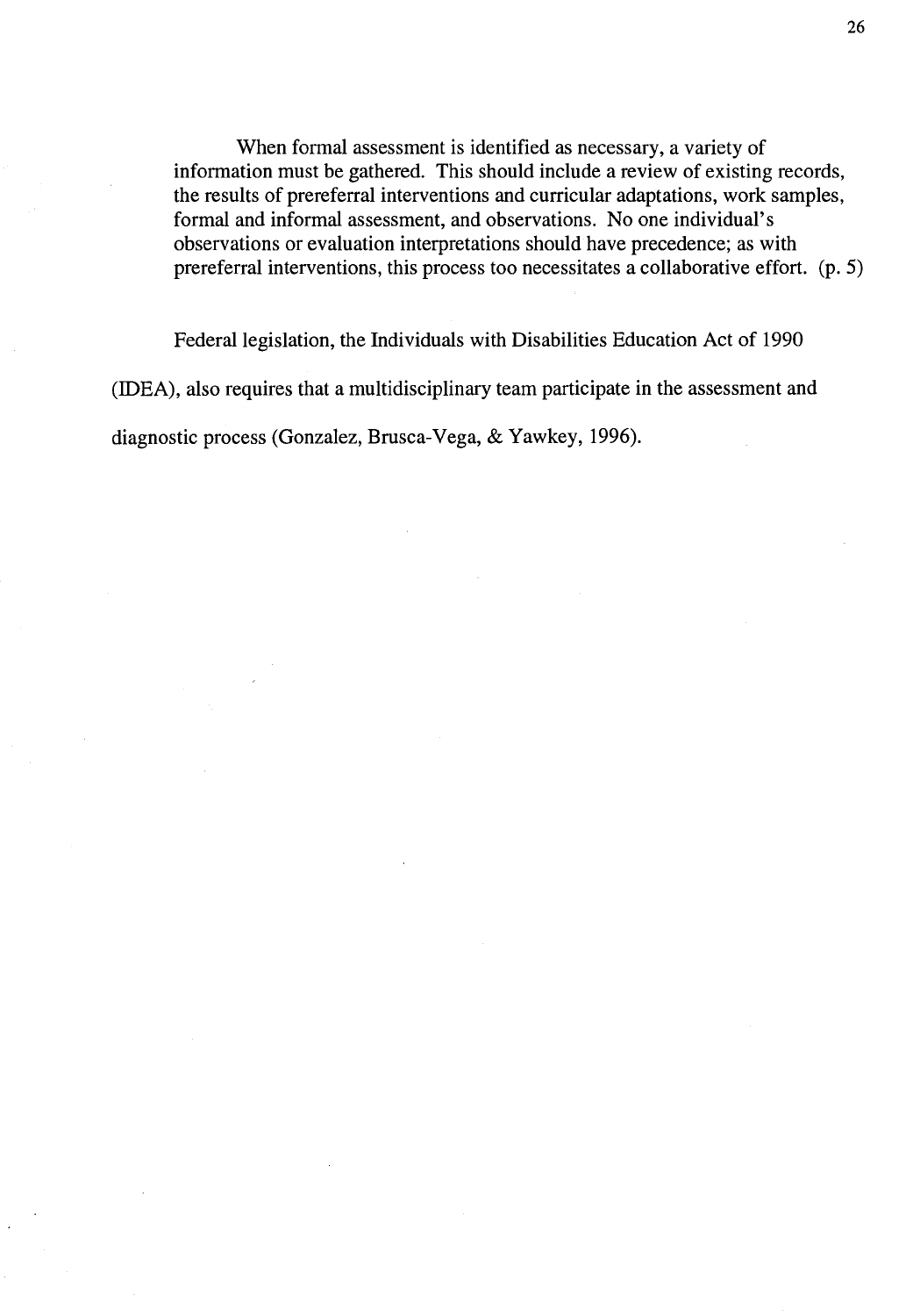When formal assessment is identified as necessary, a variety of information must be gathered. This should include a review of existing records, the results of prereferral interventions and curricular adaptations, work samples, formal and informal assessment, and observations. No one individual's observations or evaluation interpretations should have precedence; as with prereferral interventions, this process too necessitates a collaborative effort. (p. 5)

Federal legislation, the Individuals with Disabilities Education Act of 1990 (IDEA), also requires that a multidisciplinary team participate in the assessment and diagnostic process (Gonzalez, Brusca-Vega, & Yawkey, 1996).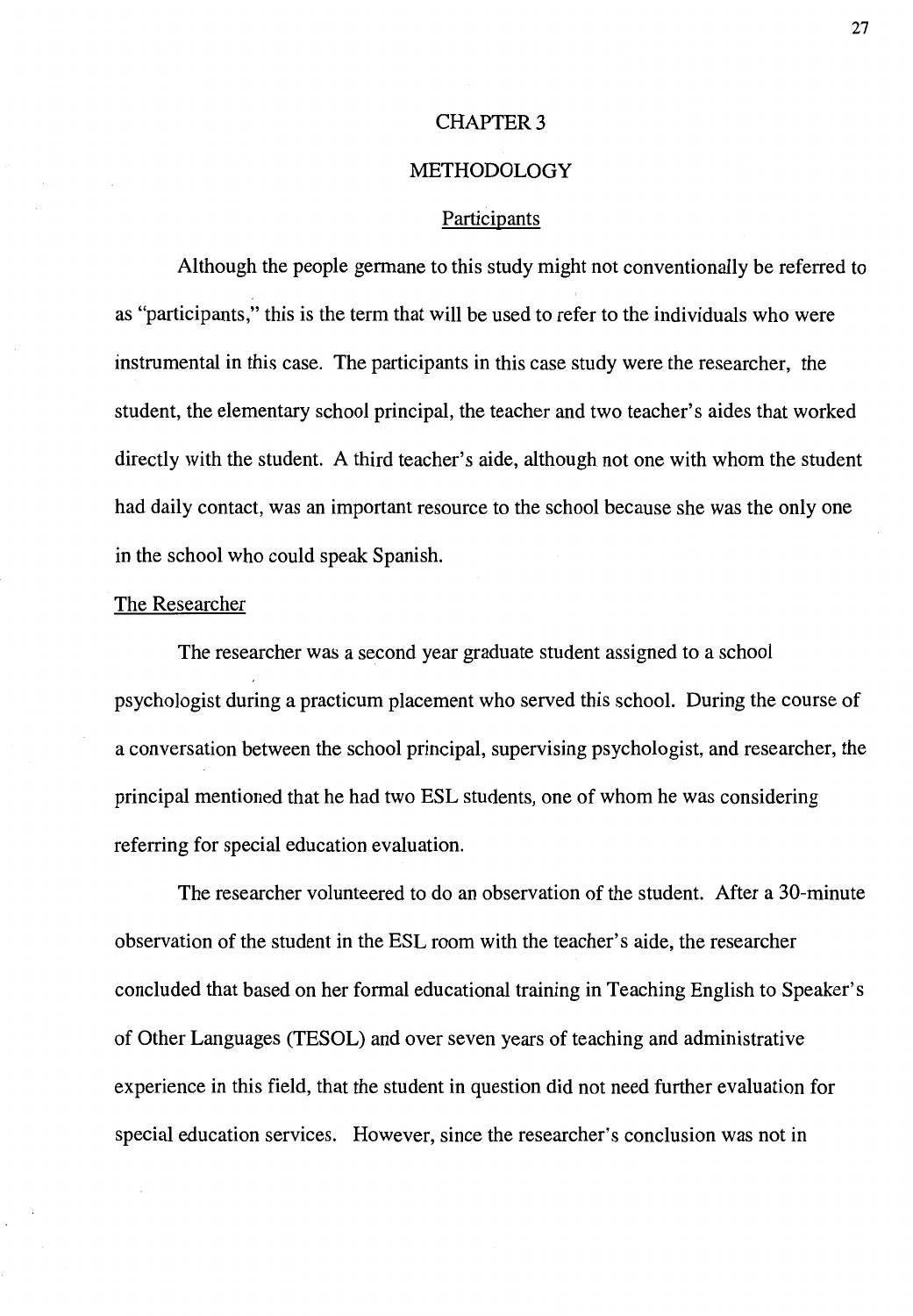## CHAPTER<sub>3</sub>

# METHODOLOGY

## Participants

Although the people germane to this study might not conventionally be referred to as "participants," this is the term that will be used to refer to the individuals who were instrumental in this case. The participants in this case study were the researcher, the student, the elementary school principal, the teacher and two teacher's aides that worked directly with the student. A third teacher's aide, although not one with whom the student had daily contact, was an important resource to the school because she was the only one in the school who could speak Spanish.

## The Researcher

The researcher was a second year graduate student assigned to a school psychologist during a practicum placement who served this school. During the course of a conversation between the school principal, supervising psychologist, and researcher, the principal mentioned that he had two ESL students, one of whom he was considering referring for special education evaluation.

The researcher volunteered to do an observation of the student. After a 30-minute observation of the student in the ESL room with the teacher's aide, the researcher concluded that based on her formal educational training in Teaching English to Speaker's of Other Languages (TESOL) and over seven years of teaching and administrative experience in this field, that the student in question did not need further evaluation for special education services. However, since the researcher's conclusion was not in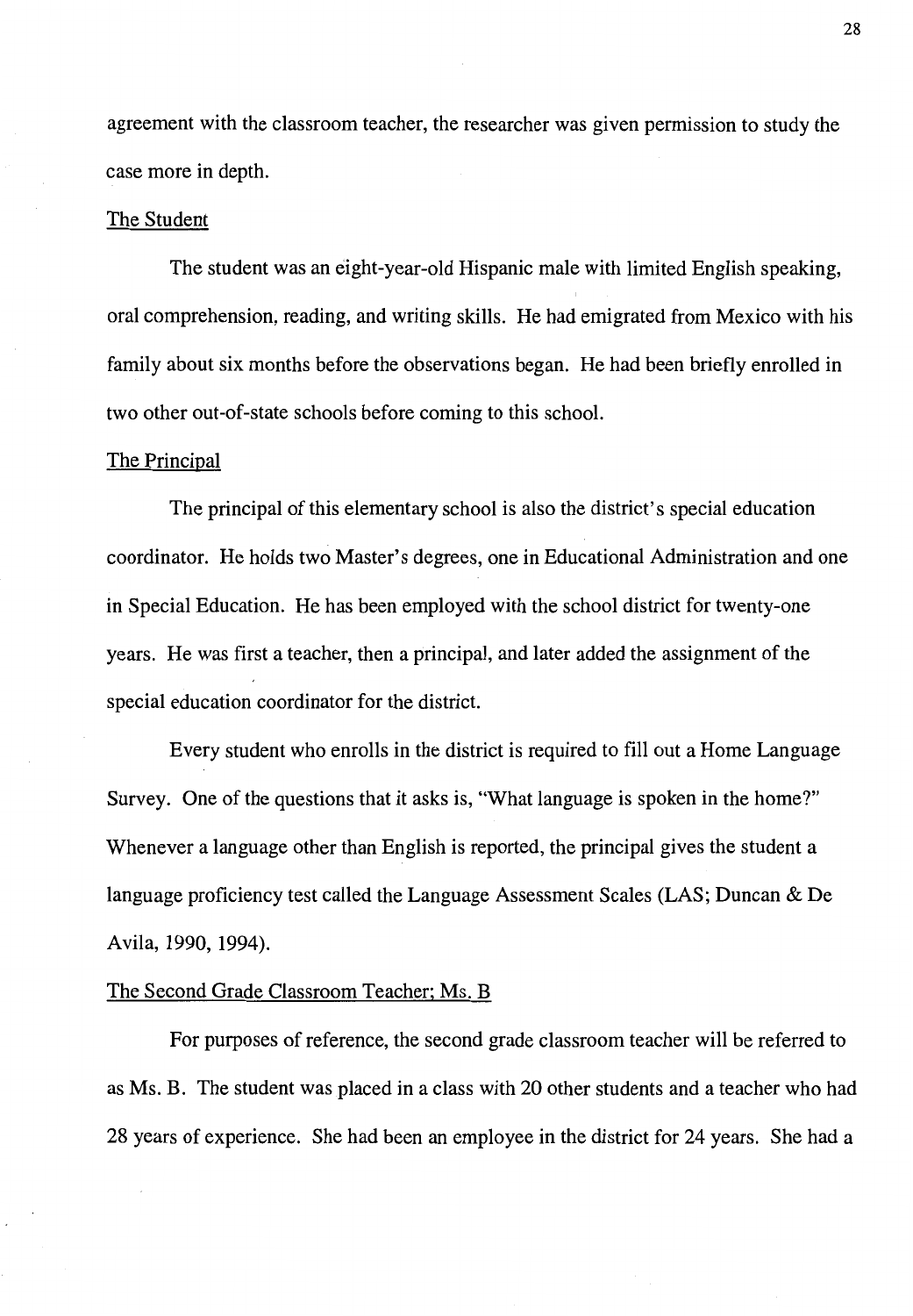agreement with the classroom teacher, the researcher was given permission to study the case more in depth.

#### The Student

The student was an eight-year-old Hispanic male with limited English speaking, oral comprehension, reading, and writing skills. He had emigrated from Mexico with his family about six months before the observations began. He had been briefly enrolled in two other out-of-state schools before coming to this school.

#### The Principal

The principal of this elementary school is also the district's special education coordinator. He holds two Master's degrees, one in Educational Administration and one in Special Education. He has been employed with the school district for twenty-one years. He was first a teacher, then a principal, and later added the assignment of the special education coordinator for the district.

Every student who enrolls in the district is required to fill out a Home Language Survey. One of the questions that it asks is, "What language is spoken in the home?" Whenever a language other than English is reported, the principal gives the student a language proficiency test called the Language Assessment Scales (LAS; Duncan & De Avila, 1990, 1994).

## The Second Grade Classroom Teacher; Ms. B

For purposes of reference, the second grade classroom teacher will be referred to as Ms. B. The student was placed in a class with 20 other students and a teacher who had 28 years of experience. She had been an employee in the district for 24 years. She had a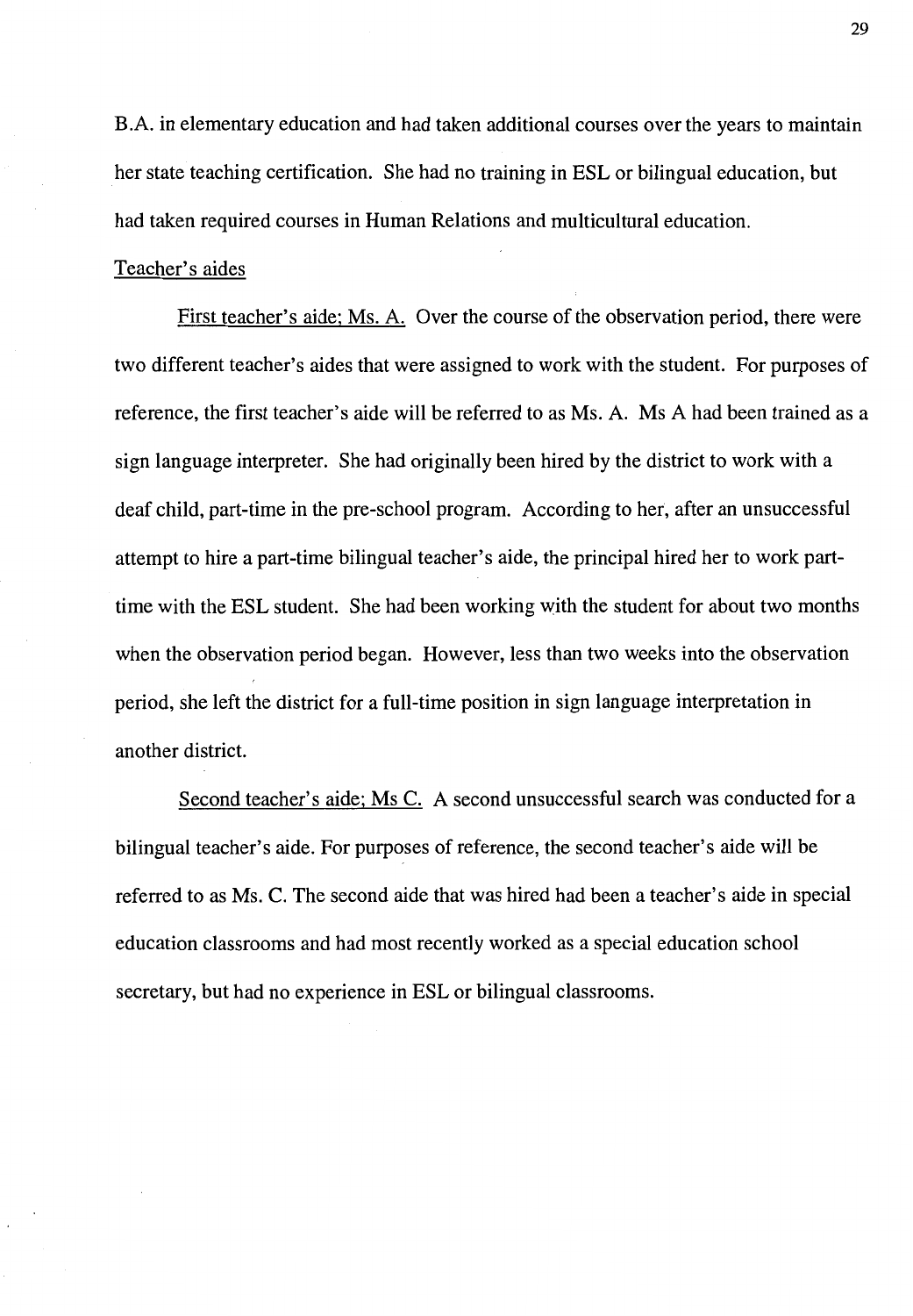B.A. in elementary education and had taken additional courses over the years to maintain her state teaching certification. She had no training in ESL or bilingual education, but had taken required courses in Human Relations and multicultural education.

## Teacher's aides

First teacher's aide; Ms. A. Over the course of the observation period, there were two different teacher's aides that were assigned to work with the student. For purposes of reference, the first teacher's aide will be referred to as Ms. A. Ms A had been trained as a sign language interpreter. She had originally been hired by the district to work with a deaf child, part-time in the pre-school program. According to her, after an unsuccessful attempt to hire a part-time bilingual teacher's aide, the principal hired her to work parttime with the ESL student. She had been working with the student for about two months when the observation period began. However, less than two weeks into the observation period, she left the district for a full-time position in sign language interpretation in another district.

Second teacher's aide; Ms C. A second unsuccessful search was conducted for a bilingual teacher's aide. For purposes of reference, the second teacher's aide will be referred to as Ms. C. The second aide that was hired had been a teacher's aide in special education classrooms and had most recently worked as a special education school secretary, but had no experience in ESL or bilingual classrooms.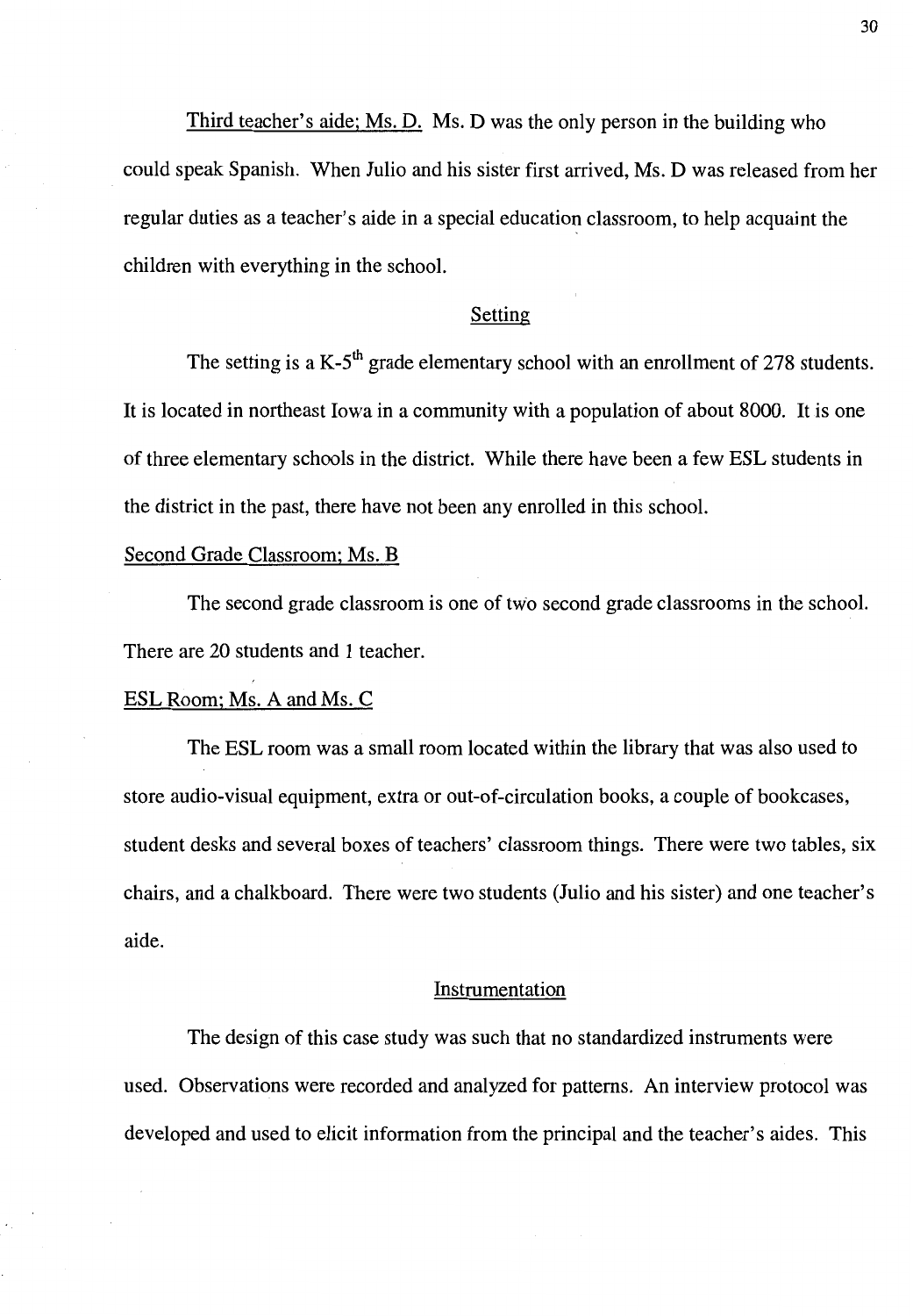Third teacher's aide; Ms. D. Ms. D was the only person in the building who could speak Spanish. When Julio and his sister first arrived, Ms. D was released from her regular duties as a teacher's aide in a special education classroom, to help acquaint the children with everything in the school.

# Setting

The setting is a K-5<sup>th</sup> grade elementary school with an enrollment of 278 students. It is located in northeast Iowa in a community with a population of about 8000. It is one of three elementary schools in the district. While there have been a few ESL students in the district in the past, there have not been any enrolled in this school.

# Second Grade Classroom; Ms. B

The second grade classroom is one of two second grade classrooms in the school. There are 20 students and 1 teacher.

## ESL Room; Ms. A and Ms. C

The ESL room was a small room located within the library that was also used to store audio-visual equipment, extra or out-of-circulation books, a couple of bookcases, student desks and several boxes of teachers' classroom things. There were two tables, six chairs, and a chalkboard. There were two students (Julio and his sister) and one teacher's aide.

## Instrumentation

The design of this case study was such that no standardized instruments were used. Observations were recorded and analyzed for patterns. An interview protocol was developed and used to elicit information from the principal and the teacher's aides. This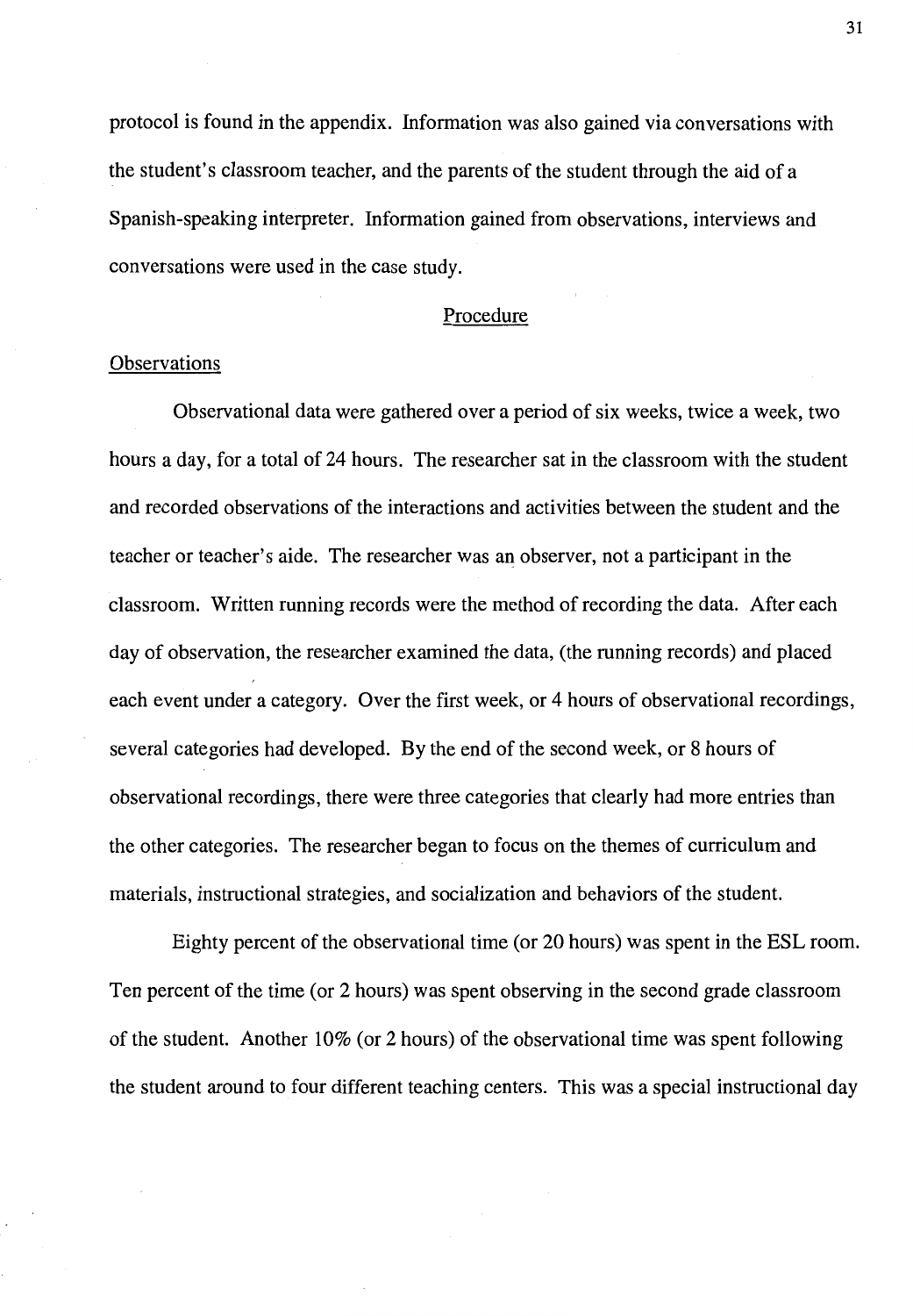protocol is found in the appendix. Information was also gained via conversations with the student's classroom teacher, and the parents of the student through the aid of a Spanish-speaking interpreter. Information gained from observations, interviews and conversations were used in the case study.

# Procedure

# **Observations**

Observational data were gathered over a period of six weeks, twice a week, two hours a day, for a total of 24 hours. The researcher sat in the classroom with the student and recorded observations of the interactions and activities between the student and the teacher or teacher's aide. The researcher was an observer, not a participant in the classroom. Written running records were the method of recording the data. After each day of observation, the researcher examined the data, (the running records) and placed each event under a category. Over the first week, or 4 hours of observational recordings, several categories had developed. By the end of the second week, or 8 hours of observational recordings, there were three categories that clearly had more entries than the other categories. The researcher began to focus on the themes of curriculum and materials, instructional strategies, and socialization and behaviors of the student.

Eighty percent of the observational time (or 20 hours) was spent in the ESL room. Ten percent of the time (or 2 hours) was spent observing in the second grade classroom of the student. Another  $10\%$  (or 2 hours) of the observational time was spent following the student around to four different teaching centers. This was a special instructional day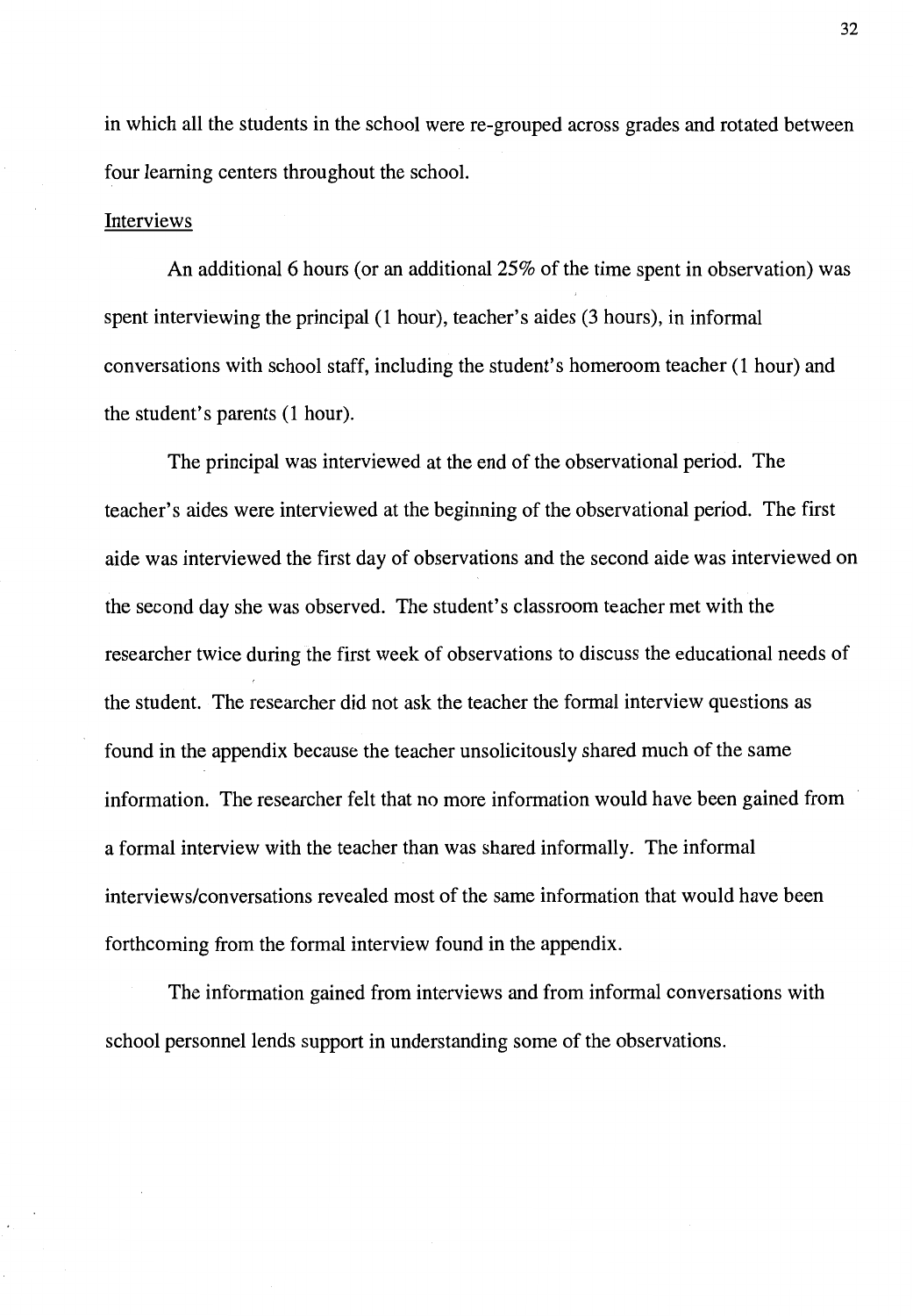in which all the students in the school were re-grouped across grades and rotated between four learning centers throughout the school.

## Interviews

An additional 6 hours (or an additional 25% of the time spent in observation) was spent interviewing the principal (1 hour), teacher's aides (3 hours), in informal conversations with school staff, including the student's homeroom teacher (1 hour) and the student's parents (1 hour).

The principal was interviewed at the end of the observational period. The teacher's aides were interviewed at the beginning of the observational period. The first aide was interviewed the first day of observations and the second aide was interviewed on the second day she was observed. The student's classroom teacher met with the researcher twice during the first week of observations to discuss the educational needs of the student. The researcher did not ask the teacher the formal interview questions as found in the appendix because the teacher unsolicitously shared much of the same information. The researcher felt that no more information would have been gained from a formal interview with the teacher than was shared informally. The informal interviews/conversations revealed most of the same information that would have been forthcoming from the formal interview found in the appendix.

The information gained from interviews and from informal conversations with school personnel lends support in understanding some of the observations.

32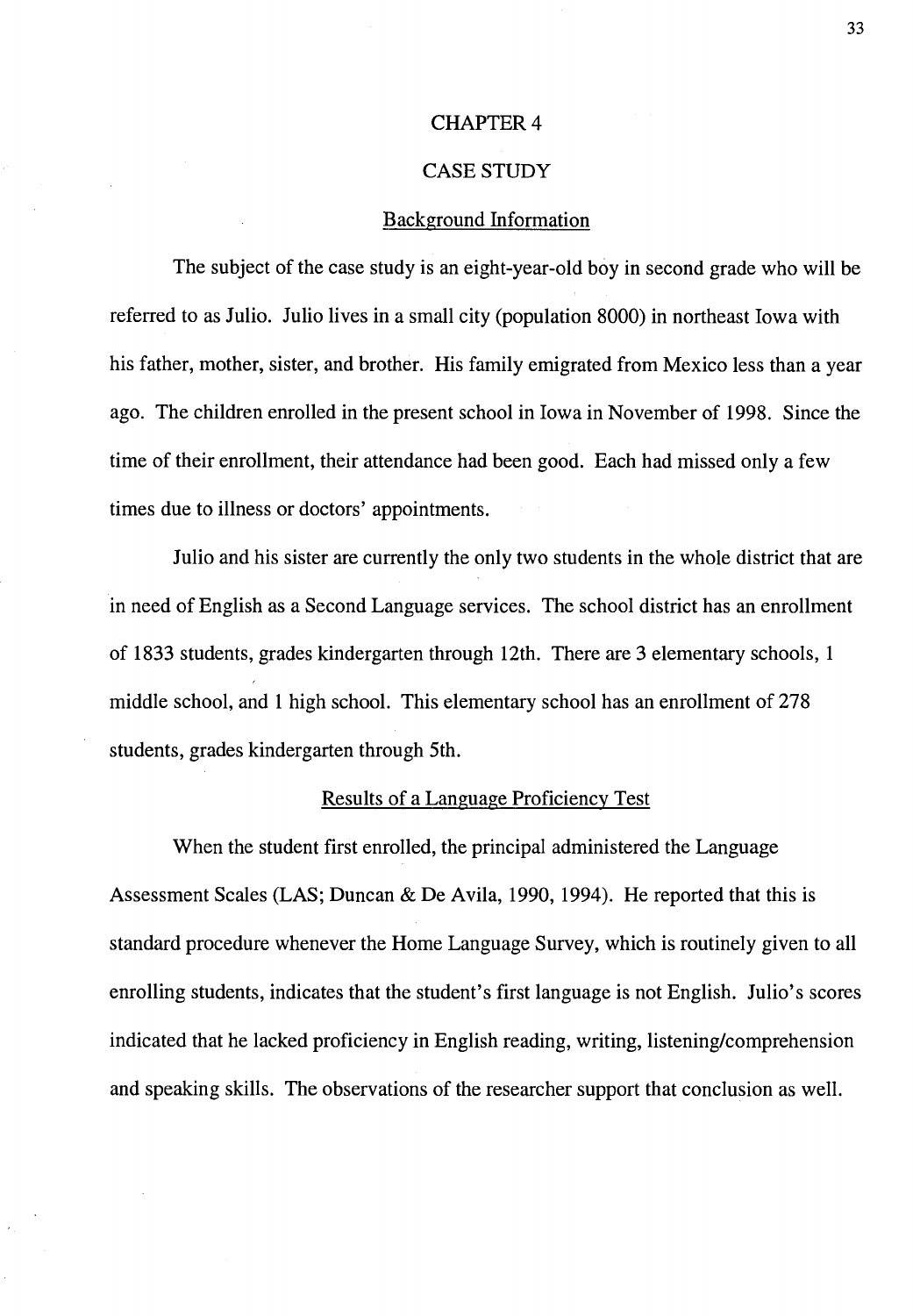## **CHAPTER 4**

## CASE STUDY

## Background Information

The subject of the case study is an eight-year-old boy in second grade who will be referred to as Julio. Julio lives in a small city (population 8000) in northeast Iowa with his father, mother, sister, and brother. His family emigrated from Mexico less than a year ago. The children enrolled in the present school in Iowa in November of 1998. Since the time of their enrollment, their attendance had been good. Each had missed only a few times due to illness or doctors' appointments.

Julio and his sister are currently the only two students in the whole district that are in need of English as a Second Language services. The school district has an enrollment of 1833 students, grades kindergarten through 12th. There are 3 elementary schools, 1 middle school, and 1 high school. This elementary school has an enrollment of 278 students, grades kindergarten through 5th.

# Results of a Language Proficiency Test

When the student first enrolled, the principal administered the Language Assessment Scales (LAS; Duncan & De Avila, 1990, 1994). He reported that this is standard procedure whenever the Home Language Survey, which is routinely given to all enrolling students, indicates that the student's first language is not English. Julio's scores indicated that he lacked proficiency in English reading, writing, listening/comprehension and speaking skills. The observations of the researcher support that conclusion as well.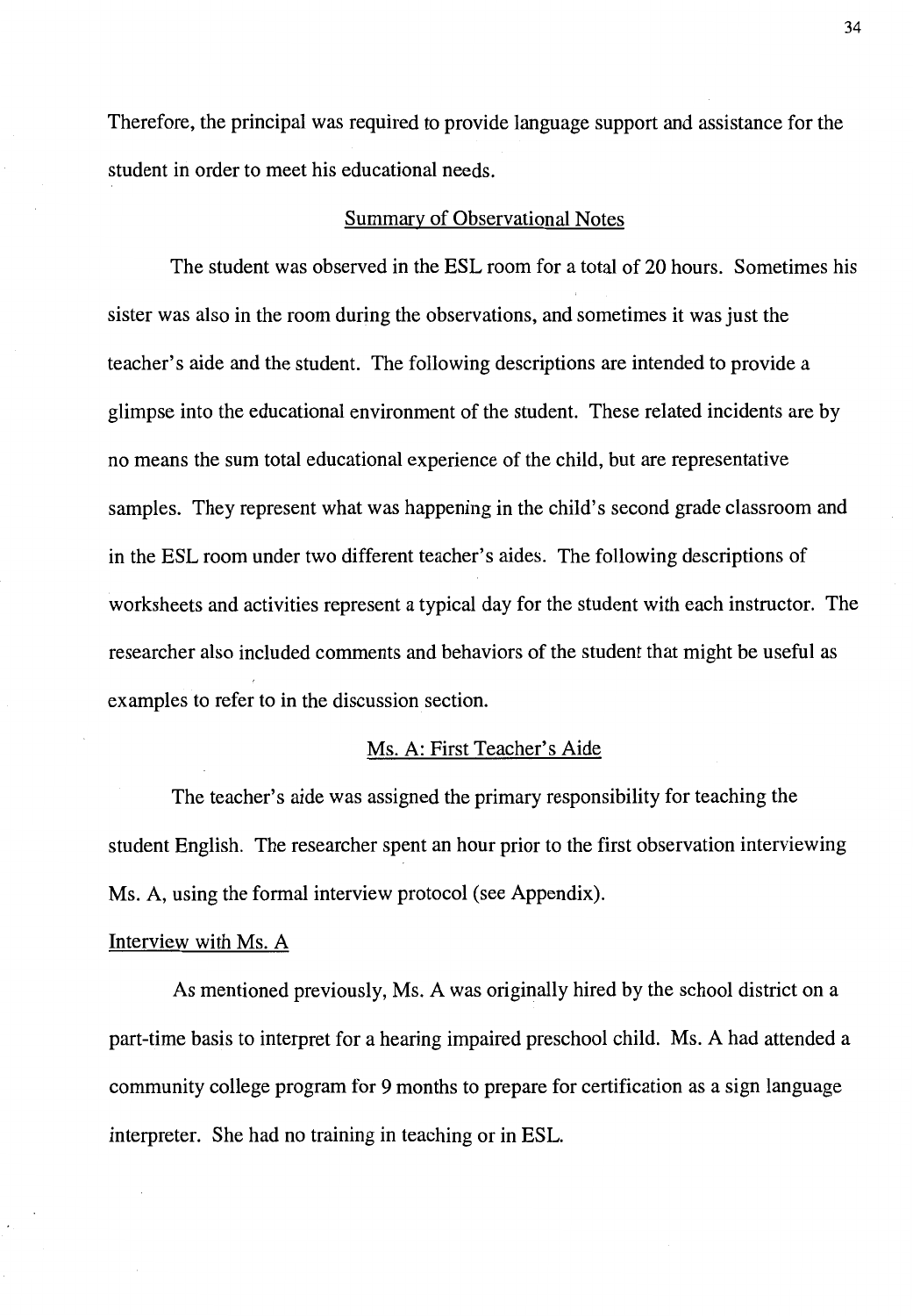Therefore, the principal was required to provide language support and assistance for the student in order to meet his educational needs.

# Summary of Observational Notes

The student was observed in the ESL room for a total of 20 hours. Sometimes his sister was also in the room during the observations, and sometimes it was just the teacher's aide and the student. The following descriptions are intended to provide a glimpse into the educational environment of the student. These related incidents are by no means the sum total educational experience of the child, but are representative samples. They represent what was happening in the child's second grade classroom and in the ESL room under two different teacher's aides. The following descriptions of worksheets and activities represent a typical day for the student with each instructor. The researcher also included comments and behaviors of the student that might be useful as examples to refer to in the discussion section.

# Ms. A: First Teacher's Aide

The teacher's aide was assigned the primary responsibility for teaching the student English. The researcher spent an hour prior to the first observation interviewing Ms. A, using the formal interview protocol (see Appendix).

## Interview with Ms. A

As mentioned previously, Ms. A was originally hired by the school district on a part-time basis to interpret for a hearing impaired preschool child. Ms. A had attended a community college program for 9 months to prepare for certification as a sign language interpreter. She had no training in teaching or in ESL.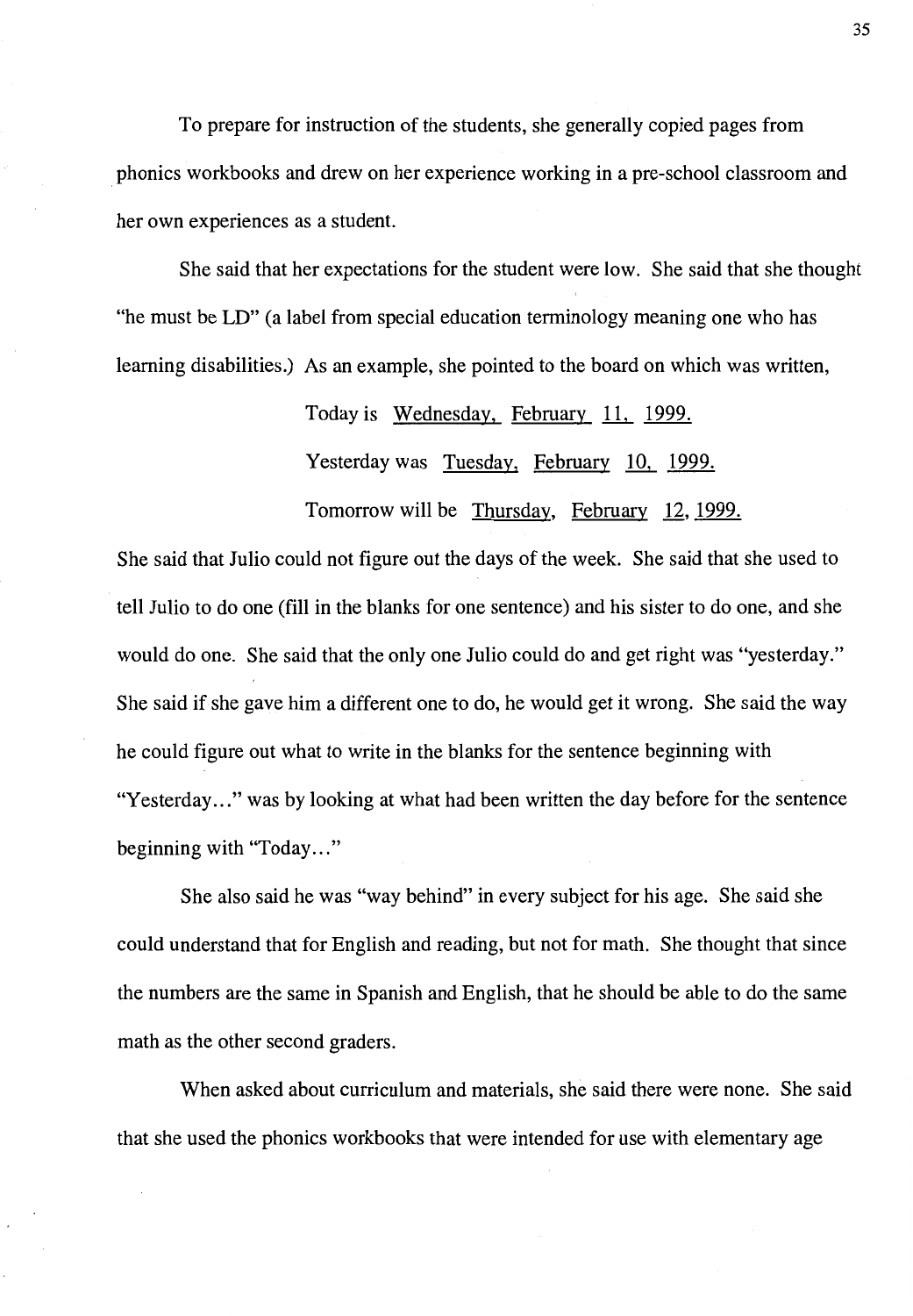To prepare for instruction of the students, she generally copied pages from phonics workbooks and drew on her experience working in a pre-school classroom and her own experiences as a student.

She said that her expectations for the student were low. She said that she thought "he must be LD" (a label from special education terminology meaning one who has learning disabilities.) As an example, she pointed to the board on which was written,

Today is Wednesday, February 11, 1999.

Yesterday was Tuesday, February 10, 1999.

Tomorrow will be Thursday, February 12, 1999.

She said that Julio could not figure out the days of the week. She said that she used to tell Julio to do one (fill in the blanks for one sentence) and his sister to do one, and she would do one. She said that the only one Julio could do and get right was "yesterday." She said if she gave him a different one to do, he would get it wrong. She said the way he could figure out what to write in the blanks for the sentence beginning with "Yesterday..." was by looking at what had been written the day before for the sentence beginning with "Today..."

She also said he was "way behind" in every subject for his age. She said she could understand that for English and reading, but not for math. She thought that since the numbers are the same in Spanish and English, that he should be able to do the same math as the other second graders.

When asked about curriculum and materials, she said there were none. She said that she used the phonics workbooks that were intended for use with elementary age

35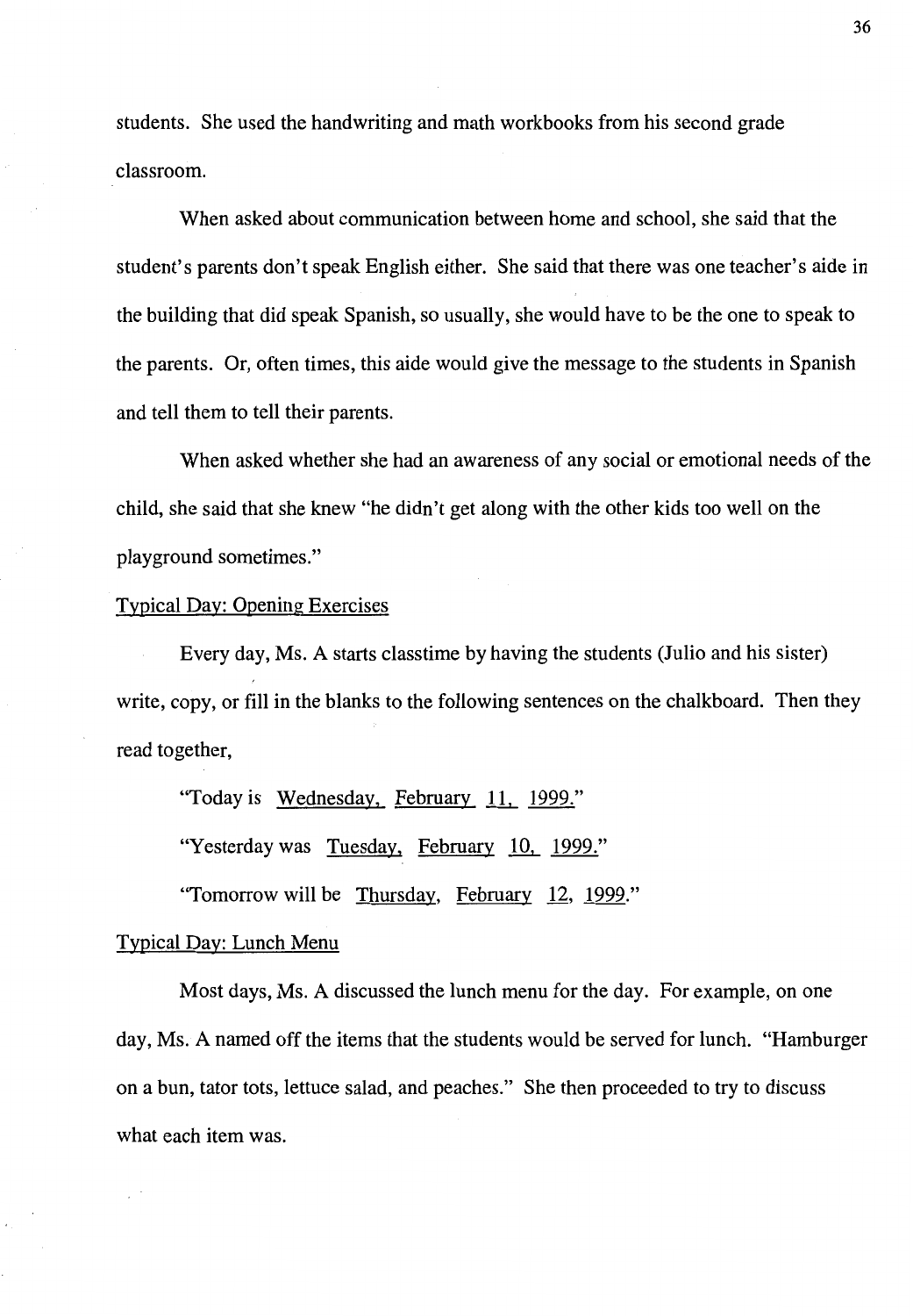students. She used the handwriting and math workbooks from his second grade classroom.

When asked about communication between home and school, she said that the student's parents don't speak English either. She said that there was one teacher's aide in the building that did speak Spanish, so usually, she would have to be the one to speak to the parents. Or, often times, this aide would give the message to the students in Spanish and tell them to tell their parents.

When asked whether she had an awareness of any social or emotional needs of the child, she said that she knew "he didn't get along with the other kids too well on the playground sometimes."

## Typical Day: Opening Exercises

Every day, Ms. A starts classtime by having the students (Julio and his sister) write, copy, or fill in the blanks to the following sentences on the chalkboard. Then they read together,

"Today is Wednesday, February 11,\_ 1999."

"Yesterday was Tuesday, February 10, 1999."

"Tomorrow will be Thursday. February 12, 1999."

## Typical Day: Lunch Menu

Most days, Ms. A discussed the lunch menu for the day. For example, on one day, Ms. A named off the items that the students would be served for lunch. "Hamburger on a bun, tator tots, lettuce salad, and peaches." She then proceeded to try to discuss what each item was.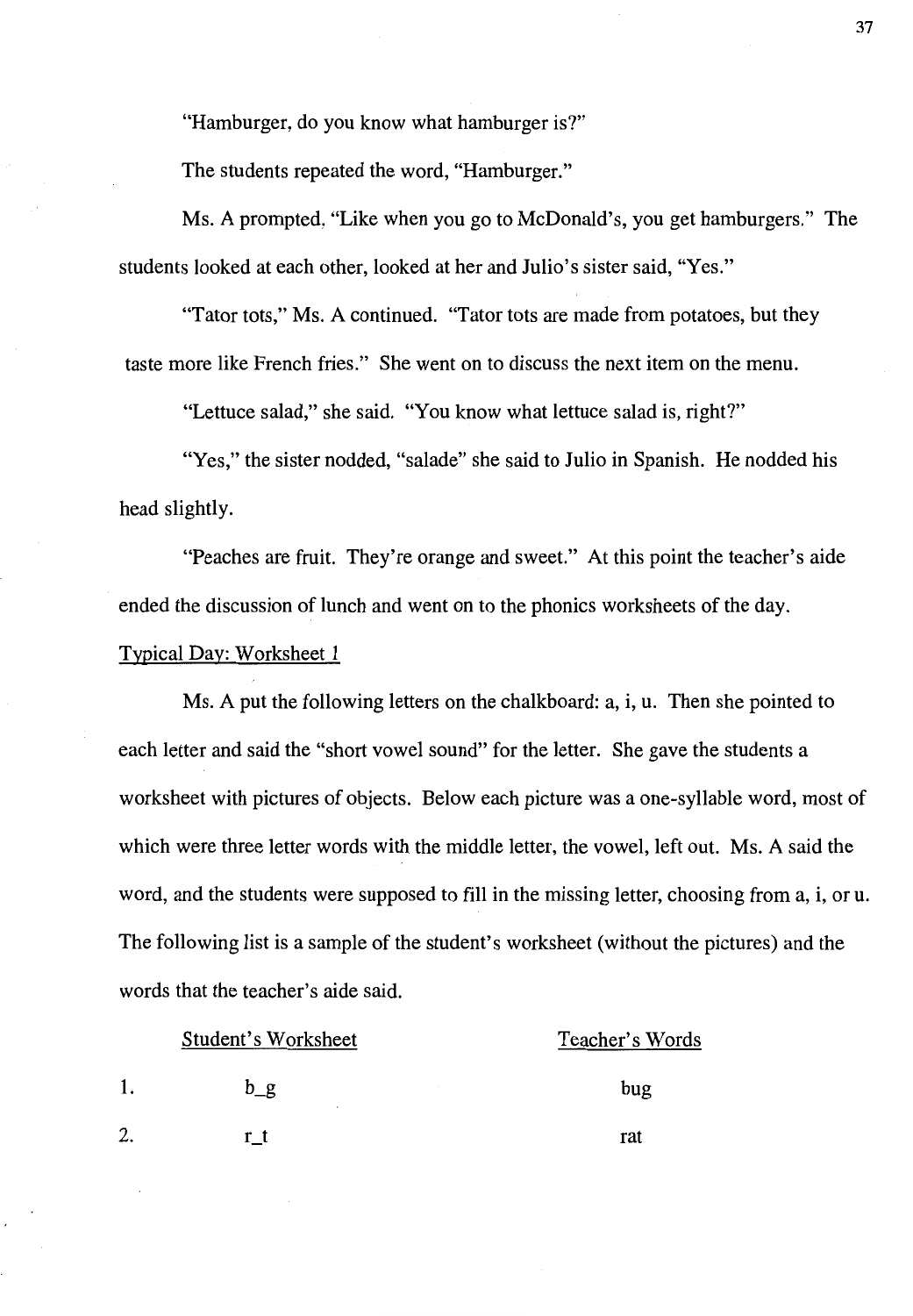"Hamburger, do you know what hamburger is?"

The students repeated the word, "Hamburger."

Ms. A prompted, "Like when you go to McDonald's, you get hamburgers." The students looked at each other, looked at her and Julio's sister said, "Yes."

"Tator tots," Ms. A continued. "Tator tots are made from potatoes, but they taste more like French fries." She went on to discuss the next item on the menu.

"Lettuce salad," she said. "You know what lettuce salad is, right?"

"Yes," the sister nodded, "salade" she said to Julio in Spanish. He nodded his head slightly.

"Peaches are fruit. They're orange and sweet." At this point the teacher's aide ended the discussion of lunch and went on to the phonics worksheets of the day.

Typical Day: Worksheet 1

Ms. A put the following letters on the chalkboard: a, i, u. Then she pointed to each letter and said the "short vowel sound" for the letter. She gave the students a worksheet with pictures of objects. Below each picture was a one-syllable word, most of which were three letter words with the middle letter, the vowel, left out. Ms. A said the word, and the students were supposed to fill in the missing letter, choosing from a, i, or u. The following list is a sample of the student's worksheet (without the pictures) and the words that the teacher's aide said.

| Student's Worksheet |       | Teacher's Words |
|---------------------|-------|-----------------|
|                     | $b_g$ | bug             |
| 2.                  |       | rat             |

37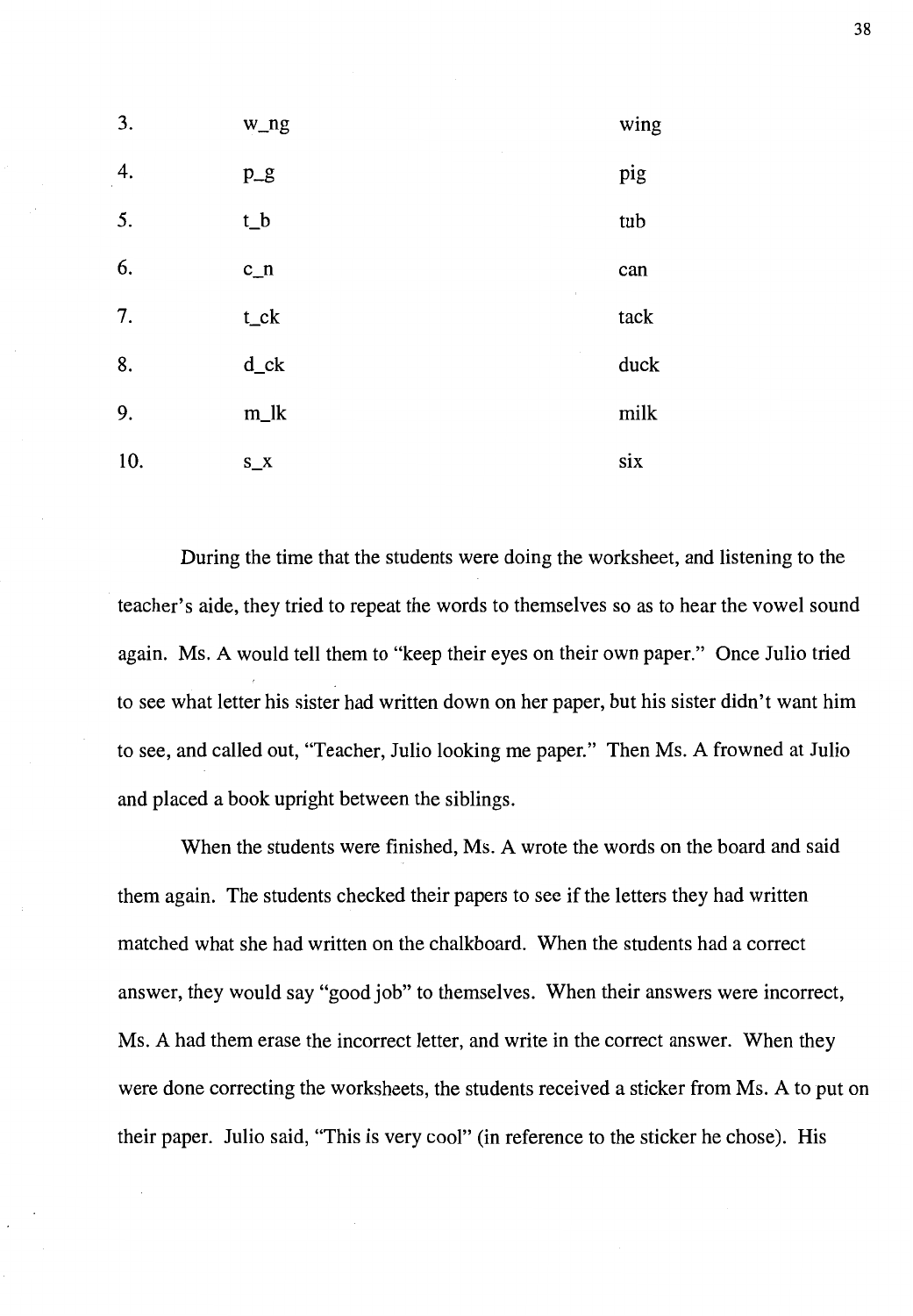| 3.  | w_ng                      | wing |
|-----|---------------------------|------|
| 4.  | $p\_g$                    | pig  |
| 5.  | t_b                       | tub  |
| 6.  | $c_n$<br>$\boldsymbol{z}$ | can  |
| 7.  | $t$ _ck                   | tack |
| 8.  | $d$ _ck                   | duck |
| 9.  | $m_l$                     | milk |
| 10. | $S_{X}$                   | six  |

During the time that the students were doing the worksheet, and listening to the teacher's aide, they tried to repeat the words to themselves so as to hear the vowel sound again. Ms. A would tell them to "keep their eyes on their own paper." Once Julio tried to see what letter his sister had written down on her paper, but his sister didn't want him to see, and called out, "Teacher, Julio looking me paper." Then Ms. A frowned at Julio and placed a book upright between the siblings.

When the students were finished, Ms. A wrote the words on the board and said them again. The students checked their papers to see if the letters they had written matched what she had written on the chalkboard. When the students had a correct answer, they would say "good job" to themselves. When their answers were incorrect, Ms. A had them erase the incorrect letter, and write in the correct answer. When they were done correcting the worksheets, the students received a sticker from Ms. A to put on their paper. Julio said, "This is very cool" (in reference to the sticker he chose). His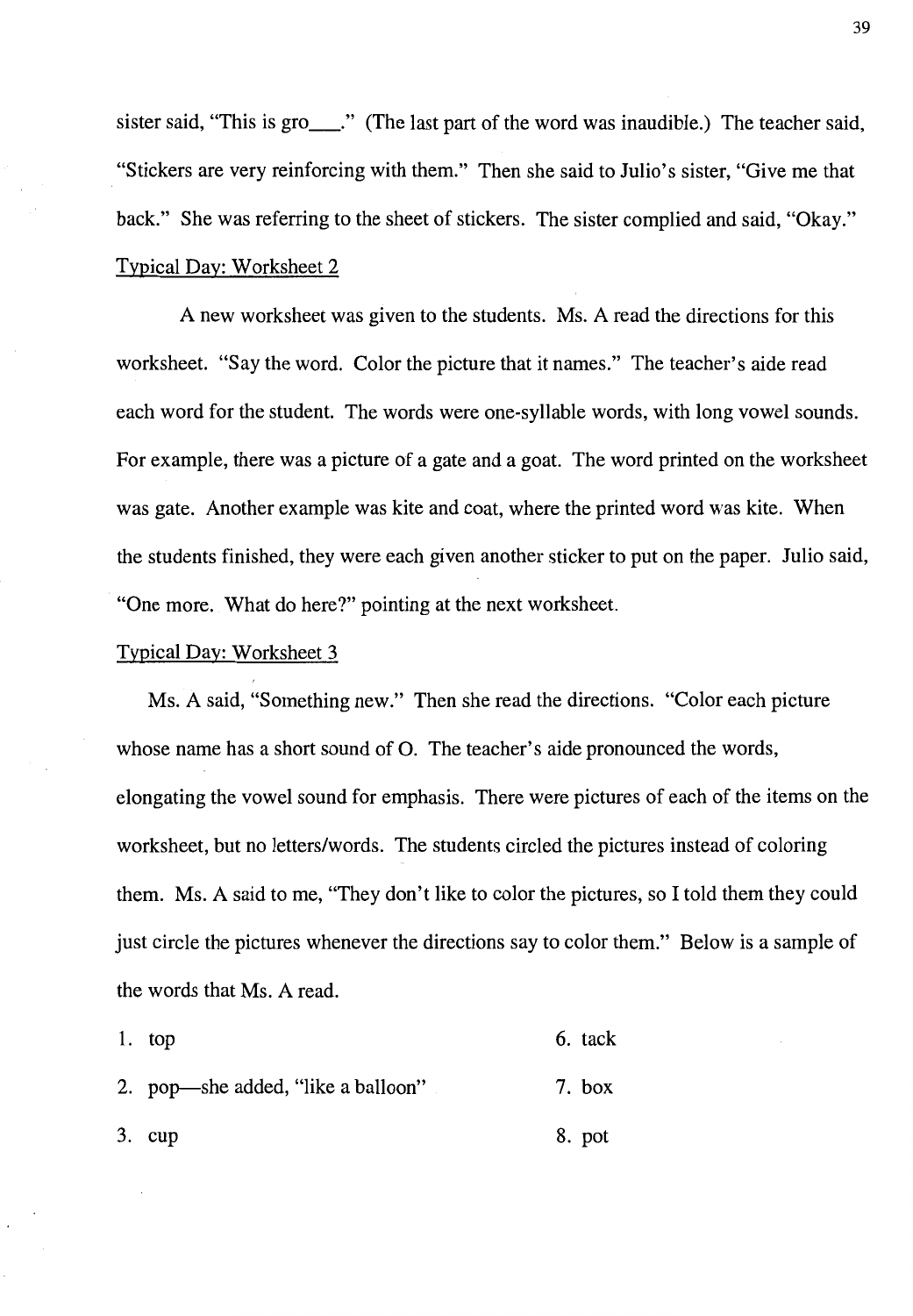sister said, "This is gro\_\_\_." (The last part of the word was inaudible.) The teacher said, "Stickers are very reinforcing with them." Then she said to Julio's sister, "Give me that back." She was referring to the sheet of stickers. The sister complied and said, "Okay." Typical Day: Worksheet 2

A new worksheet was given to the students. Ms. A read the directions for this worksheet. "Say the word. Color the picture that it names." The teacher's aide read each word for the student. The words were one-syllable words, with long vowel sounds. For example, there was a picture of a gate and a goat. The word printed on the worksheet was gate. Another example was kite and coat, where the printed word was kite. When the students finished, they were each given another sticker to put on the paper. Julio said, "One more. What do here?" pointing at the next worksheet.

## Typical Day: Worksheet 3

Ms. A said, "Something new." Then she read the directions. "Color each picture whose name has a short sound of 0. The teacher's aide pronounced the words, elongating the vowel sound for emphasis. There were pictures of each of the items on the worksheet, but no letters/words. The students circled the pictures instead of coloring them. Ms. A said to me, "They don't like to color the pictures, so I told them they could just circle the pictures whenever the directions say to color them." Below is a sample of the words that Ms. A read.

| 1. $top$                           | 6. tack |
|------------------------------------|---------|
| 2. pop—she added, "like a balloon" | 7. box  |
| $3.$ cup                           | 8. pot  |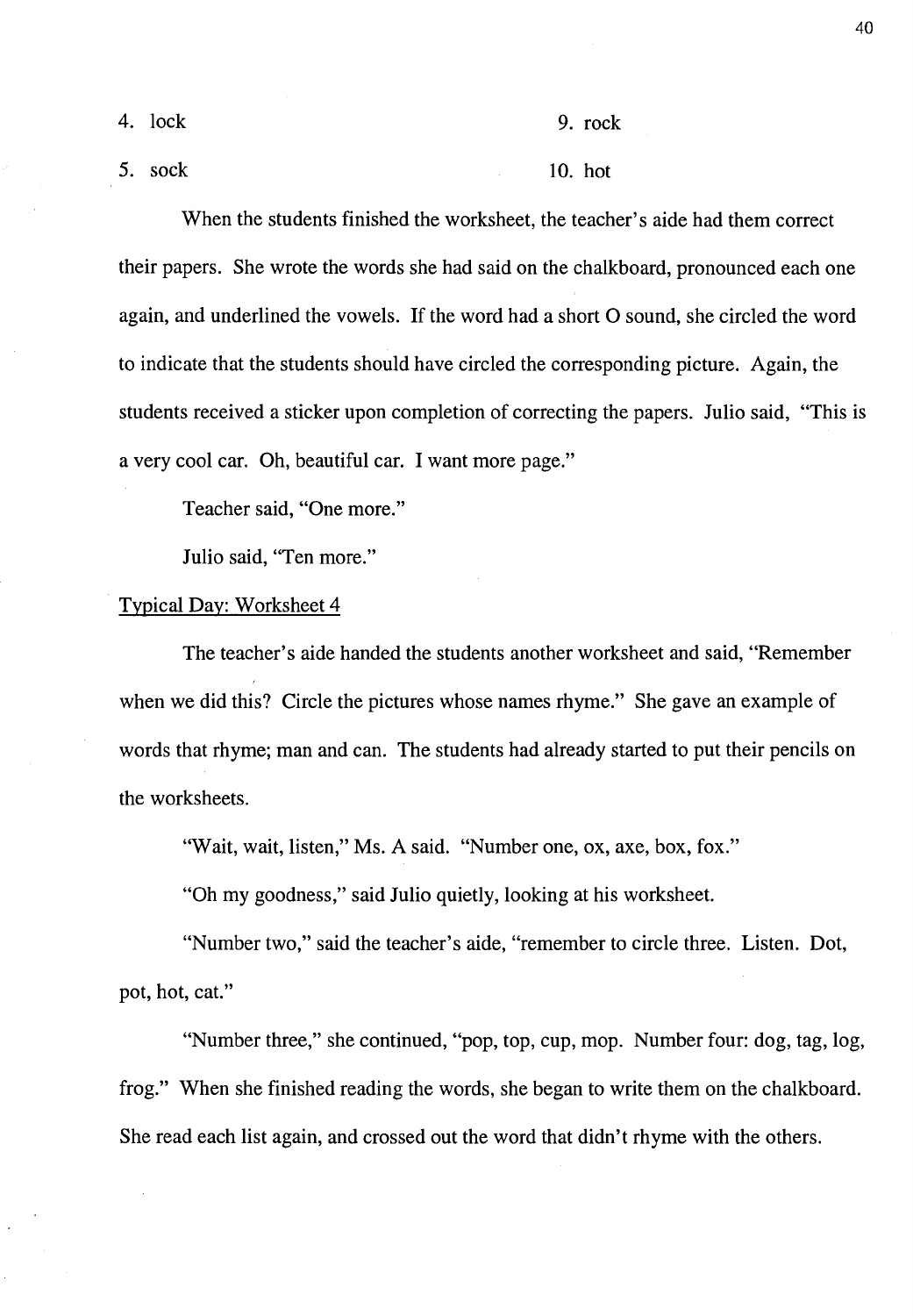4. lock 9. rock

5. sock 10. hot

When the students finished the worksheet, the teacher's aide had them correct their papers. She wrote the words she had said on the chalkboard, pronounced each one again, and underlined the vowels. If the word had a short O sound, she circled the word to indicate that the students should have circled the corresponding picture. Again, the students received a sticker upon completion of correcting the papers. Julio said, "This is a very cool car. Oh, beautiful car. I want more page."

Teacher said, "One more."

Julio said, "Ten more."

## Typical Day: Worksheet 4

The teacher's aide handed the students another worksheet and said, "Remember when we did this? Circle the pictures whose names rhyme." She gave an example of words that rhyme; man and can. The students had already started to put their pencils on the worksheets.

"Wait, wait, listen," Ms. A said. "Number one, ox, axe, box, fox."

"Oh my goodness," said Julio quietly, looking at his worksheet.

"Number two," said the teacher's aide, "remember to circle three. Listen. Dot, pot, hot, cat."

"Number three," she continued, "pop, top, cup, mop. Number four: dog, tag, log, frog." When she finished reading the words, she began to write them on the chalkboard. She read each list again, and crossed out the word that didn't rhyme with the others.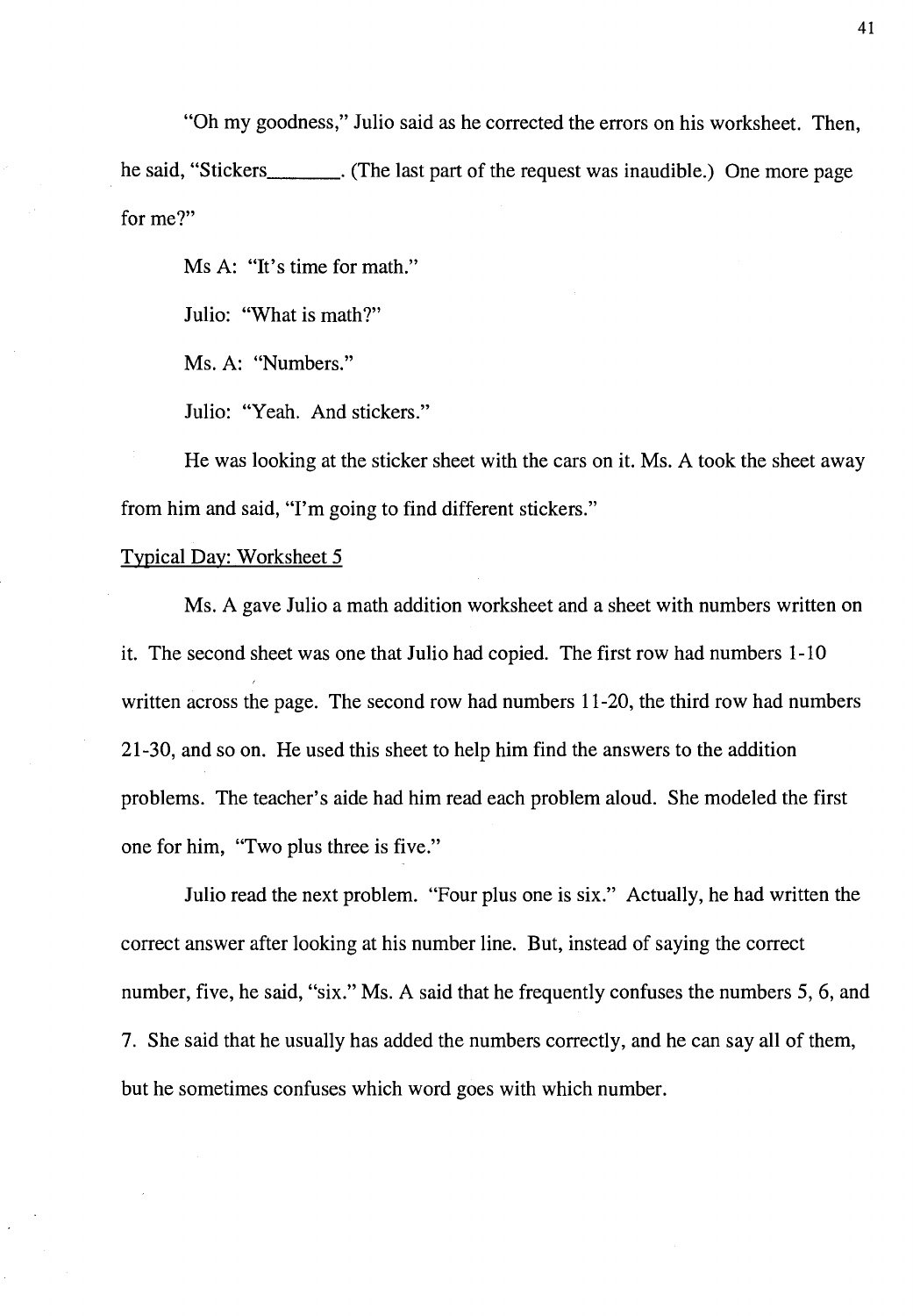"Oh my goodness," Julio said as he corrected the errors on his worksheet. Then, he said, "Stickers \_\_\_ . (The last part of the request was inaudible.) One more page for me?"

Ms A: "It's time for math."

Julio: "What is math?"

Ms. A: "Numbers."

Julio: "Yeah. And stickers."

He was looking at the sticker sheet with the cars on it. Ms. A took the sheet away from him and said, "I'm going to find different stickers."

# Typical Day: Worksheet 5

Ms. A gave Julio a math addition worksheet and a sheet with numbers written on it. The second sheet was one that Julio had copied. The first row had numbers 1-10 written across the page. The second row had numbers 11-20, the third row had numbers 21-30, and so on. He used this sheet to help him find the answers to the addition problems. The teacher's aide had him read each problem aloud. She modeled the first one for him, "Two plus three is five."

Julio read the next problem. "Four plus one is six." Actually, he had written the correct answer after looking at his number line. But, instead of saying the correct number, five, he said, "six." Ms. A said that he frequently confuses the numbers 5, 6, and 7. She said that he usually has added the numbers correctly, and he can say all of them, but he sometimes confuses which word goes with which number.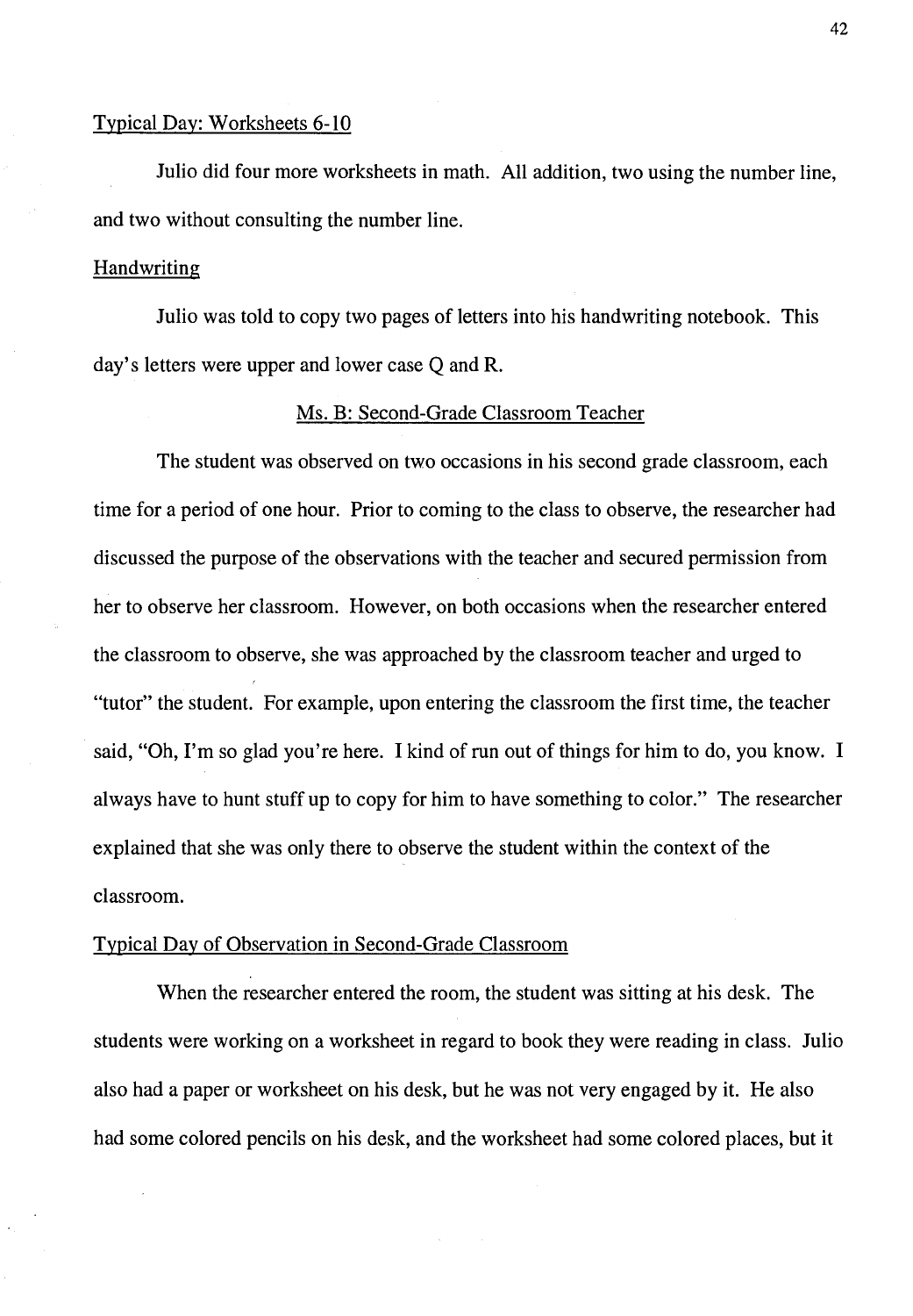# Typical Day: Worksheets 6-10

Julio did four more worksheets in math. All addition, two using the number line, and two without consulting the number line.

# **Handwriting**

Julio was told to copy two pages of letters into his handwriting notebook. This day's letters were upper and lower case Q and R.

## Ms. B: Second-Grade Classroom Teacher

The student was observed on two occasions in his second grade classroom, each time for a period of one hour. Prior to coming to the class to observe, the researcher had discussed the purpose of the observations with the teacher and secured permission from her to observe her classroom. However, on both occasions when the researcher entered the classroom to observe, she was approached by the classroom teacher and urged to "tutor" the student. For example, upon entering the classroom the first time, the teacher said, "Oh, I'm so glad you're here. I kind of run out of things for him to do, you know. I always have to hunt stuff up to copy for him to have something to color." The researcher explained that she was only there to observe the student within the context of the classroom.

## Typical Day of Observation in Second-Grade Classroom

When the researcher entered the room, the student was sitting at his desk. The students were working on a worksheet in regard to book they were reading in class. Julio also had a paper or worksheet on his desk, but he was not very engaged by it. He also had some colored pencils on his desk, and the worksheet had some colored places, but it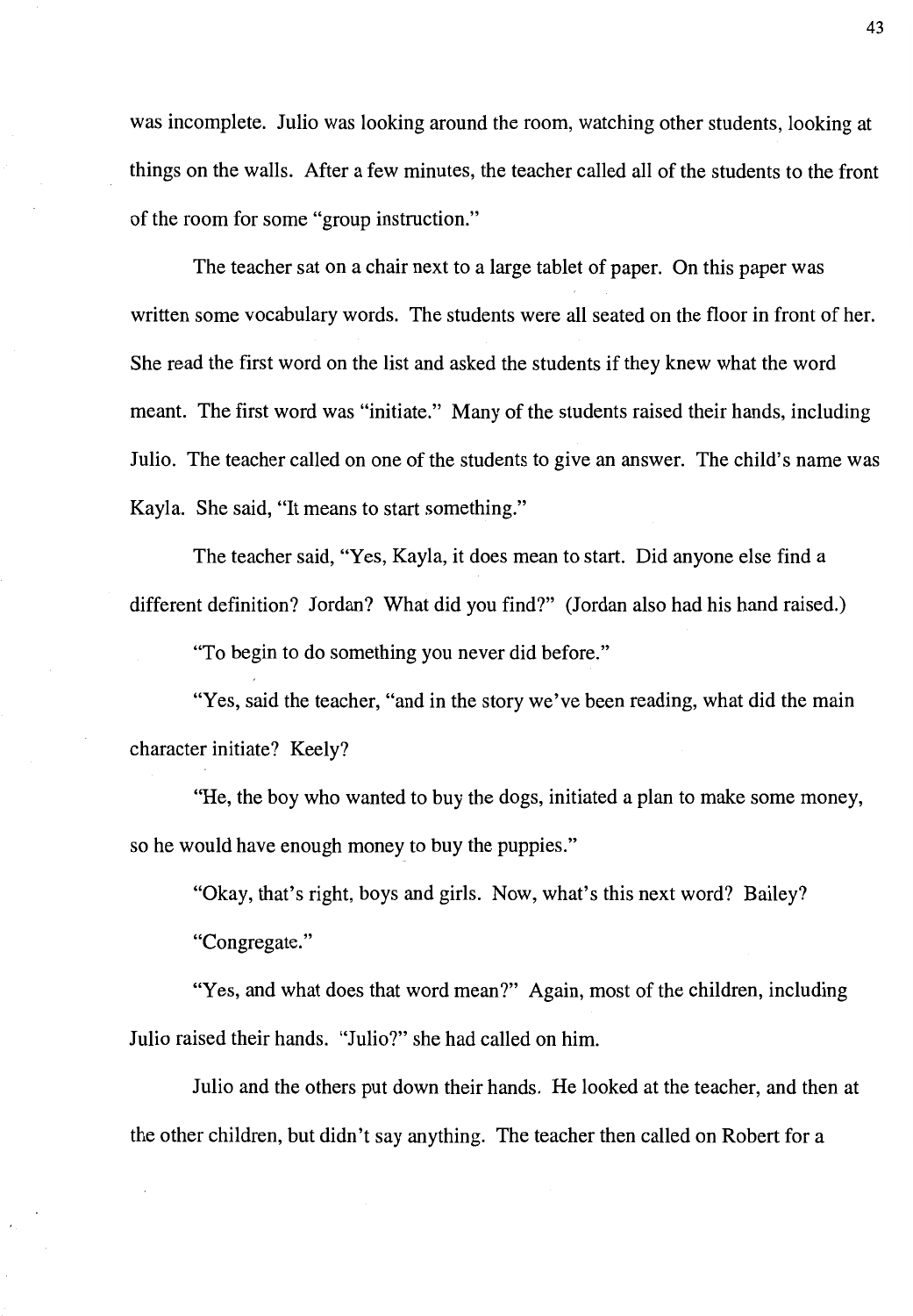was incomplete. Julio was looking around the room, watching other students, looking at things on the walls. After a few minutes, the teacher called all of the students to the front of the room for some "group instruction."

The teacher sat on a chair next to a large tablet of paper. On this paper was written some vocabulary words. The students were all seated on the floor in front of her. She read the first word on the list and asked the students if they knew what the word meant. The first word was "initiate." Many of the students raised their hands, including Julio. The teacher called on one of the students to give an answer. The child's name was Kayla. She said, "It means to start something."

The teacher said, "Yes, Kayla, it does mean to start. Did anyone else find a different definition? Jordan? What did you find?" (Jordan also had his hand raised.)

"To begin to do something you never did before."

"Yes, said the teacher, "and in the story we've been reading, what did the main character initiate? Keely?

"He, the boy who wanted to buy the dogs, initiated a plan to make some money, so he would have enough money to buy the puppies."

"Okay, that's right, boys and girls. Now, what's this next word? Bailey?

"Congregate."

"Yes, and what does that word mean?" Again, most of the children, including Julio raised their hands. "Julio?" she had called on him.

Julio and the others put down their hands. He looked at the teacher, and then at the other children, but didn't say anything. The teacher then called on Robert for a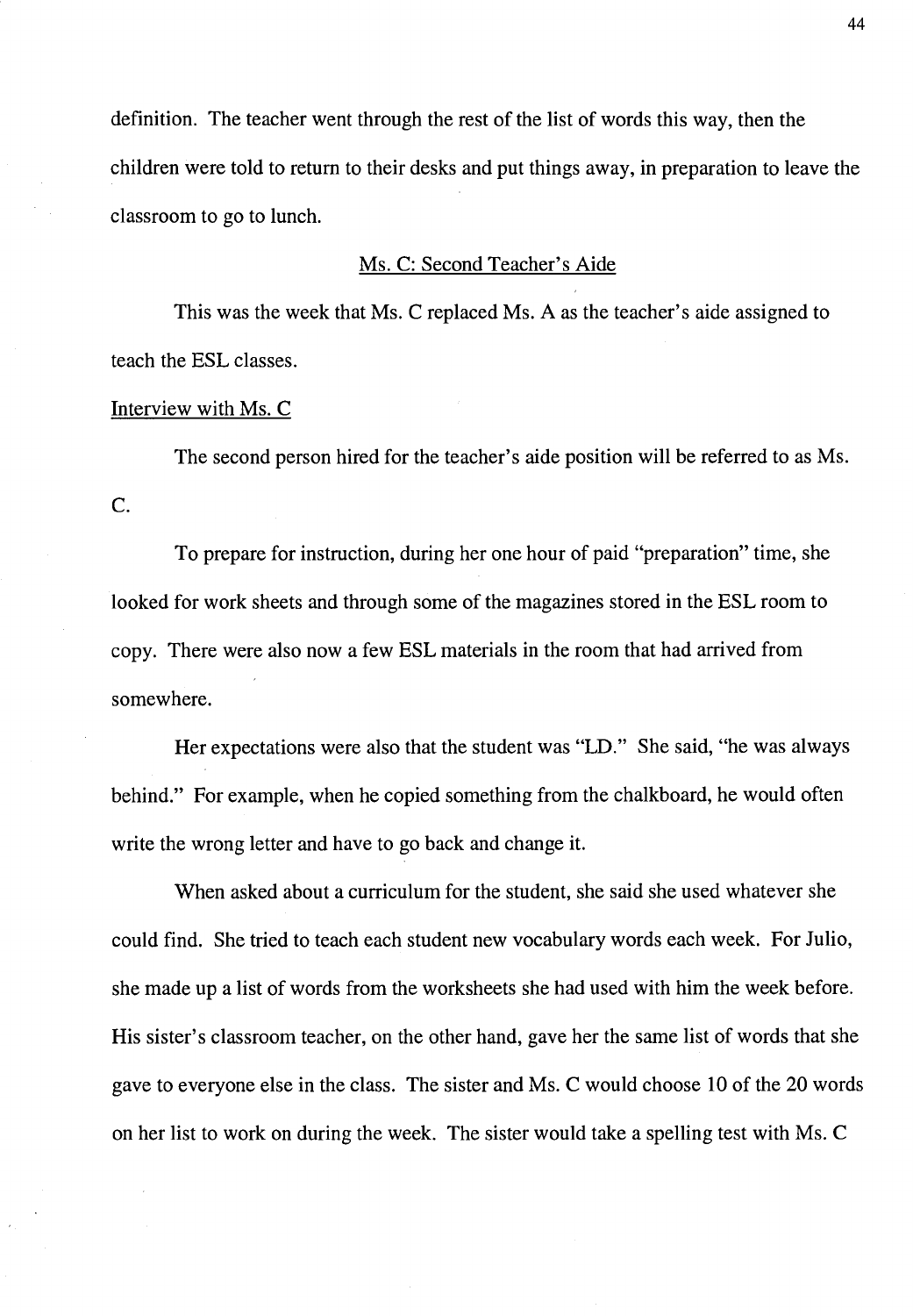definition. The teacher went through the rest of the list of words this way, then the children were told to return to their desks and put things away, in preparation to leave the classroom to go to lunch.

# Ms. C: Second Teacher's Aide

This was the week that Ms. C replaced Ms. A as the teacher's aide assigned to teach the ESL classes.

## Interview with Ms. C

The second person hired for the teacher's aide position will be referred to as Ms.  $C<sub>c</sub>$ 

To prepare for instruction, during her one hour of paid "preparation" time, she looked for work sheets and through some of the magazines stored in the ESL room to copy. There were also now a few ESL materials in the room that had arrived from somewhere.

Her expectations were also that the student was "LD." She said, "he was always behind." For example, when he copied something from the chalkboard, he would often write the wrong letter and have to go back and change it.

When asked about a curriculum for the student, she said she used whatever she could find. She tried to teach each student new vocabulary words each week. For Julio, she made up a list of words from the worksheets she had used with him the week before. His sister's classroom teacher, on the other hand, gave her the same list of words that she gave to everyone else in the class. The sister and Ms. C would choose 10 of the 20 words on her list to work on during the week. The sister would take a spelling test with Ms. C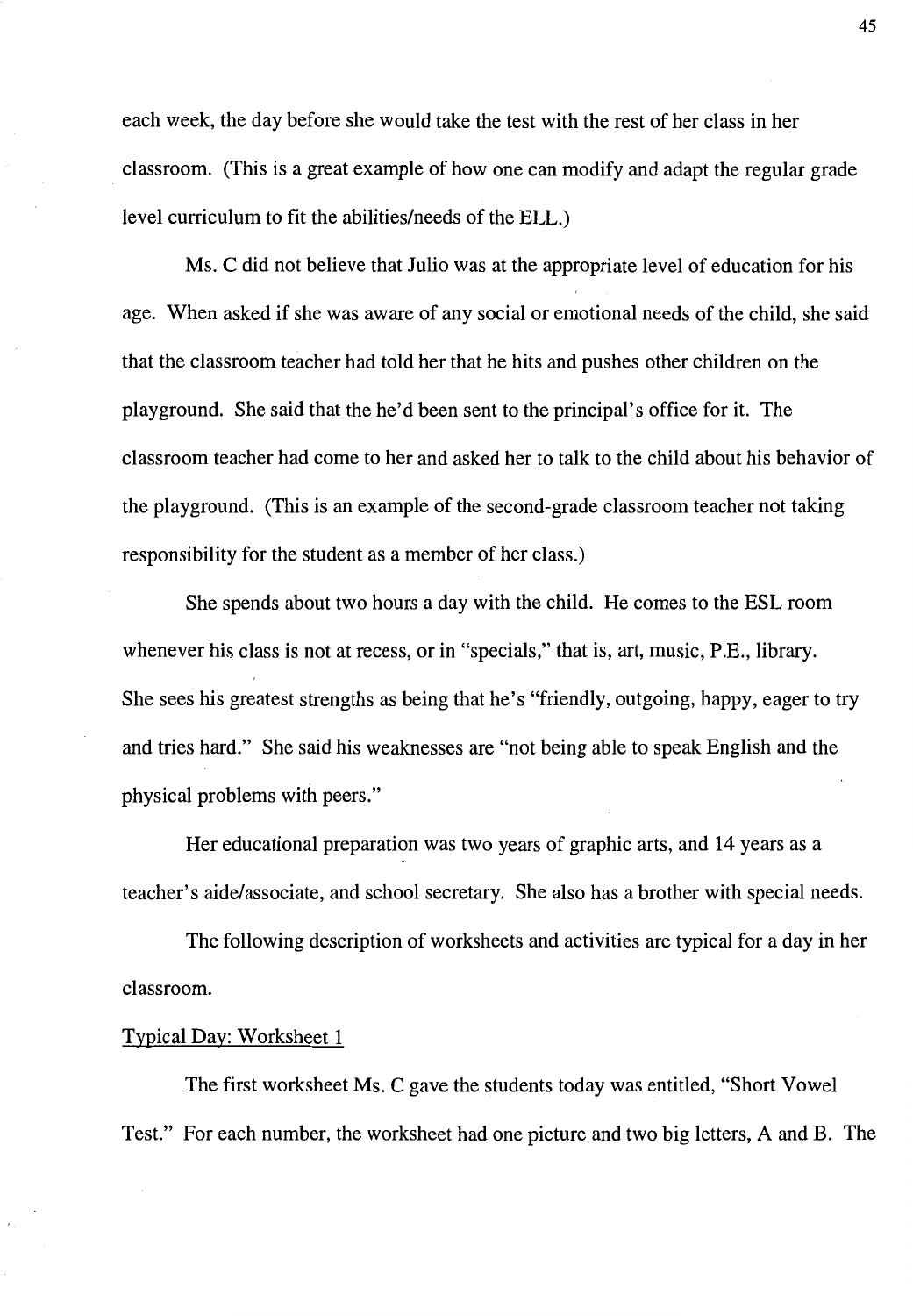each week, the day before she would take the test with the rest of her class in her classroom. (This is a great example of how one can modify and adapt the regular grade level curriculum to fit the abilities/needs of the ELL.)

Ms. C did not believe that Julio was at the appropriate level of education for his age. When asked if she was aware of any social or emotional needs of the child, she said that the classroom teacher had told her that he hits and pushes other children on the playground. She said that the he'd been sent to the principal's office for it. The classroom teacher had come to her and asked her to talk to the child about his behavior of the playground. (This is an example of the second-grade classroom teacher not taking responsibility for the student as a member of her class.)

She spends about two hours a day with the child. He comes to the ESL room whenever his class is not at recess, or in "specials," that is, art, music, P.E., library. She sees his greatest strengths as being that he's "friendly, outgoing, happy, eager to try and tries hard." She said his weaknesses are "not being able to speak English and the physical problems with peers."

Her educational preparation was two years of graphic arts, and 14 years as a teacher's aide/associate, and school secretary. She also has a brother with special needs.

The following description of worksheets and activities are typical for a day in her classroom.

## Typical Day: Worksheet 1

The first worksheet Ms. C gave the students today was entitled, "Short Vowel Test." For each number, the worksheet had one picture and two big letters, A and B. The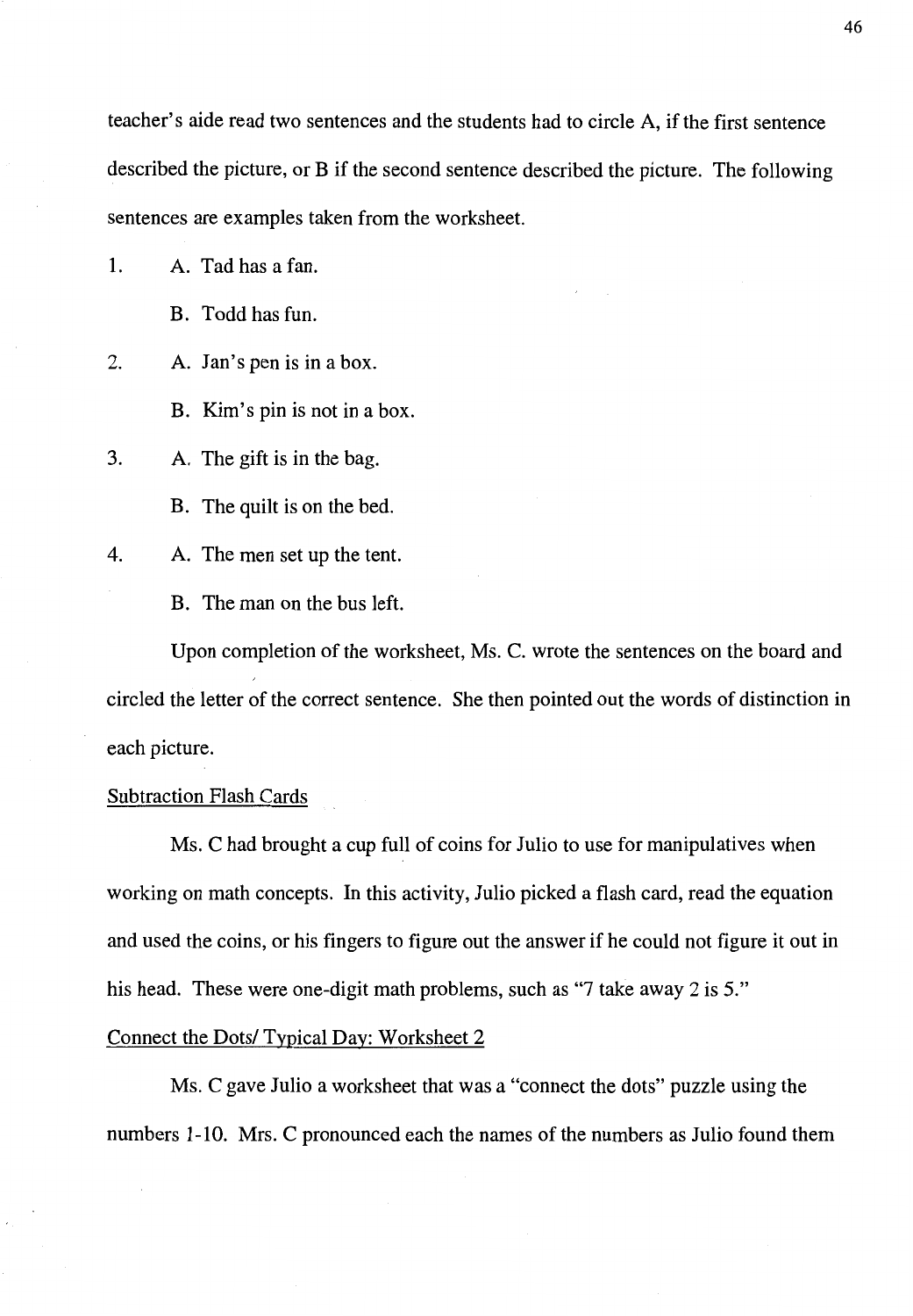teacher's aide read two sentences and the students had to circle A, if the first sentence described the picture, or B if the second sentence described the picture. The following sentences are examples taken from the worksheet.

1. A. Tad has a fan.

B. Todd has fun.

2. A. Jan's pen is in a box.

B. Kim's pin is not in a box.

3. A. The gift is in the bag.

B. The quilt is on the bed.

4. A. The men set up the tent.

B. The man on the bus left.

Upon completion of the worksheet, Ms. C. wrote the sentences on the board and circled the letter of the correct sentence. She then pointed out the words of distinction in each picture.

# Subtraction Flash Cards

Ms. C had brought a cup full of coins for Julio to use for manipulatives when working on math concepts. In this activity, Julio picked a flash card, read the equation and used the coins, or his fingers to figure out the answer if he could not figure it out in his head. These were one-digit math problems, such as "7 take away 2 is 5."

## Connect the Dots/ Typical Day: Worksheet 2

Ms. C gave Julio a worksheet that was a "connect the dots" puzzle using the numbers 1-10. Mrs. C pronounced each the names of the numbers as Julio found them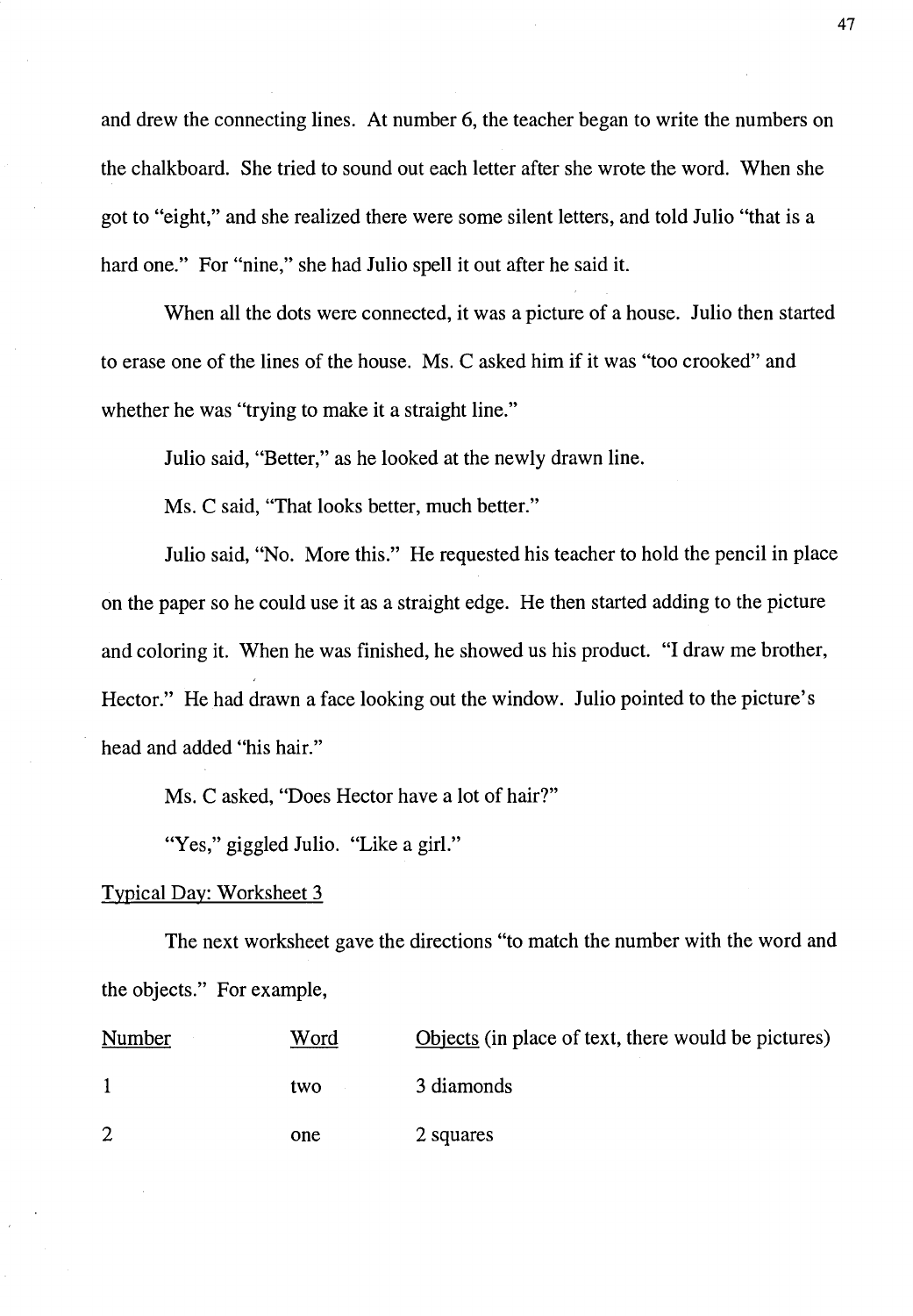and drew the connecting lines. At number 6, the teacher began to write the numbers on the chalkboard. She tried to sound out each letter after she wrote the word. When she got to "eight," and she realized there were some silent letters, and told Julio "that is a hard one." For "nine," she had Julio spell it out after he said it.

When all the dots were connected, it was a picture of a house. Julio then started to erase one of the lines of the house. Ms. C asked him if it was "too crooked" and whether he was "trying to make it a straight line."

Julio said, "Better," as he looked at the newly drawn line.

Ms. C said, "That looks better, much better."

Julio said, "No. More this." He requested his teacher to hold the pencil in place on the paper so he could use it as a straight edge. He then started adding to the picture and coloring it. When he was finished, he showed us his product. "I draw me brother, Hector." He had drawn a face looking out the window. Julio pointed to the picture's head and added "his hair."

Ms. C asked, "Does Hector have a lot of hair?"

"Yes," giggled Julio. "Like a girl."

## Typical Day: Worksheet 3

The next worksheet gave the directions "to match the number with the word and the objects." For example,

| Number | Word | Objects (in place of text, there would be pictures) |
|--------|------|-----------------------------------------------------|
|        | two  | 3 diamonds                                          |
| 2      | one  | 2 squares                                           |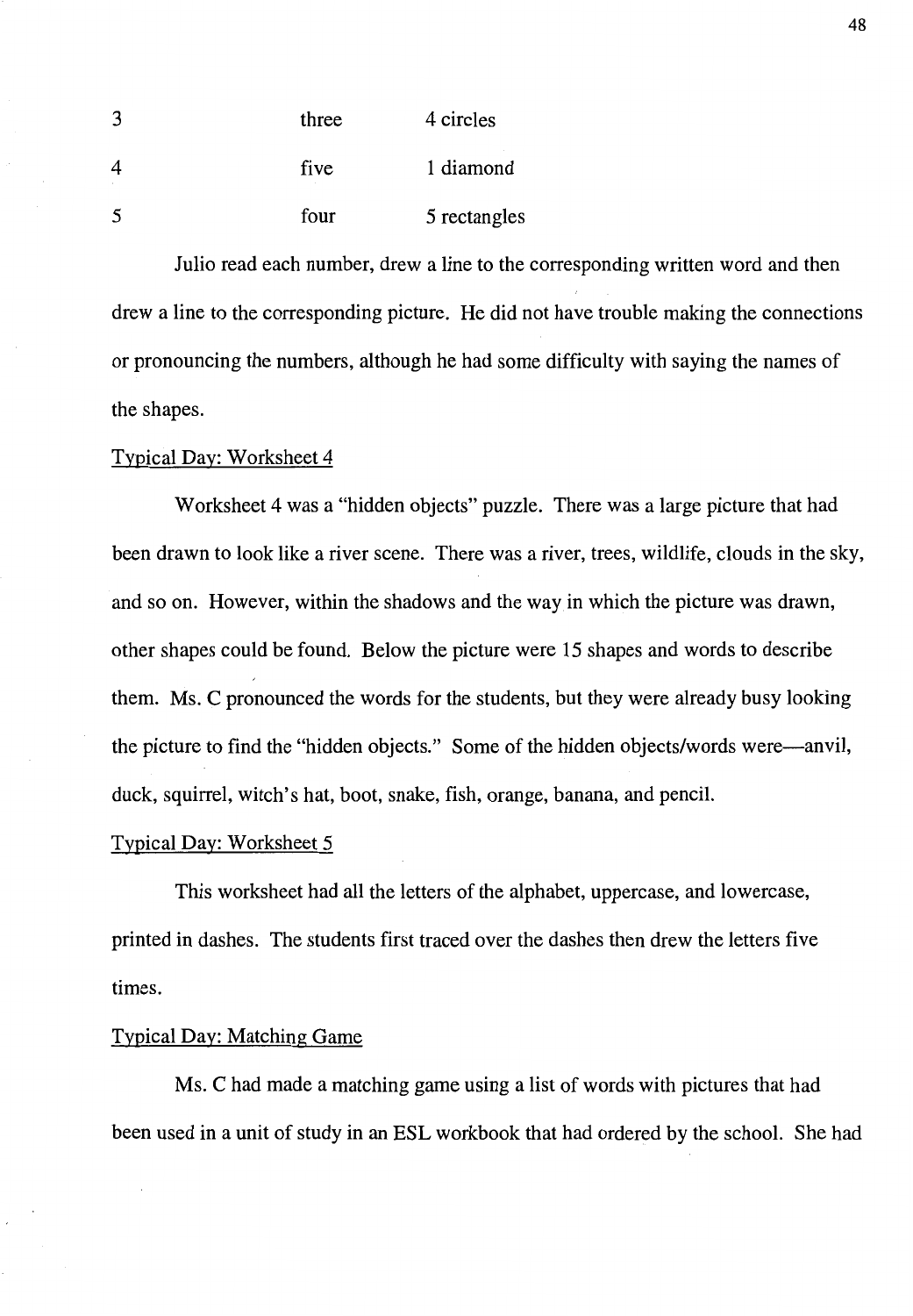| 3 | three | 4 circles    |
|---|-------|--------------|
| 4 | five  | 1 diamond    |
| 5 | four  | 5 rectangles |

Julio read each number, drew a line to the corresponding written word and then drew a line to the corresponding picture. He did not have trouble making the connections or pronouncing the numbers, although he had some difficulty with saying the names of the shapes.

# Typical Day: Worksheet 4

Worksheet 4 was a "hidden objects" puzzle. There was a large picture that had been drawn to look like a river scene. There was a river, trees, wildlife, clouds in the sky, and so on. However, within the shadows and the way in which the picture was drawn, other shapes could be found. Below the picture were 15 shapes and words to describe them. Ms. C pronounced the words for the students, but they were already busy looking the picture to find the "hidden objects." Some of the hidden objects/words were-anvil, duck, squirrel, witch's hat, boot, snake, fish, orange, banana, and pencil.

#### Typical Day: Worksheet 5

This worksheet had all the letters of the alphabet, uppercase, and lowercase, printed in dashes. The students first traced over the dashes then drew the letters five times.

# Typical Day: Matching Game

Ms. C had made a matching game using a list of words with pictures that had been used in a unit of study in an ESL workbook that had ordered by the school. She had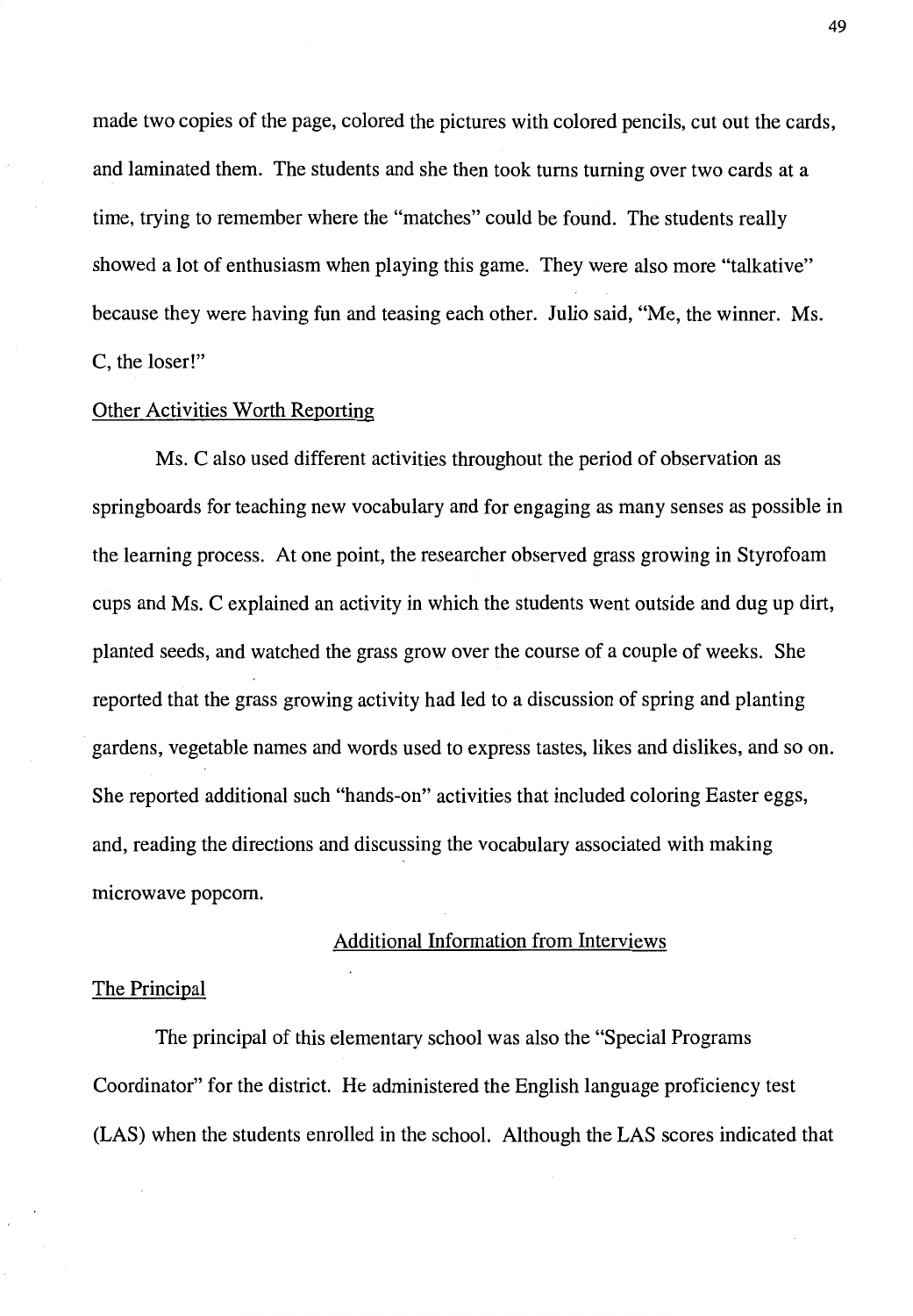made two copies of the page, colored the pictures with colored pencils, cut out the cards, and laminated them. The students and she then took turns turning over two cards at a time, trying to remember where the "matches" could be found. The students really showed a lot of enthusiasm when playing this game. They were also more "talkative" because they were having fun and teasing each other. Julio said, "Me, the winner. Ms. C, the loser!"

## Other Activities Worth Reporting

Ms. C also used different activities throughout the period of observation as springboards for teaching new vocabulary and for engaging as many senses as possible in the learning process. At one point, the researcher observed grass growing in Styrofoam cups and Ms. C explained an activity in which the students went outside and dug up dirt, planted seeds, and watched the grass grow over the course of a couple of weeks. She reported that the grass growing activity had led to a discussion of spring and planting gardens, vegetable names and words used to express tastes, likes and dislikes, and so on. She reported additional such "hands-on" activities that included coloring Easter eggs, and, reading the directions and discussing the vocabulary associated with making microwave popcorn.

# Additional Information from Interviews

# The Principal

The principal of this elementary school was also the "Special Programs Coordinator" for the district. He administered the English language proficiency test (LAS) when the students enrolled in the school. Although the LAS scores indicated that

49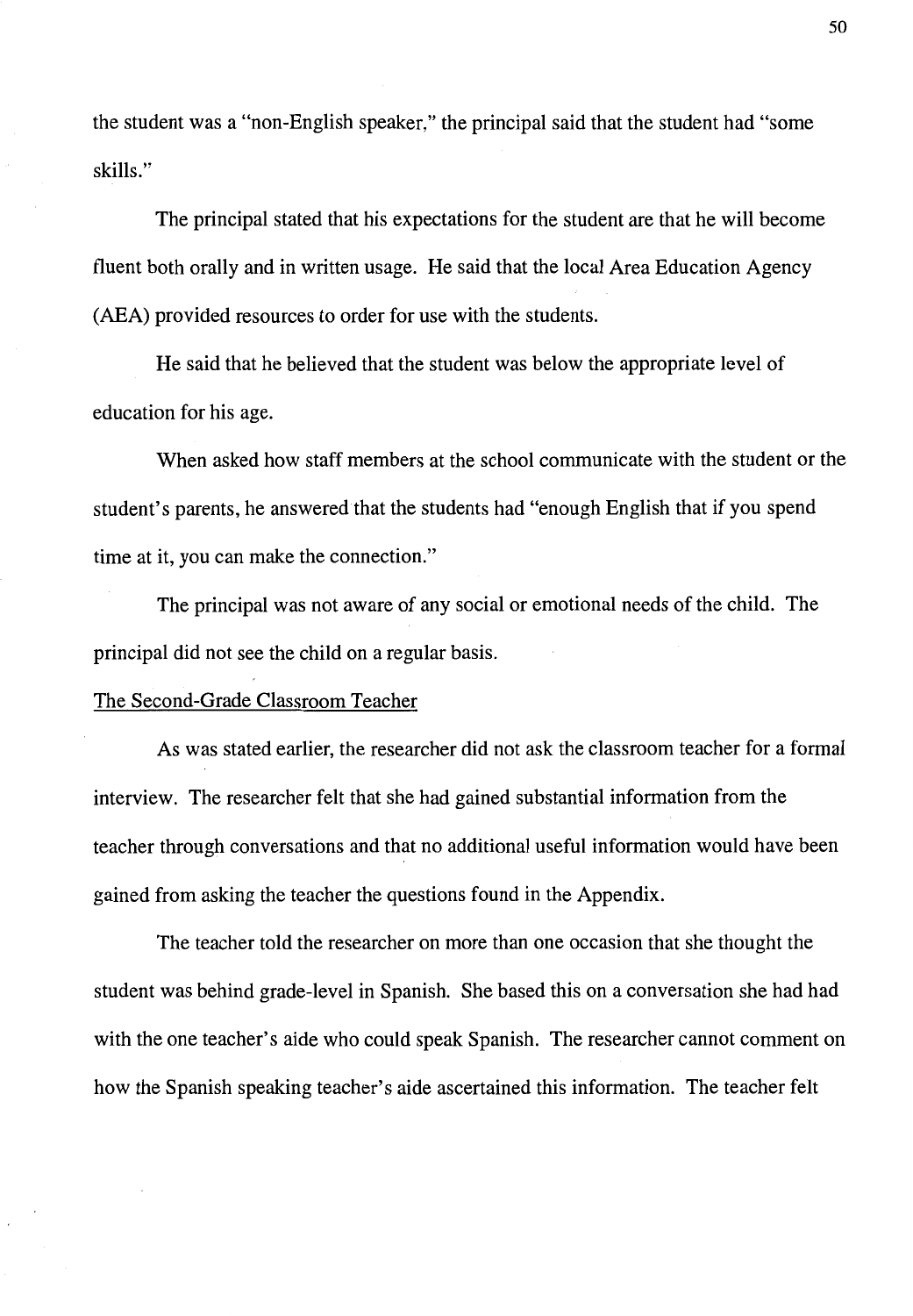the student was a "non-English speaker," the principal said that the student had "some skills."

The principal stated that his expectations for the student are that he will become fluent both orally and in written usage. He said that the local Area Education Agency (AEA) provided resources to order for use with the students.

He said that he believed that the student was below the appropriate level of education for his age.

When asked how staff members at the school communicate with the student or the student's parents, he answered that the students had "enough English that if you spend time at it, you can make the connection."

The principal was not aware of any social or emotional needs of the child. The principal did not see the child on a regular basis.

## The Second-Grade Classroom Teacher

As was stated earlier, the researcher did not ask the classroom teacher for a formal interview. The researcher felt that she had gained substantial information from the teacher through conversations and that no additional useful information would have been gained from asking the teacher the questions found in the Appendix.

The teacher told the researcher on more than one occasion that she thought the student was behind grade-level in Spanish. She based this on a conversation she had had with the one teacher's aide who could speak Spanish. The researcher cannot comment on how the Spanish speaking teacher's aide ascertained this information. The teacher felt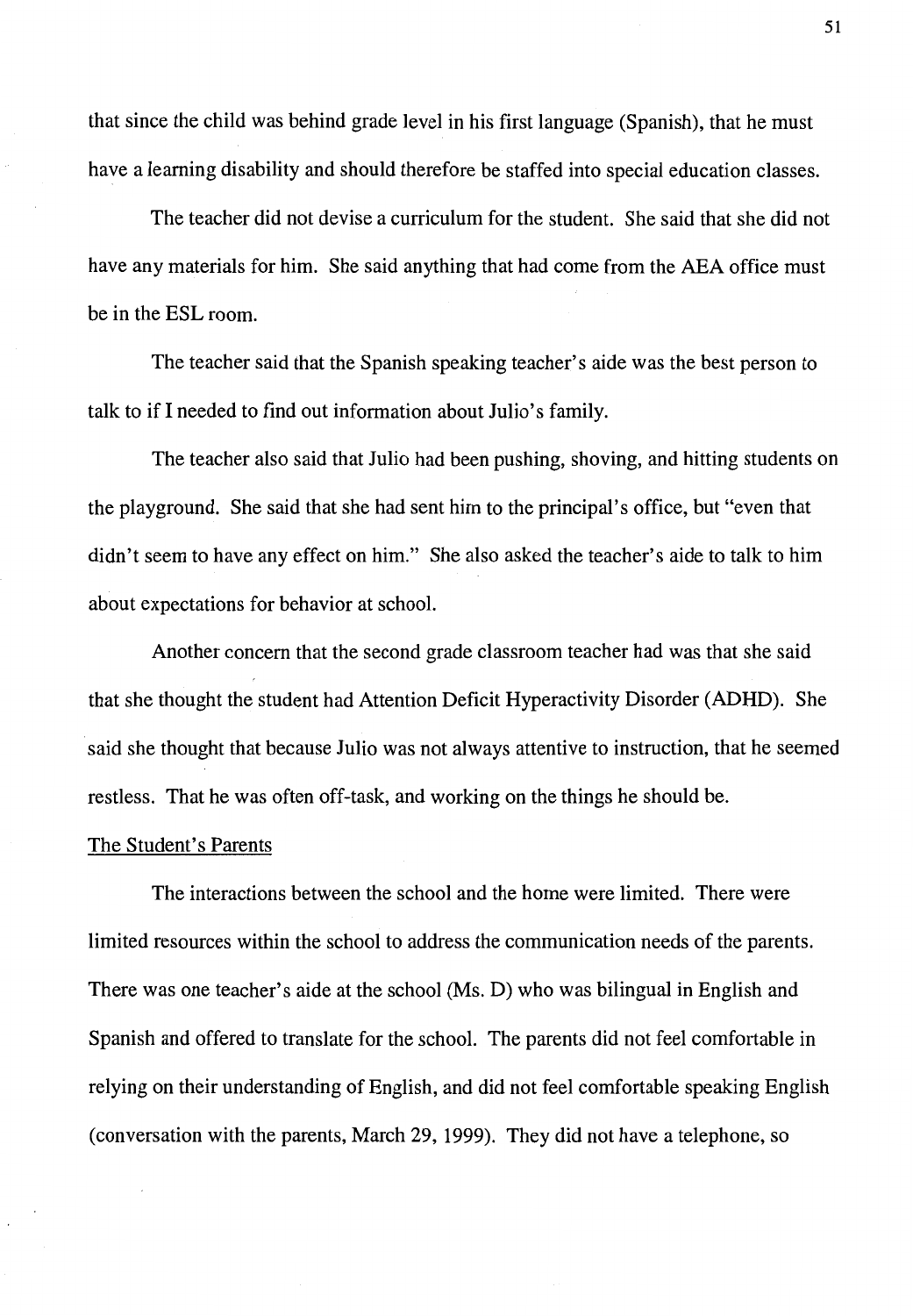that since the child was behind grade level in his first language (Spanish), that he must have a learning disability and should therefore be staffed into special education classes.

The teacher did not devise a curriculum for the student. She said that she did not have any materials for him. She said anything that had come from the AEA office must be in the ESL room.

The teacher said that the Spanish speaking teacher's aide was the best person to talk to if I needed to find out information about Julio's family.

The teacher also said that Julio had been pushing, shoving, and hitting students on the playground. She said that she had sent him to the principal's office, but "even that didn't seem to have any effect on him." She also asked the teacher's aide to talk to him about expectations for behavior at school.

Another concern that the second grade classroom teacher had was that she said that she thought the student had Attention Deficit Hyperactivity Disorder (ADHD). She said she thought that because Julio was not always attentive to instruction, that he seemed restless. That he was often off-task, and working on the things he should be.

#### The Student's Parents

The interactions between the school and the home were limited. There were limited resources within the school to address the communication needs of the parents. There was one teacher's aide at the school (Ms. D) who was bilingual in English and Spanish and offered to translate for the school. The parents did not feel comfortable in relying on their understanding of English, and did not feel comfortable speaking English (conversation with the parents, March 29, 1999). They did not have a telephone, so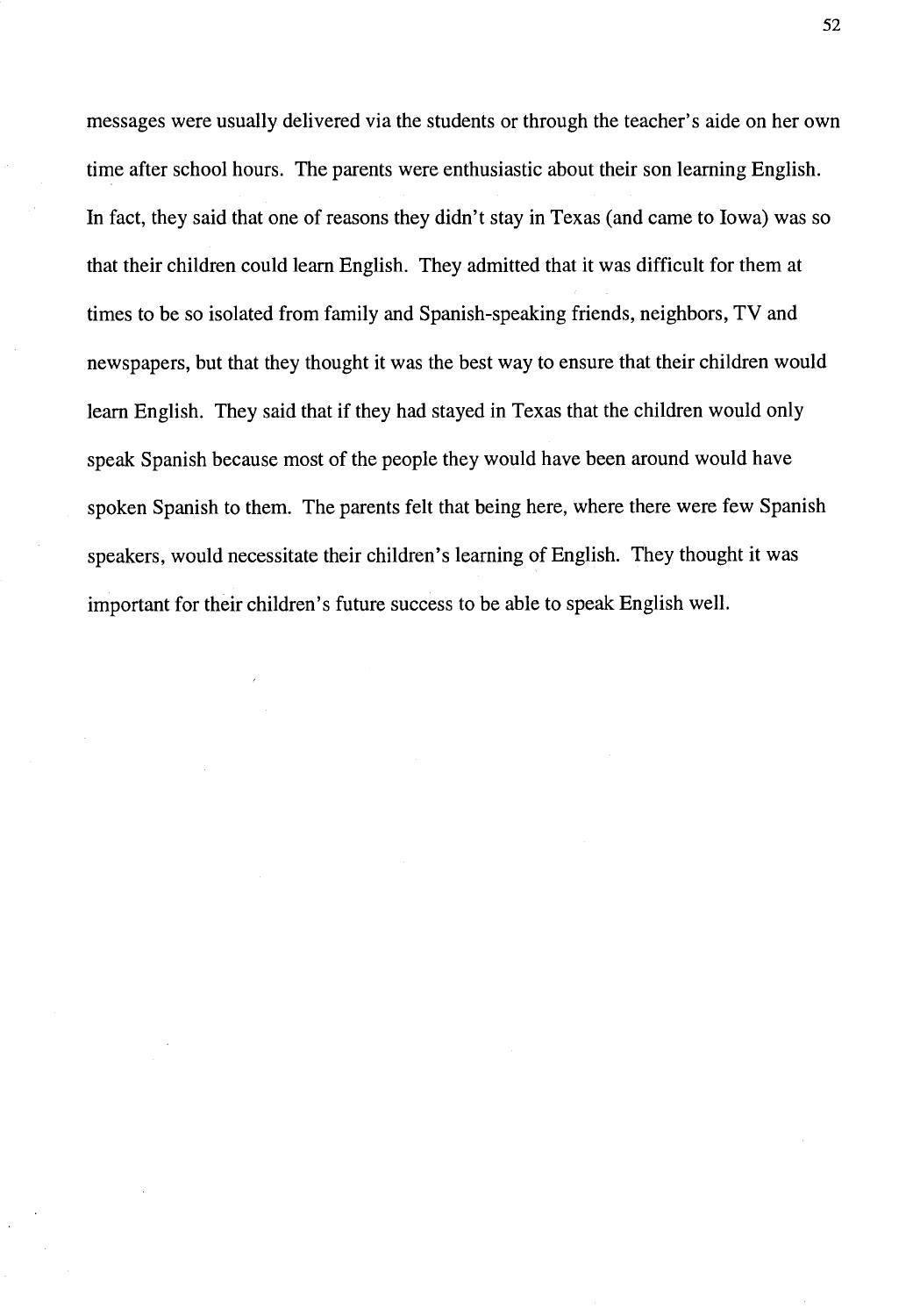messages were usually delivered via the students or through the teacher's aide on her own time after school hours. The parents were enthusiastic about their son learning English. In fact, they said that one of reasons they didn't stay in Texas (and came to Iowa) was so that their children could learn English. They admitted that it was difficult for them at times to be so isolated from family and Spanish-speaking friends, neighbors, TV and newspapers, but that they thought it was the best way to ensure that their children would learn English. They said that if they had stayed in Texas that the children would only speak Spanish because most of the people they would have been around would have spoken Spanish to them. The parents felt that being here, where there were few Spanish speakers, would necessitate their children's learning of English. They thought it was important for their children's future success to be able to speak English well.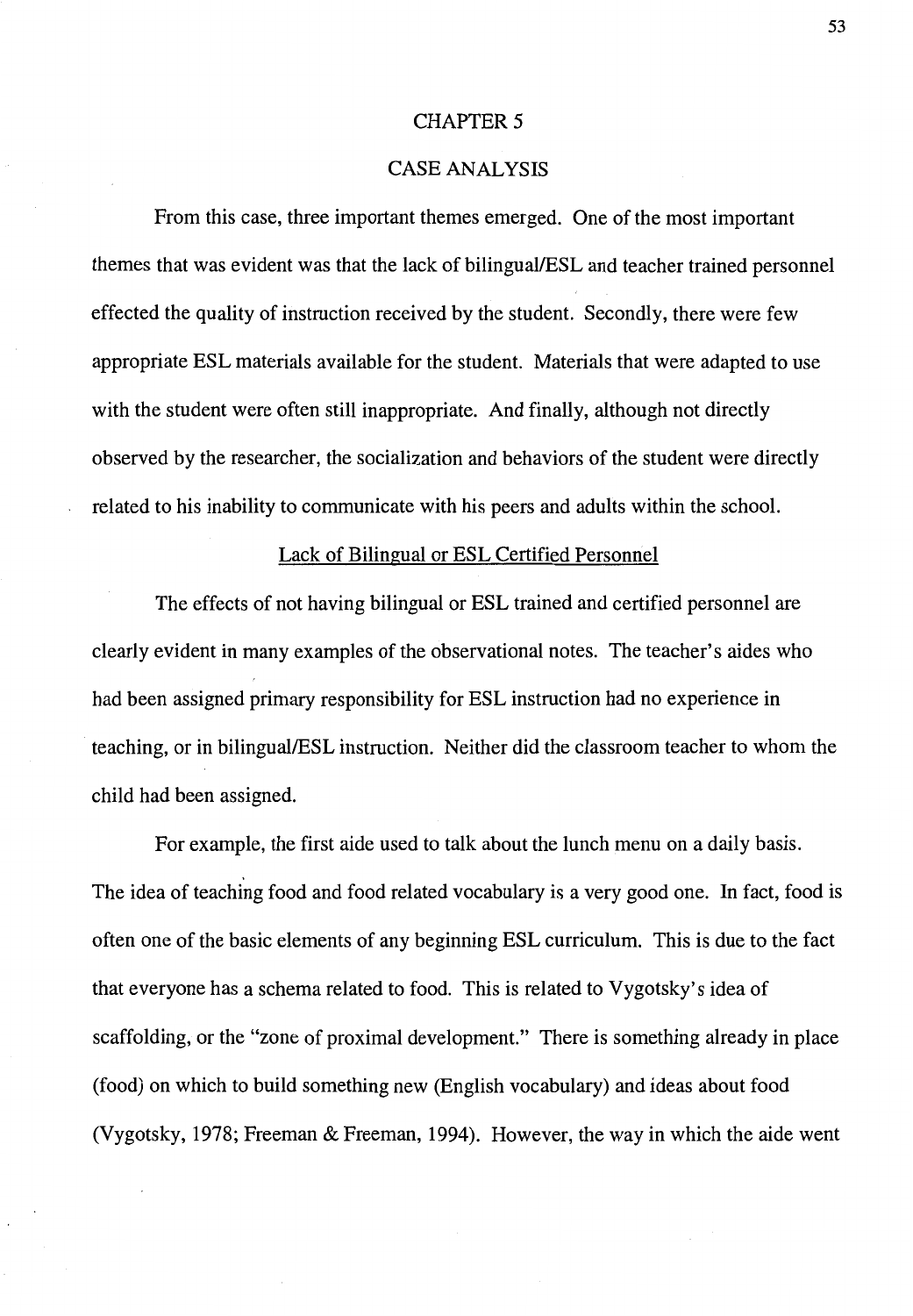## **CHAPTER 5**

# CASE ANALYSIS

From this case, three important themes emerged. One of the most important themes that was evident was that the lack of bilingual/ESL and teacher trained personnel effected the quality of instruction received by the student. Secondly, there were few appropriate ESL materials available for the student. Materials that were adapted to use with the student were often still inappropriate. And finally, although not directly observed by the researcher, the socialization and behaviors of the student were directly related to his inability to communicate with his peers and adults within the school.

# Lack of Bilingual or ESL Certified Personnel

The effects of not having bilingual or ESL trained and certified personnel are clearly evident in many examples of the observational notes. The teacher's aides who had been assigned primary responsibility for ESL instruction had no experience in teaching, or in bilingual/ESL instruction. Neither did the classroom teacher to whom the child had been assigned.

For example, the first aide used to talk about the lunch menu on a daily basis. The idea of teaching food and food related vocabulary is a very good one. In fact, food is often one of the basic elements of any beginning ESL curriculum. This is due to the fact that everyone has a schema related to food. This is related to Vygotsky's idea of scaffolding, or the "zone of proximal development." There is something already in place (food) on which to build something new (English vocabulary) and ideas about food (Vygotsky, 1978; Freeman & Freeman, 1994). However, the way in which the aide went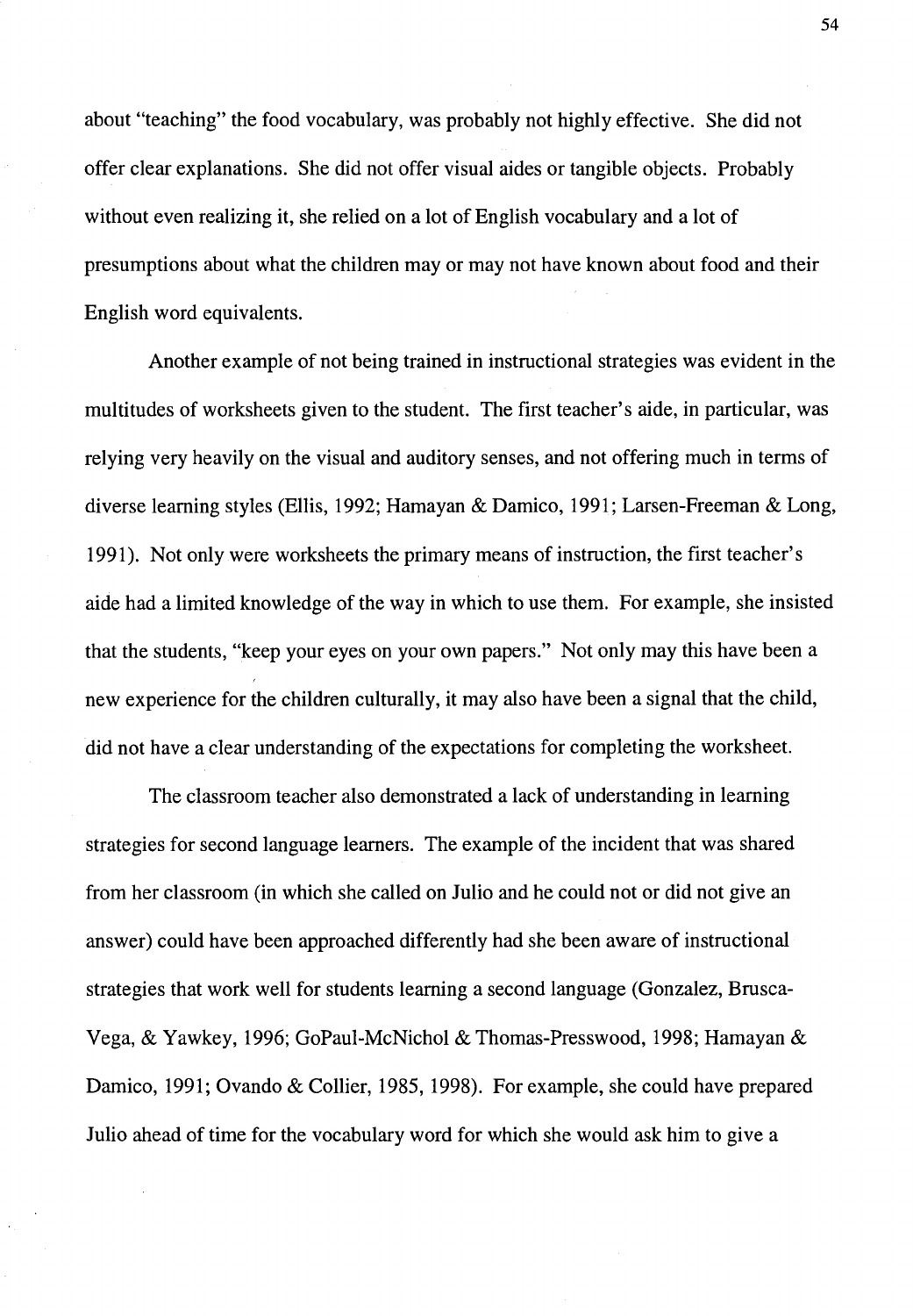about "teaching" the food vocabulary, was probably not highly effective. She did not offer clear explanations. She did not offer visual aides or tangible objects. Probably without even realizing it, she relied on a lot of English vocabulary and a lot of presumptions about what the children may or may not have known about food and their English word equivalents.

Another example of not being trained in instructional strategies was evident in the multitudes of worksheets given to the student. The first teacher's aide, in particular, was relying very heavily on the visual and auditory senses, and not offering much in terms of diverse learning styles (Ellis, 1992; Hamayan & Damico, 1991; Larsen-Freeman & Long, 1991). Not only were worksheets the primary means of instruction, the first teacher's aide had a limited knowledge of the way in which to use them. For example, she insisted that the students, "keep your eyes on your own papers." Not only may this have been a new experience for the children culturally, it may also have been a signal that the child, did not have a clear understanding of the expectations for completing the worksheet.

The classroom teacher also demonstrated a lack of understanding in learning strategies for second language learners. The example of the incident that was shared from her classroom (in which she called on Julio and he could not or did not give an answer) could have been approached differently had she been aware of instructional strategies that work well for students learning a second language (Gonzalez, Brusca-Vega, & Yawkey, 1996; GoPaul-McNichol & Thomas-Presswood, 1998; Hamayan & Damico, 1991; Ovando & Collier, 1985, 1998). For example, she could have prepared Julio ahead of time for the vocabulary word for which she would ask him to give a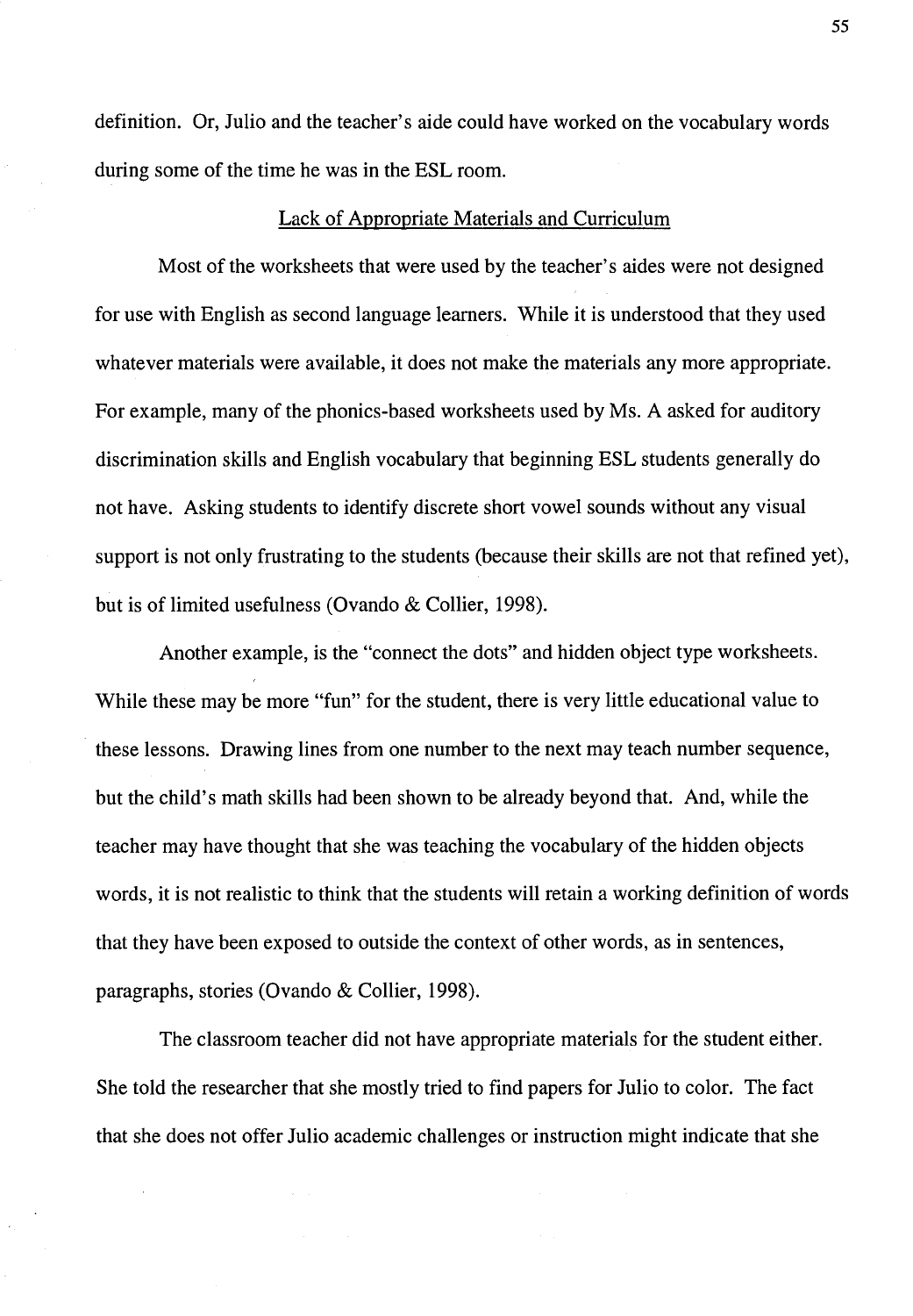definition. Or, Julio and the teacher's aide could have worked on the vocabulary words during some of the time he was in the ESL room.

# Lack of Appropriate Materials and Curriculum

Most of the worksheets that were used by the teacher's aides were not designed for use with English as second language learners. While it is understood that they used whatever materials were available, it does not make the materials any more appropriate. For example, many of the phonics-based worksheets used by Ms. A asked for auditory discrimination skills and English vocabulary that beginning ESL students generally do not have. Asking students to identify discrete short vowel sounds without any visual support is not only frustrating to the students (because their skills are not that refined yet), but is of limited usefulness (Ovando & Collier, 1998).

Another example, is the "connect the dots" and hidden object type worksheets. While these may be more "fun" for the student, there is very little educational value to these lessons. Drawing lines from one number to the next may teach number sequence, but the child's math skills had been shown to be already beyond that. And, while the teacher may have thought that she was teaching the vocabulary of the hidden objects words, it is not realistic to think that the students will retain a working definition of words that they have been exposed to outside the context of other words, as in sentences, paragraphs, stories (Ovando & Collier, 1998).

The classroom teacher did not have appropriate materials for the student either. She told the researcher that she mostly tried to find papers for Julio to color. The fact that she does not offer Julio academic challenges or instruction might indicate that she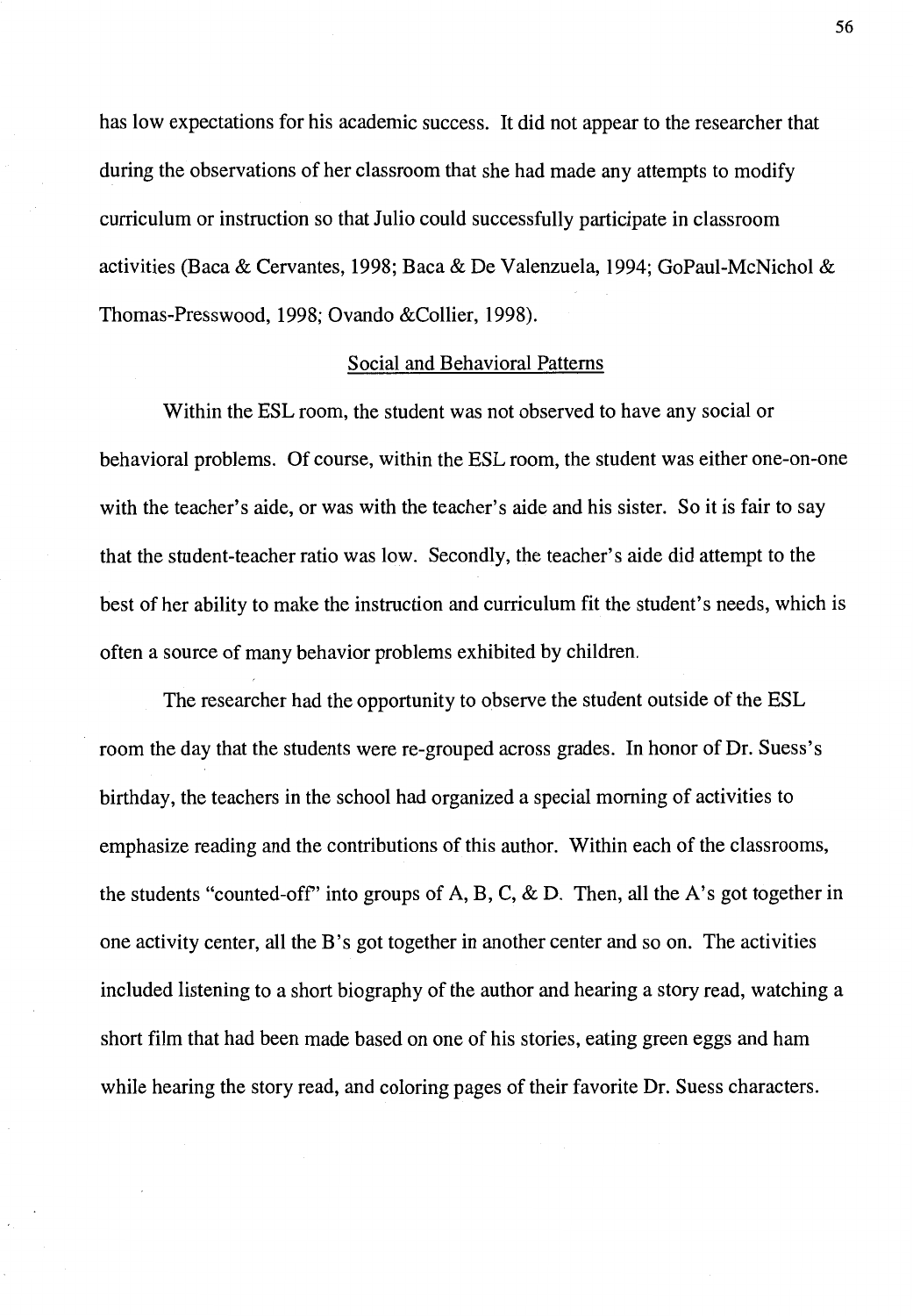has low expectations for his academic success. It did not appear to the researcher that during the observations of her classroom that she had made any attempts to modify curriculum or instruction so that Julio could successfully participate in classroom activities (Baca & Cervantes, 1998; Baca & De Valenzuela, 1994; GoPaul-McNichol & Thomas-Presswood, 1998; Ovando &Collier, 1998).

# Social and Behavioral Patterns

Within the ESL room, the student was not observed to have any social or behavioral problems. Of course, within the ESL room, the student was either one-on-one with the teacher's aide, or was with the teacher's aide and his sister. So it is fair to say that the student-teacher ratio was low. Secondly, the teacher's aide did attempt to the best of her ability to make the instruction and curriculum fit the student's needs, which is often a source of many behavior problems exhibited by children.

The researcher had the opportunity to observe the student outside of the ESL room the day that the students were re-grouped across grades. In honor of Dr. Suess's birthday, the teachers in the school had organized a special morning of activities to emphasize reading and the contributions of this author. Within each of the classrooms, the students "counted-off" into groups of A, B, C, & D. Then, all the A's got together in one activity center, all the B's got together in another center and so on. The activities included listening to a short biography of the author and hearing a story read, watching a short film that had been made based on one of his stories, eating green eggs and ham while hearing the story read, and coloring pages of their favorite Dr. Suess characters.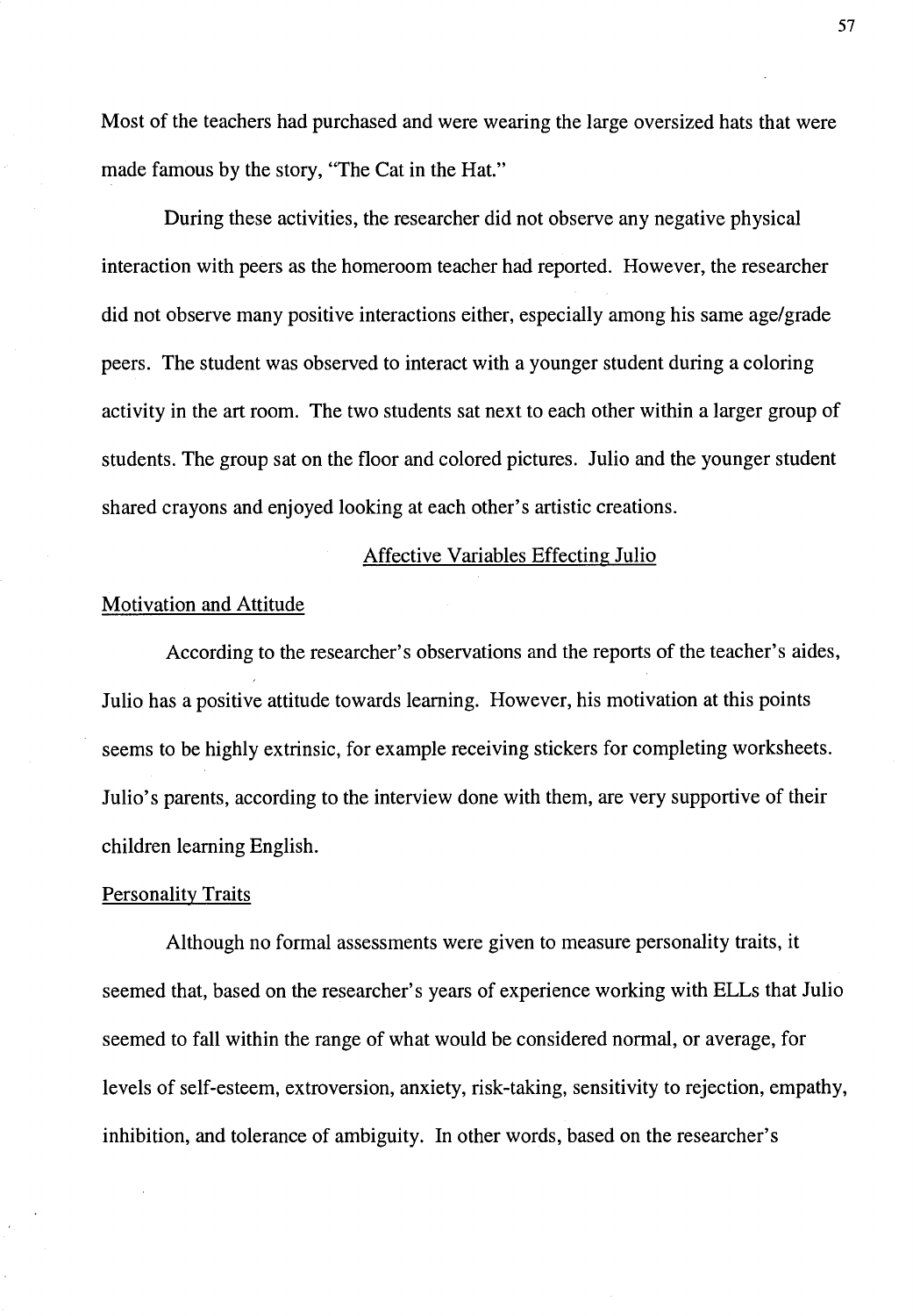Most of the teachers had purchased and were wearing the large oversized hats that were made famous by the story, "The Cat in the Hat."

During these activities, the researcher did not observe any negative physical interaction with peers as the homeroom teacher had reported. However, the researcher did not observe many positive interactions either, especially among his same age/grade peers. The student was observed to interact with a younger student during a coloring activity in the art room. The two students sat next to each other within a larger group of students. The group sat on the floor and colored pictures. Julio and the younger student shared crayons and enjoyed looking at each other's artistic creations.

## Affective Variables Effecting Julio

# Motivation and Attitude

According to the researcher's observations and the reports of the teacher's aides, Julio has a positive attitude towards learning. However, his motivation at this points seems to be highly extrinsic, for example receiving stickers for completing worksheets. Julio's parents, according to the interview done with them, are very supportive of their children learning English.

# Personality Traits

Although no formal assessments were given to measure personality traits, it seemed that, based on the researcher's years of experience working with ELLs that Julio seemed to fall within the range of what would be considered normal, or average, for levels of self-esteem, extroversion, anxiety, risk-taking, sensitivity to rejection, empathy, inhibition, and tolerance of ambiguity. In other words, based on the researcher's

57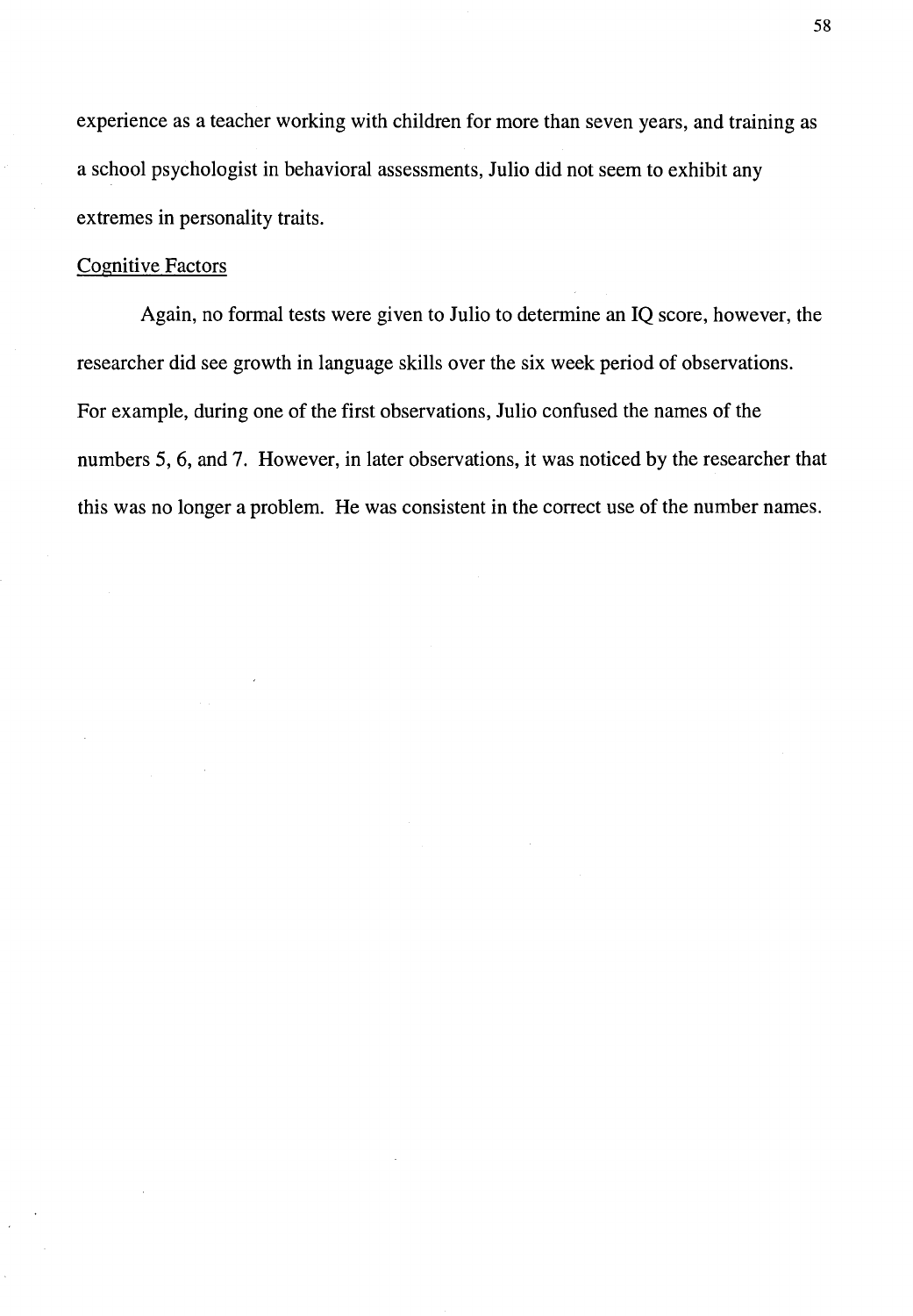experience as a teacher working with children for more than seven years, and training as a school psychologist in behavioral assessments, Julio did not seem to exhibit any extremes in personality traits.

# **Cognitive Factors**

Again, no formal tests were given to Julio to determine an IQ score, however, the researcher did see growth in language skills over the six week period of observations. For example, during one of the first observations, Julio confused the names of the numbers 5, 6, and 7. However, in later observations, it was noticed by the researcher that this was no longer a problem. He was consistent in the correct use of the number names.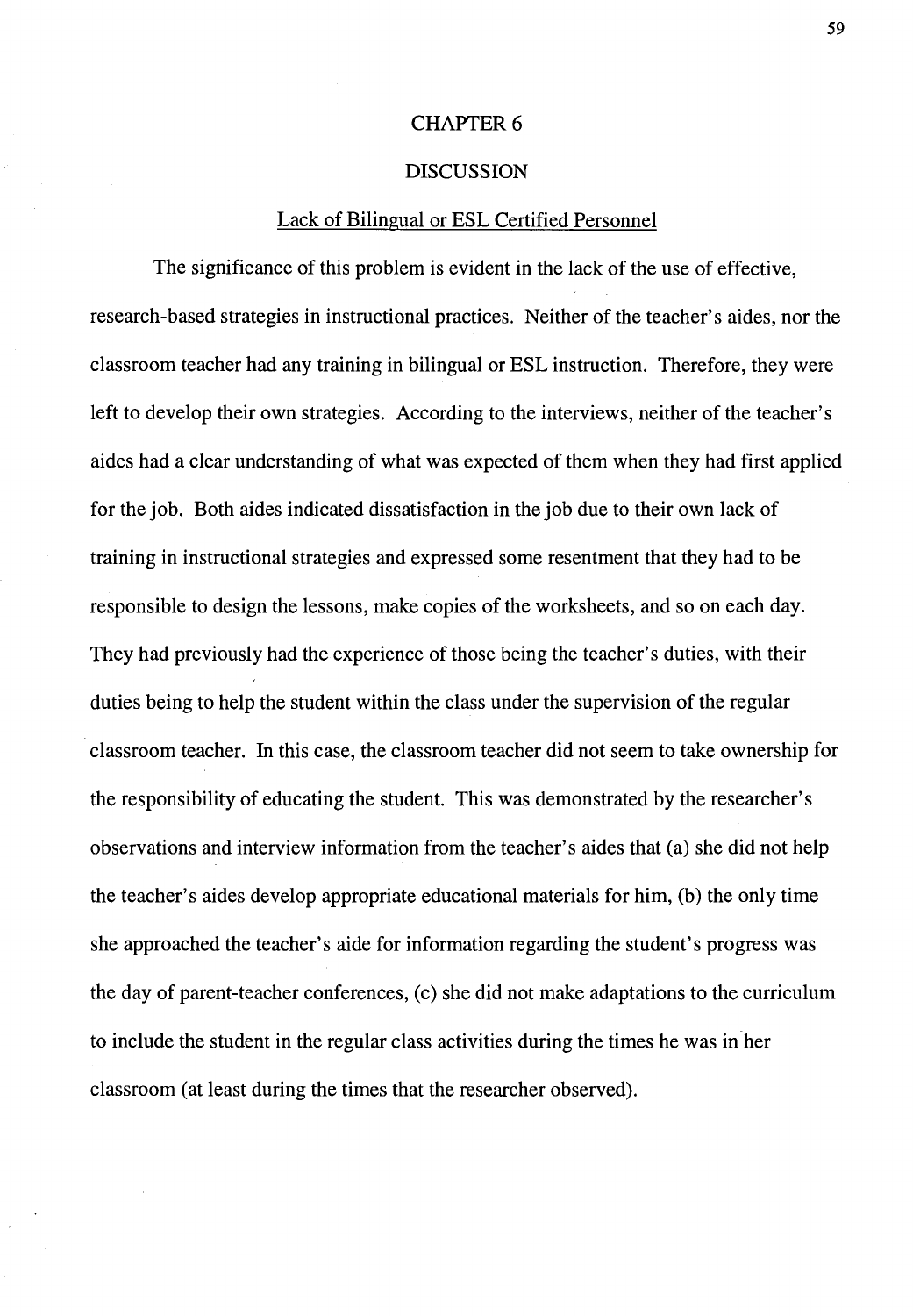## **CHAPTER 6**

#### DISCUSSION

## Lack of Bilingual or ESL Certified Personnel

The significance of this problem is evident in the lack of the use of effective, research-based strategies in instructional practices. Neither of the teacher's aides, nor the classroom teacher had any training in bilingual or ESL instruction. Therefore, they were left to develop their own strategies. According to the interviews, neither of the teacher's aides had a clear understanding of what was expected of them when they had first applied for the job. Both aides indicated dissatisfaction in the job due to their own lack of training in instructional strategies and expressed some resentment that they had to be responsible to design the lessons, make copies of the worksheets, and so on each day. They had previously had the experience of those being the teacher's duties, with their duties being to help the student within the class under the supervision of the regular classroom teacher. In this case, the classroom teacher did not seem to take ownership for the responsibility of educating the student. This was demonstrated by the researcher's observations and interview information from the teacher's aides that (a) she did not help the teacher's aides develop appropriate educational materials for him, (b) the only time she approached the teacher's aide for information regarding the student's progress was the day of parent-teacher conferences, (c) she did not make adaptations to the curriculum to include the student in the regular class activities during the times he was in her classroom (at least during the times that the researcher observed).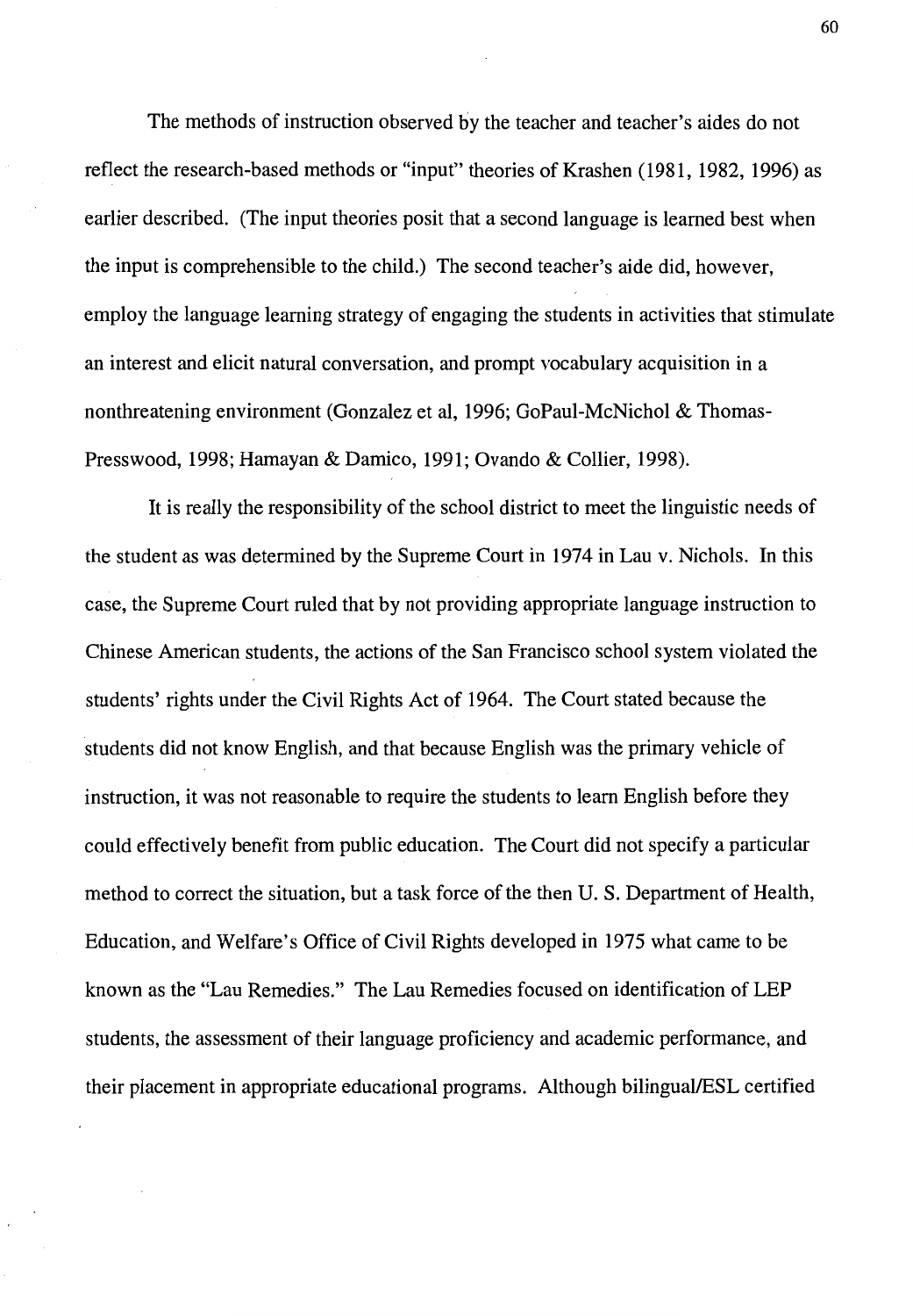The methods of instruction observed by the teacher and teacher's aides do not reflect the research-based methods or "input" theories of Krashen (1981, 1982, 1996) as earlier described. (The input theories posit that a second language is learned best when the input is comprehensible to the child.) The second teacher's aide did, however, employ the language learning strategy of engaging the students in activities that stimulate an interest and elicit natural conversation, and prompt vocabulary acquisition in a nonthreatening environment (Gonzalez et al, 1996; GoPaul-McNichol & Thomas-Presswood, 1998; Hamayan & Damico, 1991; Ovando & Collier, 1998).

It is really the responsibility of the school district to meet the linguistic needs of the student as was determined by the Supreme Court in 1974 in Lau v. Nichols. In this case, the Supreme Court ruled that by not providing appropriate language instruction to Chinese American students, the actions of the San Francisco school system violated the students' rights under the Civil Rights Act of 1964. The Court stated because the students did not know English, and that because English was the primary vehicle of instruction, it was not reasonable to require the students to learn English before they could effectively benefit from public education. The Court did not specify a particular method to correct the situation, but a task force of the then U. S. Department of Health, Education, and Welfare's Office of Civil Rights developed in 1975 what came to be known as the "Lau Remedies." The Lau Remedies focused on identification of LEP students, the assessment of their language proficiency and academic performance, and their placement in appropriate educational programs. Although bilingual/ESL certified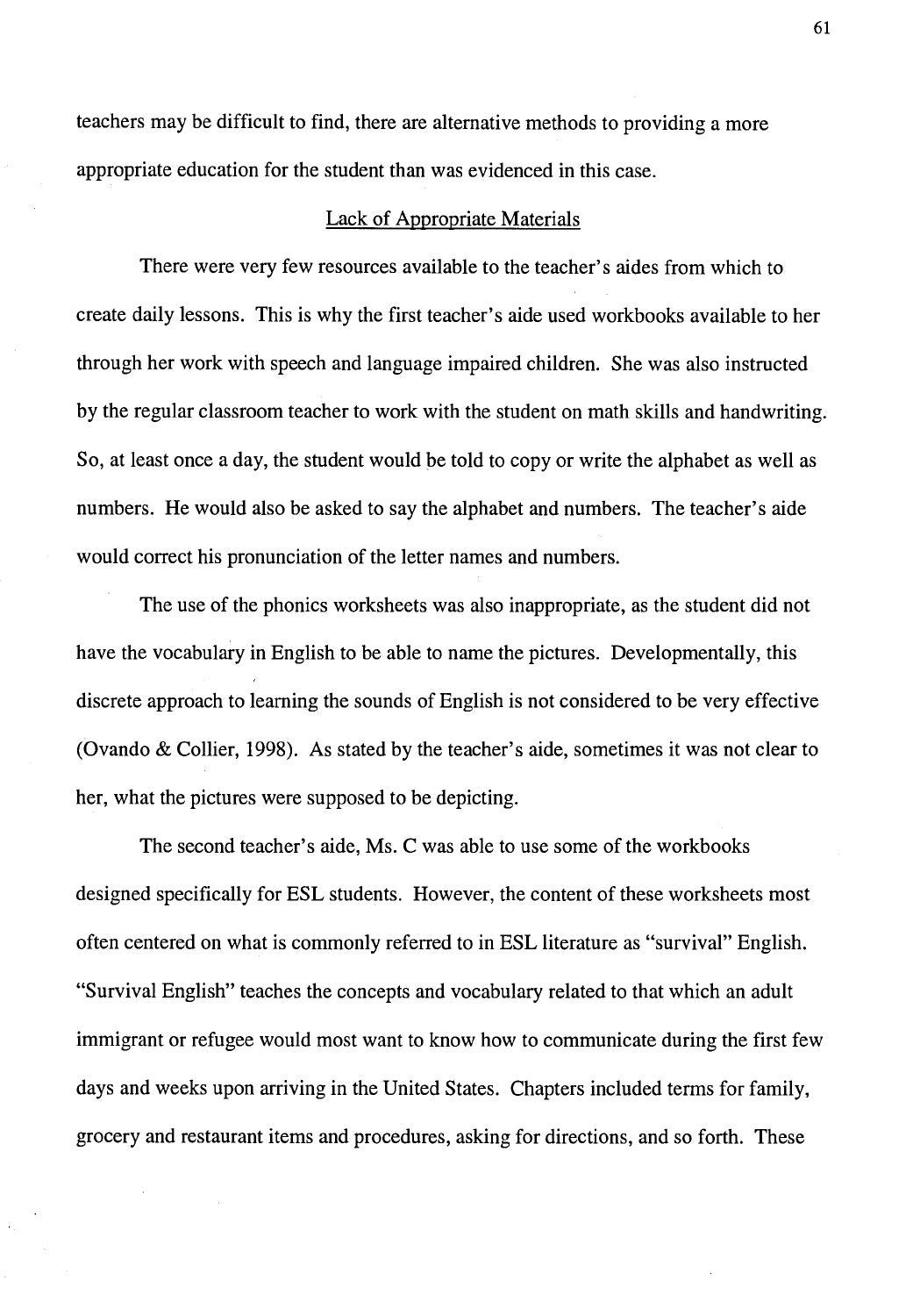teachers may be difficult to find, there are alternative methods to providing a more appropriate education for the student than was evidenced in this case.

#### Lack of Appropriate Materials

There were very few resources available to the teacher's aides from which to create daily lessons. This is why the first teacher's aide used workbooks available to her through her work with speech and language impaired children. She was also instructed by the regular classroom teacher to work with the student on math skills and handwriting. So, at least once a day, the student would be told to copy or write the alphabet as well as numbers. He would also be asked to say the alphabet and numbers. The teacher's aide would correct his pronunciation of the letter names and numbers.

The use of the phonics worksheets was also inappropriate, as the student did not have the vocabulary in English to be able to name the pictures. Developmentally, this discrete approach to learning the sounds of English is not considered to be very effective (Ovando & Collier, 1998). As stated by the teacher's aide, sometimes it was not clear to her, what the pictures were supposed to be depicting.

The second teacher's aide, Ms. C was able to use some of the workbooks designed specifically for ESL students. However, the content of these worksheets most often centered on what is commonly referred to in ESL literature as "survival" English. "Survival English" teaches the concepts and vocabulary related to that which an adult immigrant or refugee would most want to know how to communicate during the first few days and weeks upon arriving in the United States. Chapters included terms for family, grocery and restaurant items and procedures, asking for directions, and so forth. These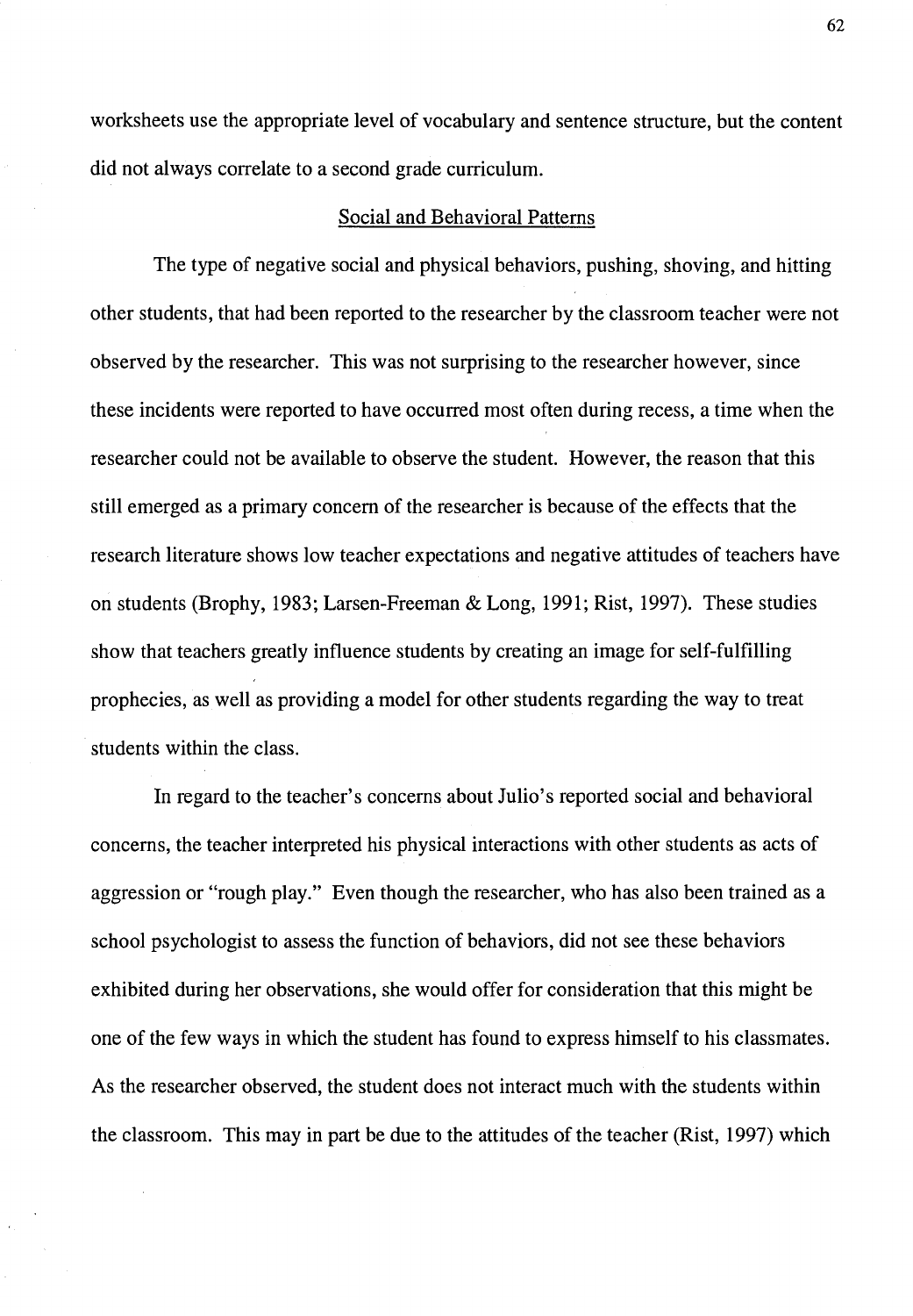worksheets use the appropriate level of vocabulary and sentence structure, but the content did not always correlate to a second grade curriculum.

#### Social and Behavioral Patterns

The type of negative social and physical behaviors, pushing, shoving, and hitting other students, that had been reported to the researcher by the classroom teacher were not observed by the researcher. This was not surprising to the researcher however, since these incidents were reported to have occurred most often during recess, a time when the researcher could not be available to observe the student. However, the reason that this still emerged as a primary concern of the researcher is because of the effects that the research literature shows low teacher expectations and negative attitudes of teachers have on students (Brophy, 1983; Larsen-Freeman & Long, 1991; Rist, 1997). These studies show that teachers greatly influence students by creating an image for self-fulfilling prophecies, as well as providing a model for other students regarding the way to treat students within the class.

In regard to the teacher's concerns about Julio's reported social and behavioral concerns, the teacher interpreted his physical interactions with other students as acts of aggression or "rough play." Even though the researcher, who has also been trained as a school psychologist to assess the function of behaviors, did not see these behaviors exhibited during her observations, she would offer for consideration that this might be one of the few ways in which the student has found to express himself to his classmates. As the researcher observed, the student does not interact much with the students within the classroom. This may in part be due to the attitudes of the teacher (Rist, 1997) which

62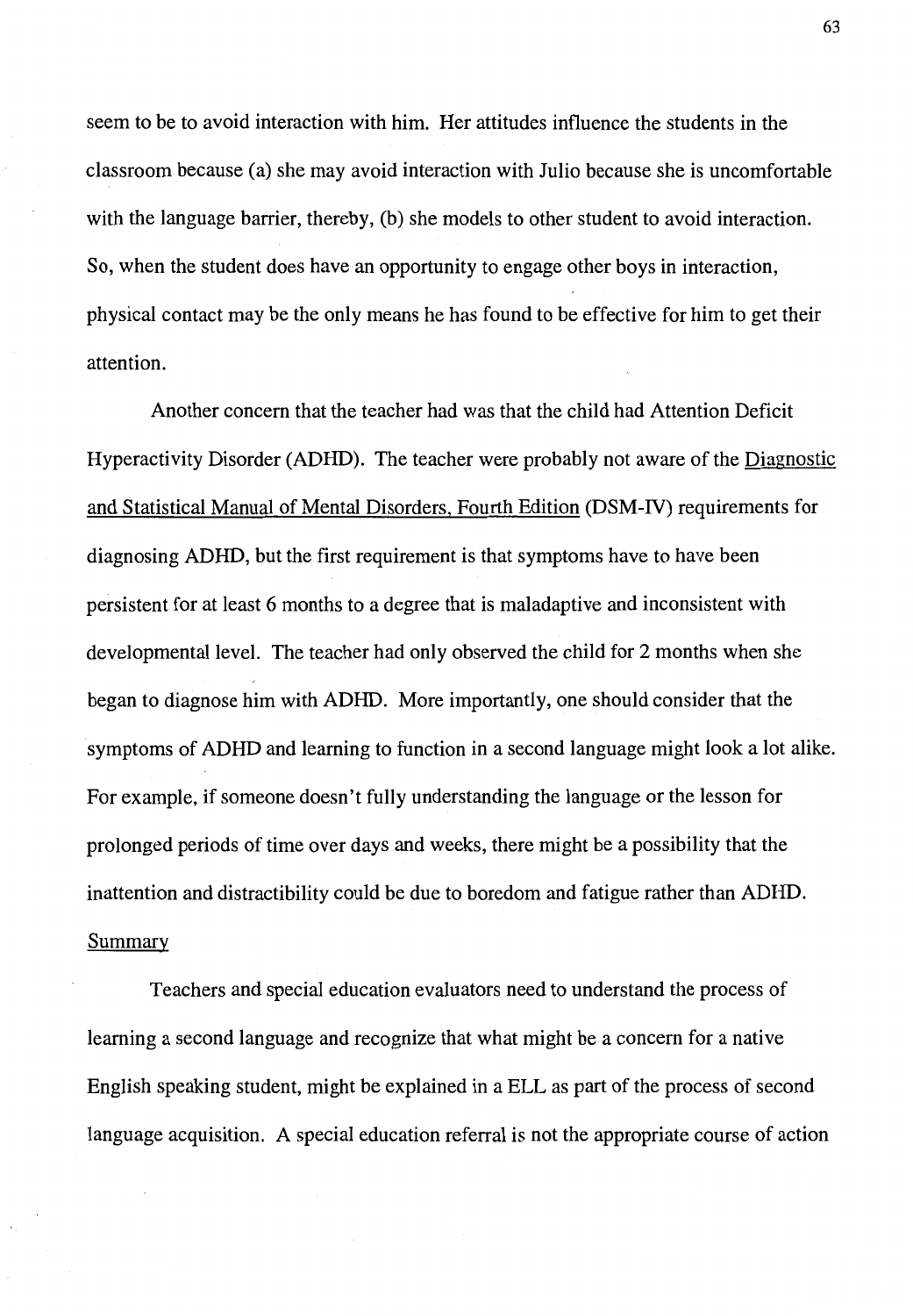seem to be to avoid interaction with him. Her attitudes influence the students in the classroom because (a) she may avoid interaction with Julio because she is uncomfortable with the language barrier, thereby, (b) she models to other student to avoid interaction. So, when the student does have an opportunity to engage other boys in interaction, physical contact may be the only means he has found to be effective for him to get their attention.

Another concern that the teacher had was that the child had Attention Deficit Hyperactivity Disorder **(ADHD).** The teacher were probably not aware of the Diagnostic and Statistical Manual of Mental Disorders, Fourth Edition (DSM-IV) requirements for diagnosing **ADHD,** but the first requirement is that symptoms have to have been persistent for at least 6 months to a degree that is maladaptive and inconsistent with developmental level. The teacher had only observed the child for 2 months when she began to diagnose him with **ADHD.** More importantly, one should consider that the symptoms of ADHD and learning to function in a second language might look a lot alike. For example, if someone doesn't fully understanding the language or the lesson for prolonged periods of time over days and weeks, there might be a possibility that the inattention and distractibility could be due to boredom and fatigue rather than ADHD. Summary

Teachers and special education evaluators need to understand the process of learning a second language and recognize that what might be a concern for a native English speaking student, might be explained in a ELL as part of the process of second language acquisition. A special education referral is not the appropriate course of action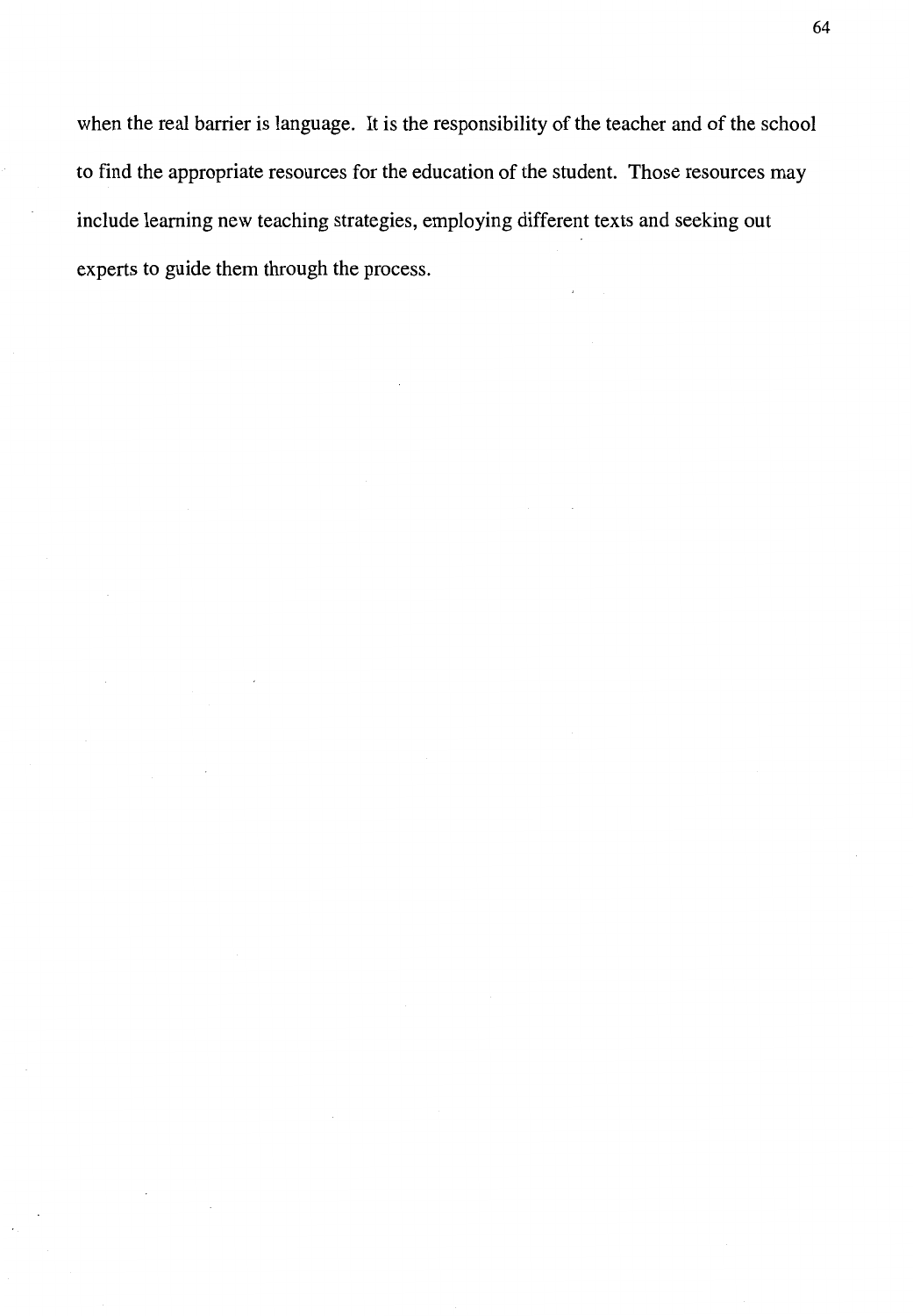when the real barrier is language. It is the responsibility of the teacher and of the school to find the appropriate resources for the education of the student. Those resources may include learning new teaching strategies, employing different texts and seeking out experts to guide them through the process.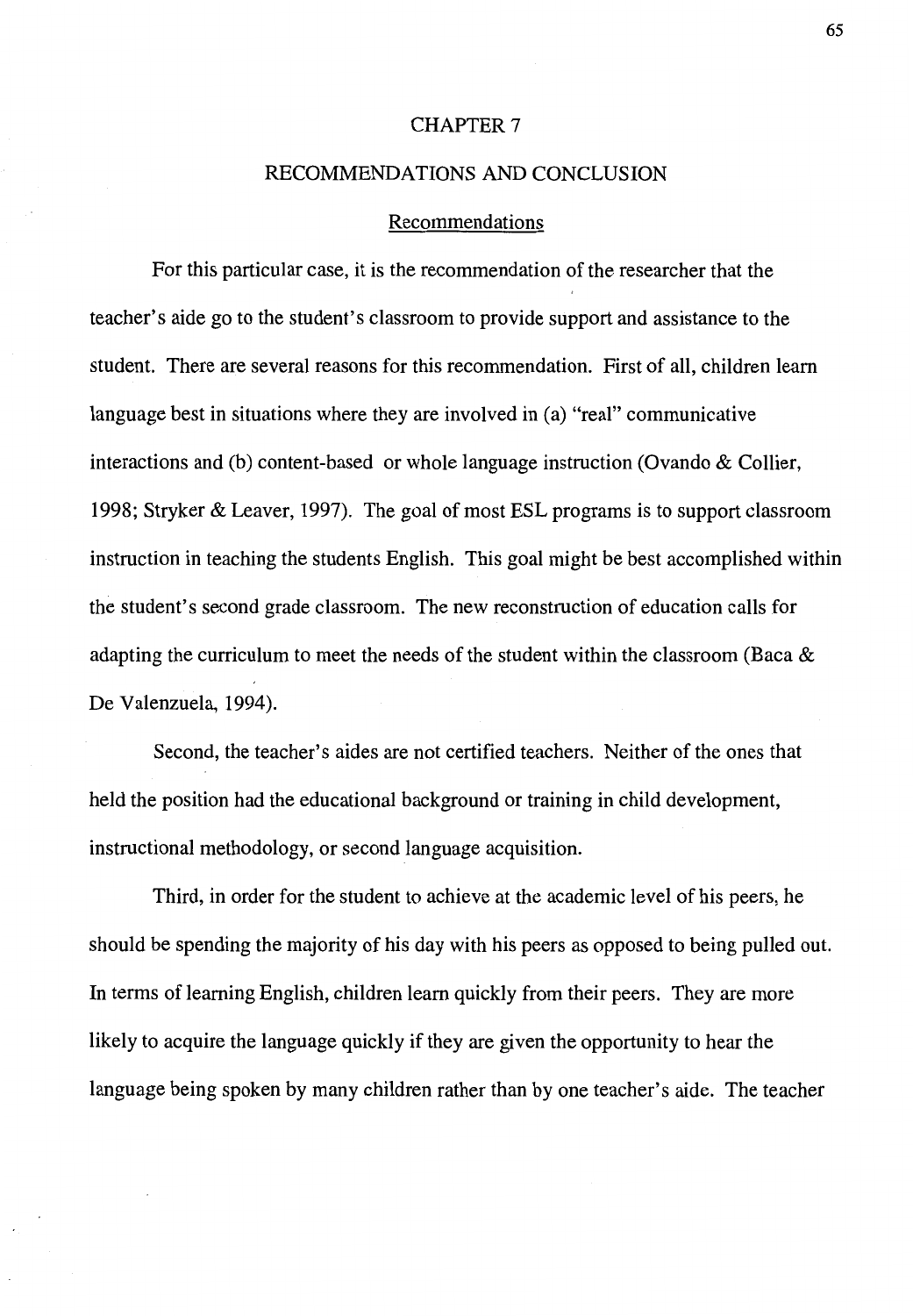## CHAPTER 7

## RECOMMENDATIONS AND CONCLUSION

# Recommendations

For this particular case, it is the recommendation of the researcher that the teacher's aide go to the student's classroom to provide support and assistance to the student. There are several reasons for this recommendation. First of all, children learn language best in situations where they are involved in (a) "real" communicative interactions and (b) content-based or whole language instruction (Ovando & Collier, 1998; Stryker & Leaver, 1997). The goal of most ESL programs is to support classroom instruction in teaching the students English. This goal might be best accomplished within the student's second grade classroom. The new reconstruction of education calls for adapting the curriculum to meet the needs of the student within the classroom (Baca & De Valenzuela, 1994).

Second, the teacher's aides are not certified teachers. Neither of the ones that held the position had the educational background or training in child development, instructional methodology, or second language acquisition.

Third, in order for the student to achieve at the academic level of his peers, he should be spending the majority of his day with his peers as opposed to being pulled out. In terms of learning English, children learn quickly from their peers. They are more likely to acquire the language quickly if they are given the opportunity to hear the language being spoken by many children rather than by one teacher's aide. The teacher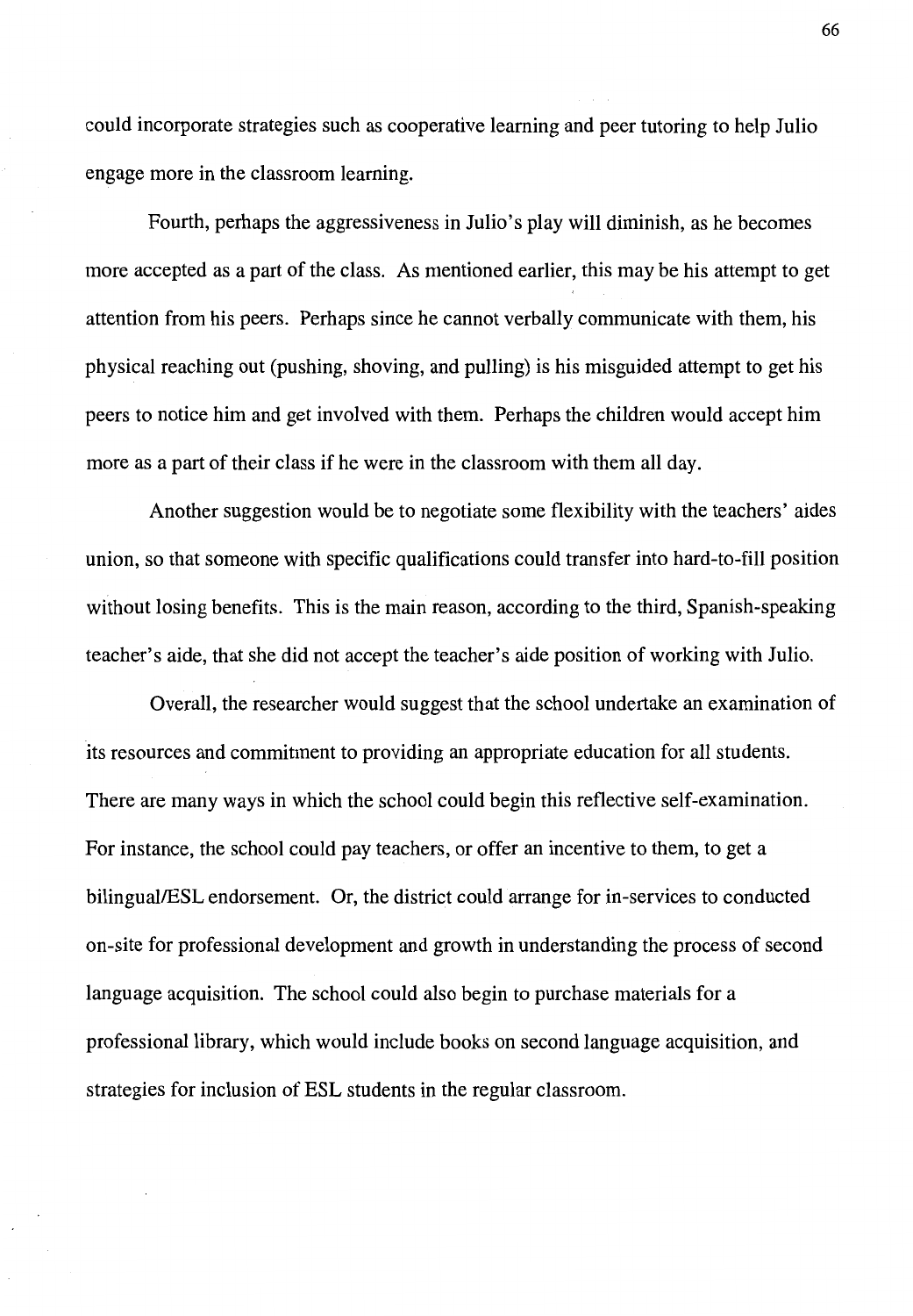could incorporate strategies such as cooperative learning and peer tutoring to help Julio engage more in the classroom learning.

Fourth, perhaps the aggressiveness in Julio's play will diminish, as he becomes more accepted as a part of the class. As mentioned earlier, this may be his attempt to get attention from his peers. Perhaps since he cannot verbally communicate with them, his physical reaching out (pushing, shoving, and pulling) is his misguided attempt to get his peers to notice him and get involved with them. Perhaps the children would accept him more as a part of their class if he were in the classroom with them all day.

Another suggestion would be to negotiate some flexibility with the teachers' aides union, so that someone with specific qualifications could transfer into hard-to-fill position without losing benefits. This is the main reason, according to the third, Spanish-speaking teacher's aide, that she did not accept the teacher's aide position of working with Julio.

Overall, the researcher would suggest that the school undertake an examination of its resources and commitment to providing an appropriate education for all students. There are many ways in which the school could begin this reflective self-examination. For instance, the school could pay teachers, or offer an incentive to them, to get a bilingual/ESL endorsement. Or, the district could arrange for in-services to conducted on-site for professional development and growth in understanding the process of second language acquisition. The school could also begin to purchase materials for a professional library, which would include books on second language acquisition, and strategies for inclusion of ESL students in the regular classroom.

66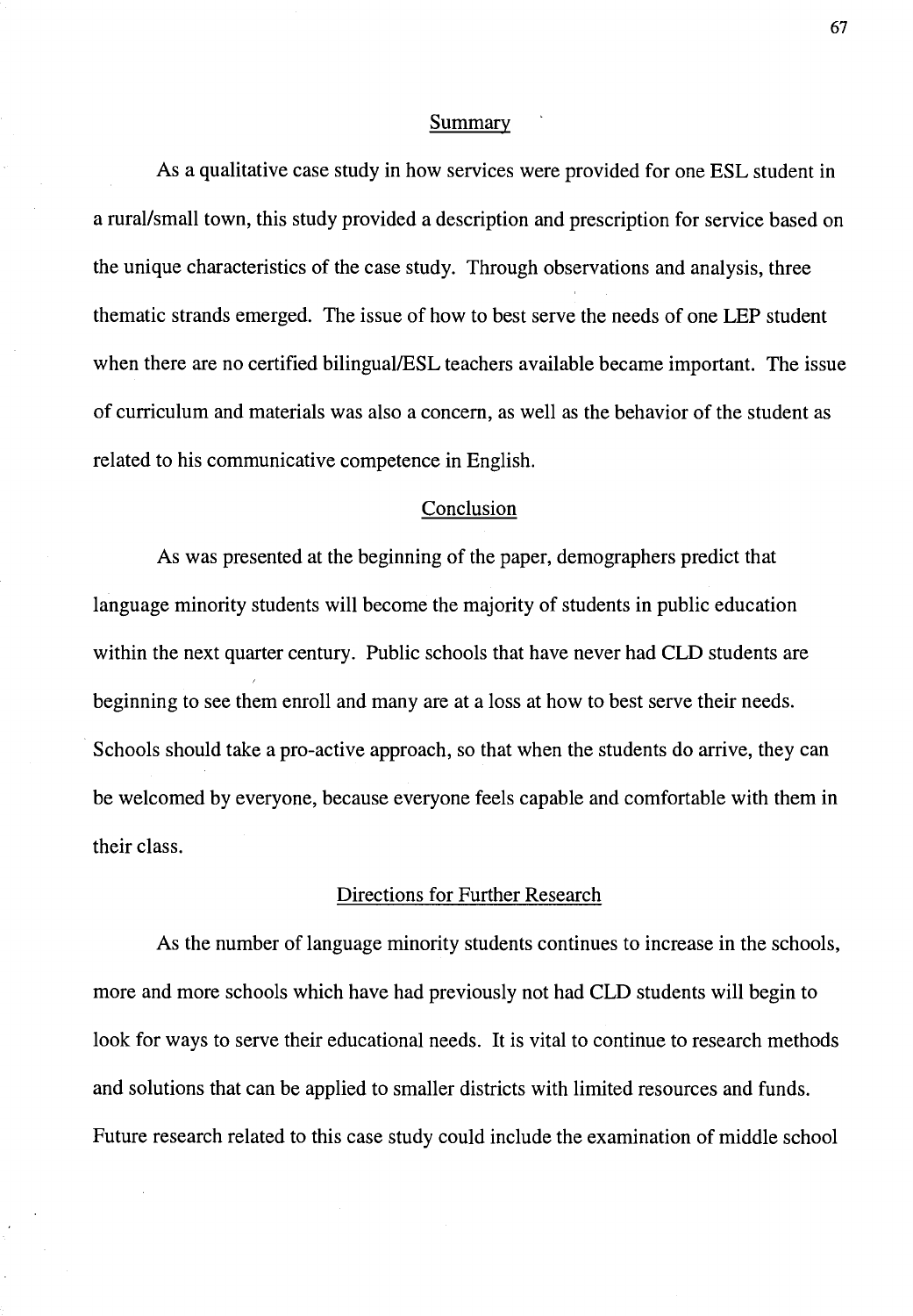#### Summary

As a qualitative case study in how services were provided for one ESL student in a rural/small town, this study provided a description and prescription for service based on the unique characteristics of the case study. Through observations and analysis, three thematic strands emerged. The issue of how to best serve the needs of one LEP student when there are no certified bilingual/ESL teachers available became important. The issue of curriculum and materials was also a concern, as well as the behavior of the student as related to his communicative competence in English.

#### Conclusion

As was presented at the beginning of the paper, demographers predict that language minority students will become the majority of students in public education within the next quarter century. Public schools that have never had CLD students are beginning to see them enroll and many are at a loss at how to best serve their needs. Schools should take a pro-active approach, so that when the students do arrive, they can be welcomed by everyone, because everyone feels capable and comfortable with them in their class.

# Directions for Further Research

As the number of language minority students continues to increase in the schools, more and more schools which have had previously not had CLD students will begin to look for ways to serve their educational needs. It is vital to continue to research methods and solutions that can be applied to smaller districts with limited resources and funds. Future research related to this case study could include the examination of middle school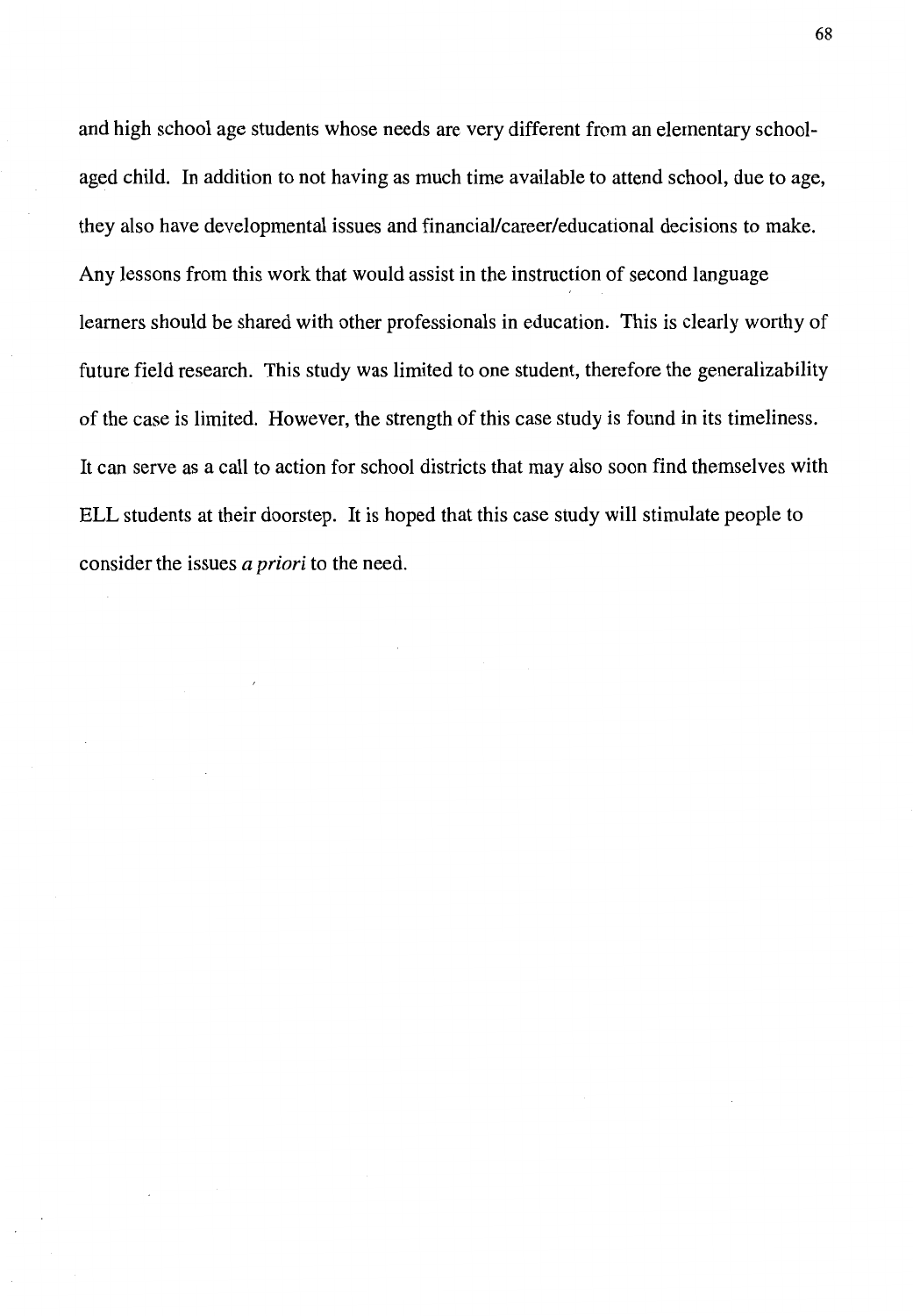and high school age students whose needs are very different from an elementary schoolaged child. In addition to not having as much time available to attend school, due to age, they also have developmental issues and financial/career/educational decisions to make. Any lessons from this work that would assist in the instruction of second language learners should be shared with other professionals in education. This is clearly worthy of future field research. This study was limited to one student, therefore the generalizability of the case is limited. However, the strength of this case study is found in its timeliness. It can serve as a call to action for school districts that may also soon find themselves with ELL students at their doorstep. It is hoped that this case study will stimulate people to consider the issues *a priori* to the need.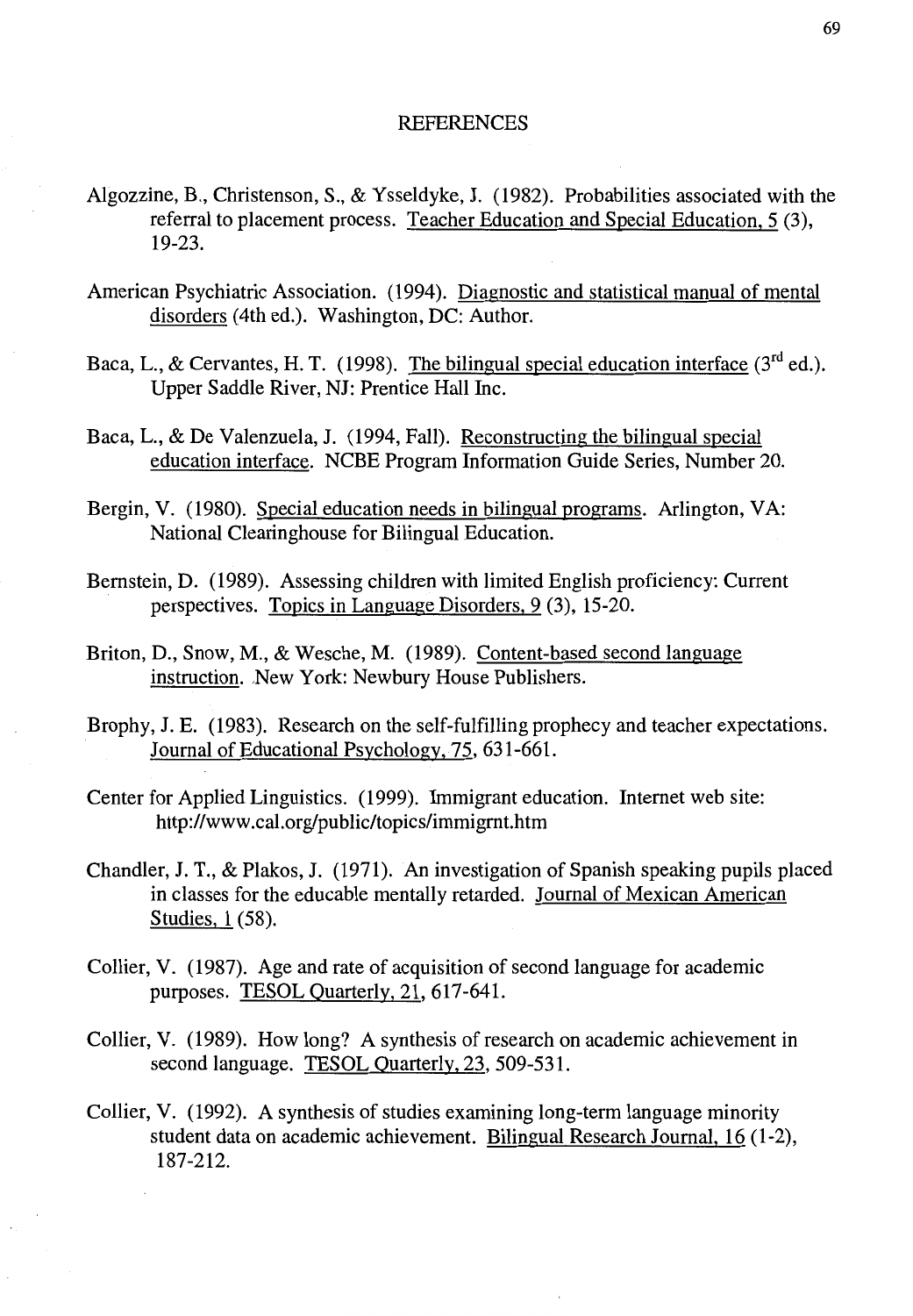# **REFERENCES**

- Algozzine, B., Christenson, S., & Ysseldyke, J. (1982). Probabilities associated with the referral to placement process. Teacher Education and Special Education, 5 (3), 19-23.
- American Psychiatric Association. (1994). Diagnostic and statistical manual of mental disorders (4th ed.). Washington, DC: Author.
- Baca, L., & Cervantes, H. T. (1998). The bilingual special education interface  $(3<sup>rd</sup>$  ed.). Upper Saddle River, NJ: Prentice Hall Inc.
- Baca, L., & De Valenzuela, J. (1994, Fall). Reconstructing the bilingual special education interface. NCBE Program Information Guide Series, Number 20.
- Bergin, V. (1980). Special education needs in bilingual programs. Arlington, VA: National Clearinghouse for Bilingual Education.
- Bernstein, D. (1989). Assessing children with limited English proficiency: Current perspectives. Topics in Language Disorders, 9 (3), 15-20.
- Briton, D., Snow, M., & Wesche, M. (1989). Content-based second language instruction. New York: Newbury House Publishers.
- Brophy, J.E. (1983). Research on the self-fulfilling prophecy and teacher expectations. Journal of Educational Psychology, 75, 631-661.
- Center for Applied Linguistics. (1999). Immigrant education. Internet web site: http://www.cal.org/public/topics/immigrnt.htm
- Chandler, J. T., & Plakos, J. (1971). An investigation of Spanish speaking pupils placed in classes for the educable mentally retarded. Journal of Mexican American Studies, 1 (58).
- Collier, V. (1987). Age and rate of acquisition of second language for academic purposes. TESOL Quarterly, 21, 617-641.
- Collier, V. (1989). How long? A synthesis of research on academic achievement in second language. TESOL Quarterly, 23, 509-531.
- Collier, V. (1992). A synthesis of studies examining long-term language minority student data on academic achievement. Bilingual Research Journal, 16 (1-2), 187-212.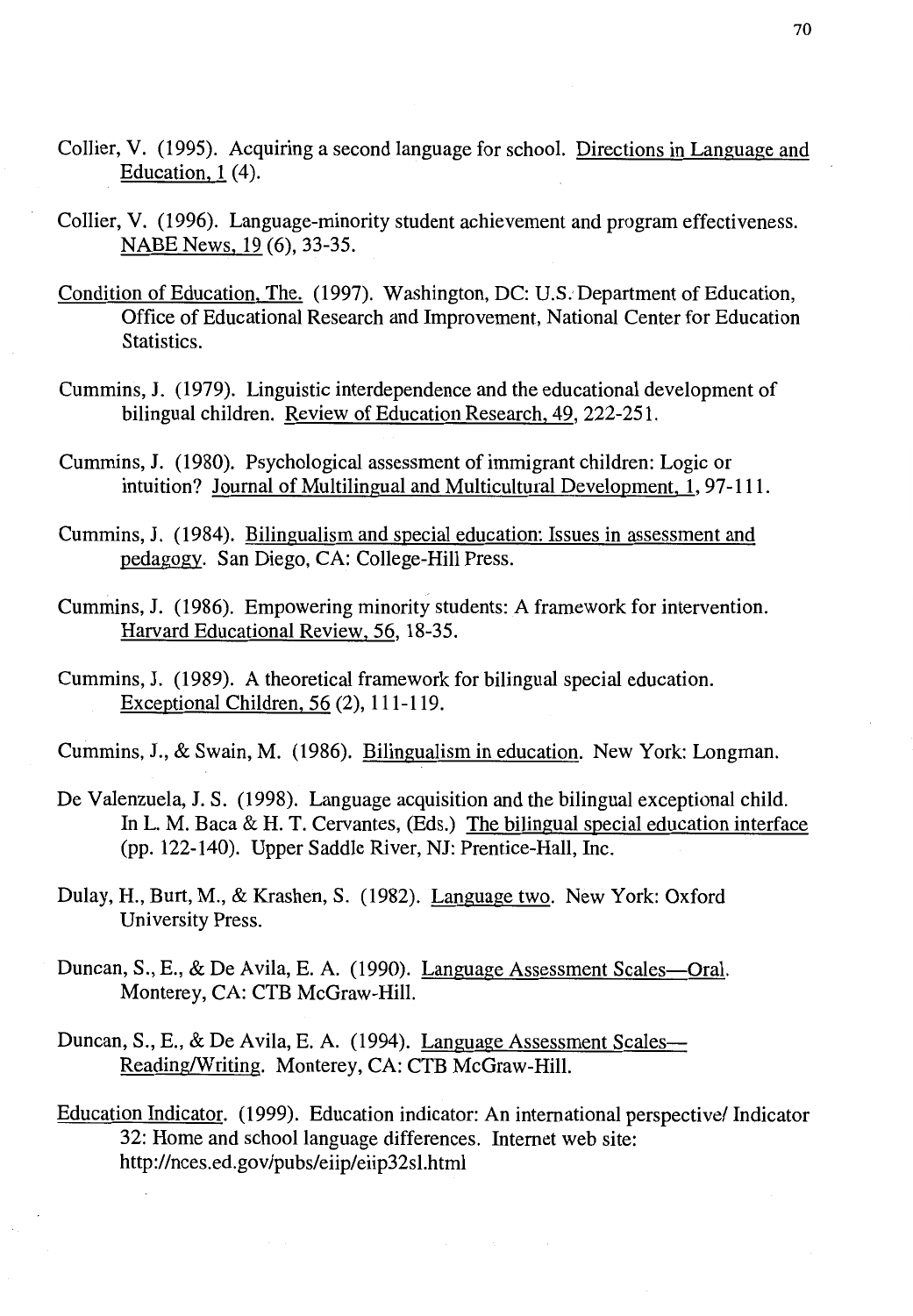- Collier, V. (1995). Acquiring a second language for school. Directions in Language and Education, 1 (4).
- Collier, V. (1996). Language-minority student achievement and program effectiveness. NABE News, 19 (6), 33-35.
- Condition of Education, The. ( 1997). Washington, DC: U.S. Department of Education, Office of Educational Research and Improvement, National Center for Education Statistics.
- Cummins, **J.** (1979). Linguistic interdependence and the educational development of bilingual children. Review of Education Research, 49, 222-251.
- Cummins, **J.** (1980). Psychological assessment of immigrant children: Logic or intuition? Journal of Multilingual and Multicultural Development, 1, 97-111.
- Cummins, **J.** (1984). Bilingualism and special education: Issues in assessment and pedagogy. San Diego, CA: College-Hill Press.
- Cummins, **J.** (1986). Empowering minority students: A framework for intervention. Harvard Educational Review, 56, 18-35.
- Cummins, **J.** (1989). A theoretical framework for bilingual special education. Exceptional Children, 56 (2), 111-119.
- Cummins, **J.,** & Swain, M. (1986). Bilingualism in education. New York: Longman.
- De Valenzuela, J. S. (1998). Language acquisition and the bilingual exceptional child. In L. M. Baca  $\&$  H. T. Cervantes, (Eds.) The bilingual special education interface (pp. 122-140). Upper Saddle River, NJ: Prentice-Hall, Inc.
- Dulay, H., Burt, M., & Krashen, S. (1982). Language two. New York: Oxford University Press.
- Duncan, S., E., & De Avila, E. A. (1990). Language Assessment Scales—Oral. Monterey, CA: CTB McGraw-Hill.
- Duncan, S., E., & De Avila, E. A. (1994). Language Assessment Scales-Reading/Writing. Monterey, CA: CTB McGraw-Hill.
- Education Indicator. (1999). Education indicator: An international perspective/ Indicator 32: Home and school language differences. Internet web site: http://nces.ed.gov/pubs/eiip/eiip32sl.html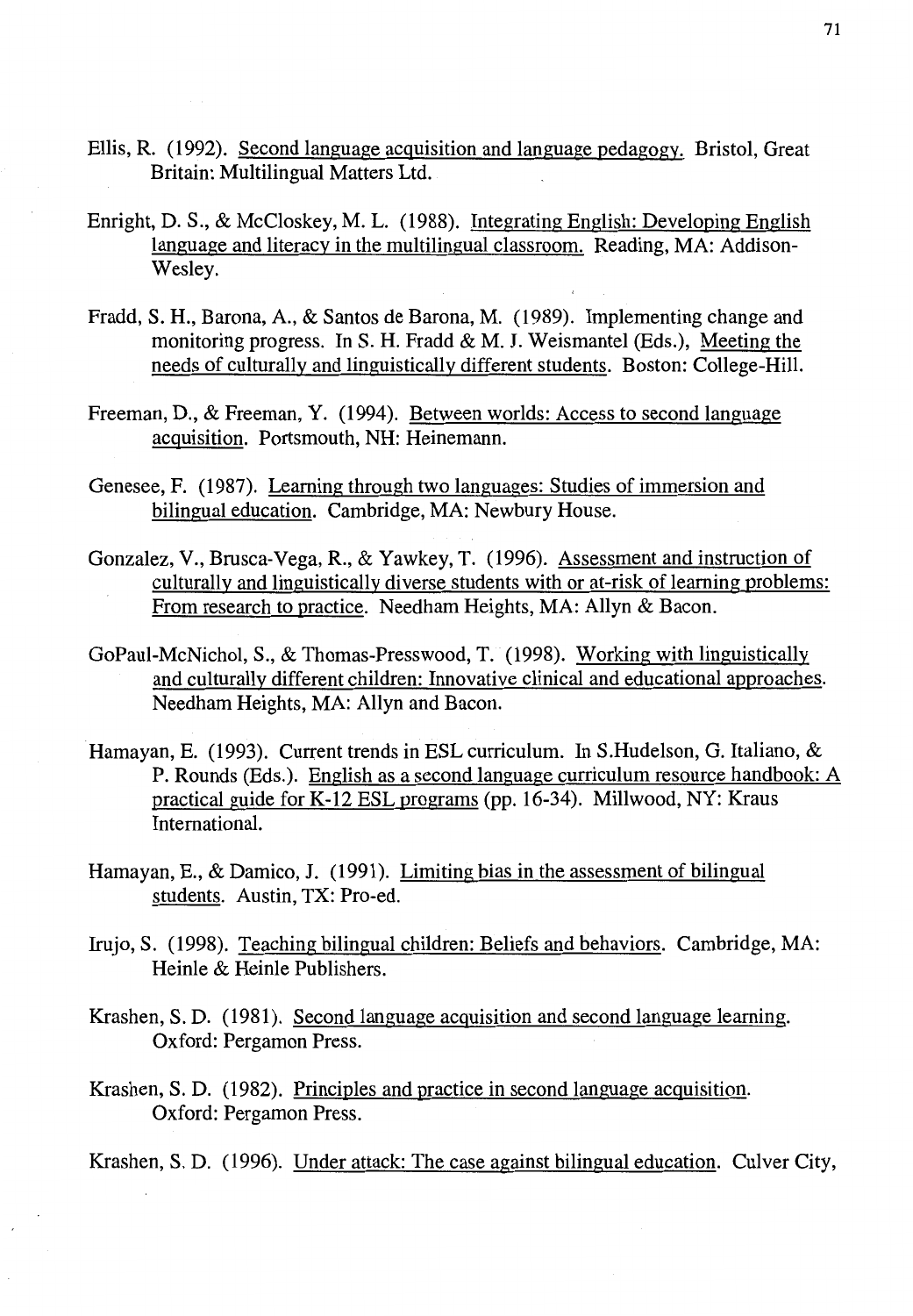- Ellis, R. (1992). Second language acquisition and language pedagogy. Bristol, Great Britain: Multilingual Matters Ltd.
- Enright, D.S., & McCloskey, M. L. (1988). Integrating English: Developing English language and literacy in the multilingual classroom. Reading, MA: Addison-Wesley.
- Fradd, S. H., Barona, A., & Santos de Barona, M. (1989). Implementing change and monitoring progress. In **S. H.** Fradd & **M. J.** Weismantel (Eds.), Meeting the needs of culturally and linguistically different students. Boston: College-Hill.
- Freeman, D., & Freeman, Y. (1994). Between worlds: Access to second language acquisition. Portsmouth, NH: Heinemann.
- Genesee, F. (1987). Leaming through two languages: Studies of immersion and bilingual education. Cambridge, MA: Newbury House.
- Gonzalez, V., Brusca-Vega, R., & Yawkey, T. (1996). Assessment and instruction of culturally and linguistically diverse students with or at-risk of learning problems: From research to practice. Needham Heights, MA: Allyn & Bacon.
- GoPaul-McNichol, S., & Thomas-Presswood, T. (1998). Working with linguistically and culturally different children: Innovative clinical and educational approaches. Needham Heights, MA: Allyn and Bacon.
- Hamayan, E. (1993). Current trends in ESL curriculum. In S.Hudelson, G. Italiano, & P. Rounds (Eds.). English as a second language curriculum resource handbook: A practical guide for K-12 ESL programs (pp. 16-34). Millwood, NY: Kraus International.
- Hamayan, E., & Damico, J. (1991). Limiting bias in the assessment of bilingual students. Austin, TX: Pro-ed.
- Irujo, S. (1998). Teaching bilingual children: Beliefs and behaviors. Cambridge, MA: Heinle & Heinle Publishers.
- Krashen, S. D. (1981). Second language acquisition and second language learning. Oxford: Pergamon Press.
- Krashen, S. D. (1982). Principles and practice in second language acquisition. Oxford: Pergamon Press.
- Krashen, S. D. (1996). Under attack: The case against bilingual education. Culver City,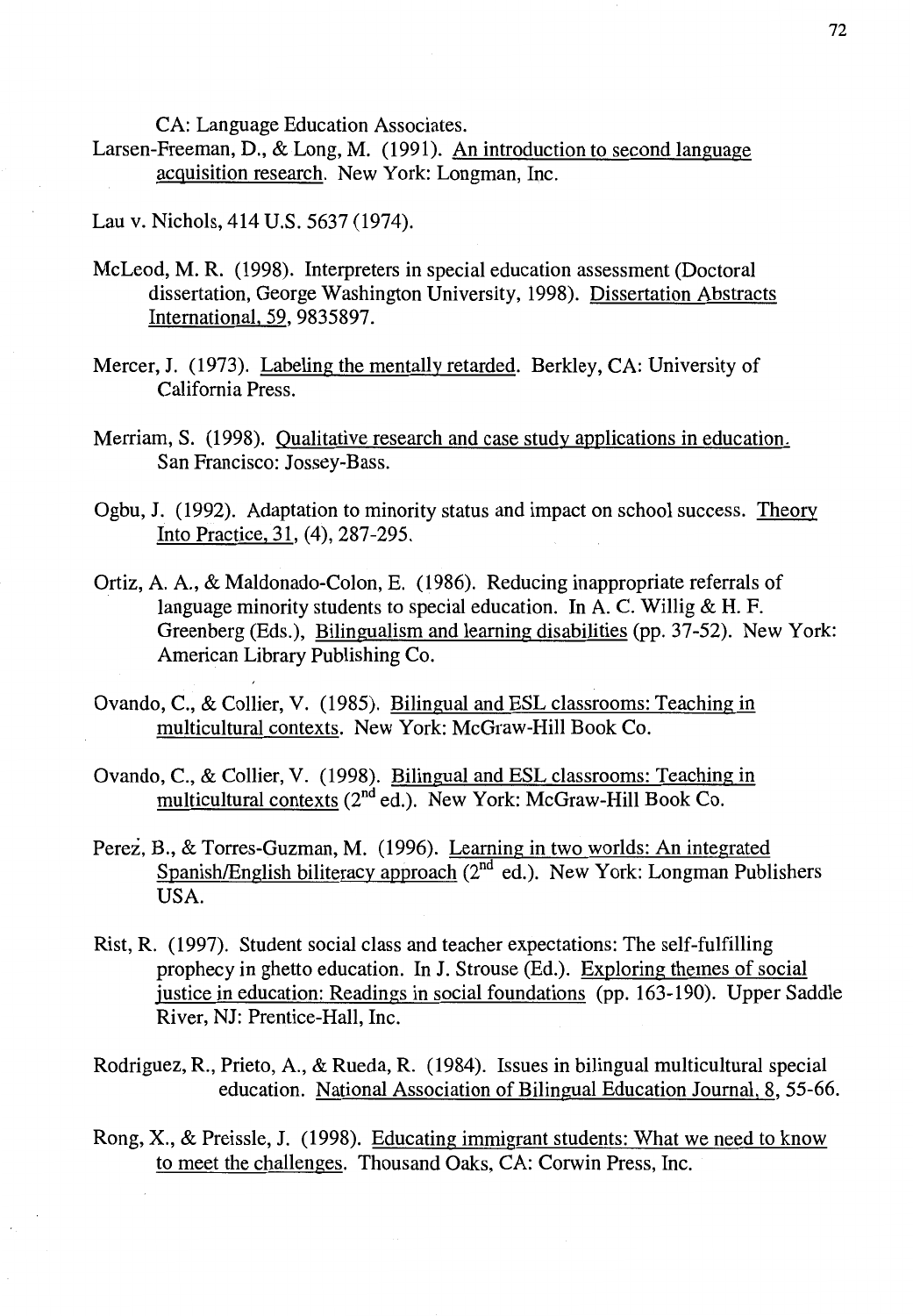CA: Language Education Associates.

- Larsen-Freeman, D., & Long, M. (1991). An introduction to second language acquisition research. New York: Longman, Inc.
- Lau v. Nichols, 414 U.S. 5637 (1974).
- McLeod, M. R. (1998). Interpreters in special education assessment (Doctoral dissertation, George Washington University, 1998). Dissertation Abstracts International, 59, 9835897.
- Mercer, J. (1973). Labeling the mentally retarded. Berkley, CA: University of California Press.
- Merriam, S. (1998). Qualitative research and case study applications in education. San Francisco: Jossey-Bass.
- Ogbu, J. (1992). Adaptation to minority status and impact on school success. Theory Into Practice, 31, (4), 287-295.
- Ortiz, A. A., & Maldonado-Colon, E. (1986). Reducing inappropriate referrals of language minority students to special education. In A. C. Willig & H. F. Greenberg (Eds.), Bilingualism and learning disabilities (pp. 37-52). New York: American Library Publishing Co.
- Ovando, C., & Collier, V. (1985). Bilingual and ESL classrooms: Teaching in multicultural contexts. New York: McGraw-Hill Book Co.
- Ovando, C., & Collier, V. (1998). Bilingual and ESL classrooms: Teaching in multicultural contexts (2nd ed.). New York: McGraw-Hill Book Co.
- Perez, B., & Torres-Guzman, M. (1996). Leaming in two worlds: An integrated Spanish/English biliteracy approach  $(2^{nd}$  ed.). New York: Longman Publishers USA.
- Rist, R. (1997). Student social class and teacher expectations: The self-fulfilling prophecy in ghetto education. In J. Strouse (Ed.). Exploring themes of social justice in education: Readings in social foundations (pp. 163-190). Upper Saddle River, NJ: Prentice-Hall, Inc.
- Rodriguez, R., Prieto, A., & Rueda, R. (1984). Issues in bilingual multicultural special education. National Association of Bilingual Education Journal, 8, 55-66.
- Rong, X., & Preissle, J. (1998). Educating immigrant students: What we need to know to meet the challenges. Thousand Oaks, CA: Corwin Press, Inc.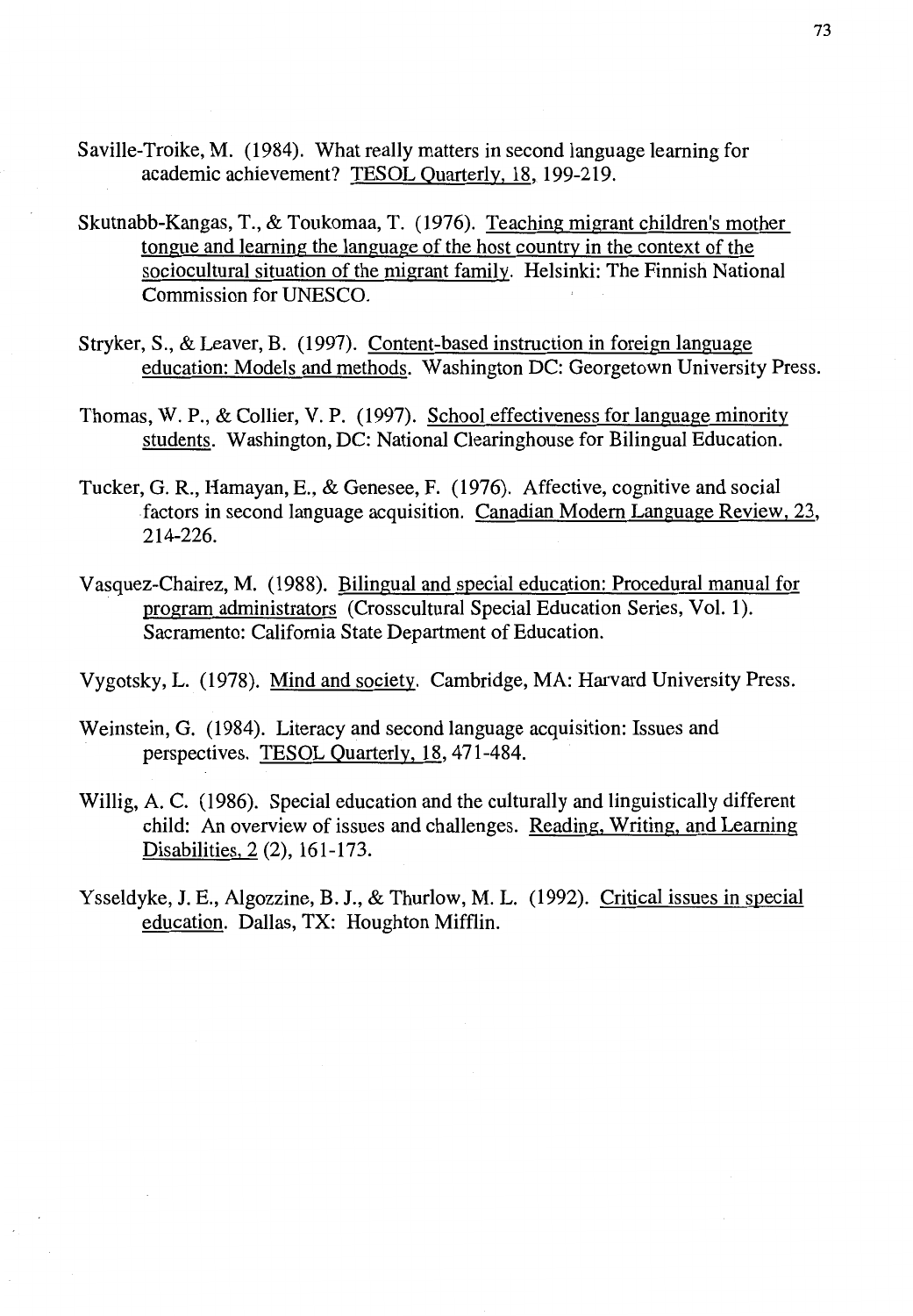- Saville-Troike, M. (1984). What really matters in second language learning for academic achievement? TESOL Quarterly, 18, 199-219.
- Skutnabb-Kangas, T., & Toukomaa, T. (1976). Teaching migrant children's mother tongue and learning the language of the host country in the context of the sociocultural situation of the migrant family. Helsinki: The Finnish National Commission for UNESCO.
- Stryker, S., & Leaver, B. (1997). Content-based instruction in foreign language education: Models and methods. Washington DC: Georgetown University Press.
- Thomas, W. P., & Collier, V. P. (1997). School effectiveness for language minority students. Washington, DC: National Clearinghouse for Bilingual Education.
- Tucker, G. R., Hamayan, E., & Genesee, F. (1976). Affective, cognitive and social .factors in second language acquisition. Canadian Modern Language Review, 23, 214-226.
- Vasquez-Chairez, M. (1988). Bilingual and special education: Procedural manual for program administrators (Crosscultural Special Education Series, Vol. 1). Sacramento: California State Department of Education.
- Vygotsky, L. (1978). Mind and society. Cambridge, MA: Harvard University Press.
- Weinstein, G. (1984). Literacy and second language acquisition: Issues and perspectives. TESOL Quarterly, 18, 471-484.
- Willig, A. C. (1986). Special education and the culturally and linguistically different child: An overview of issues and challenges. Reading, Writing, and Learning Disabilities, 2 (2), 161-173.
- Ysseldyke, J.E., Algozzine, B. J., & Thurlow, M. L. (1992). Critical issues in special education. Dallas, TX: Houghton Mifflin.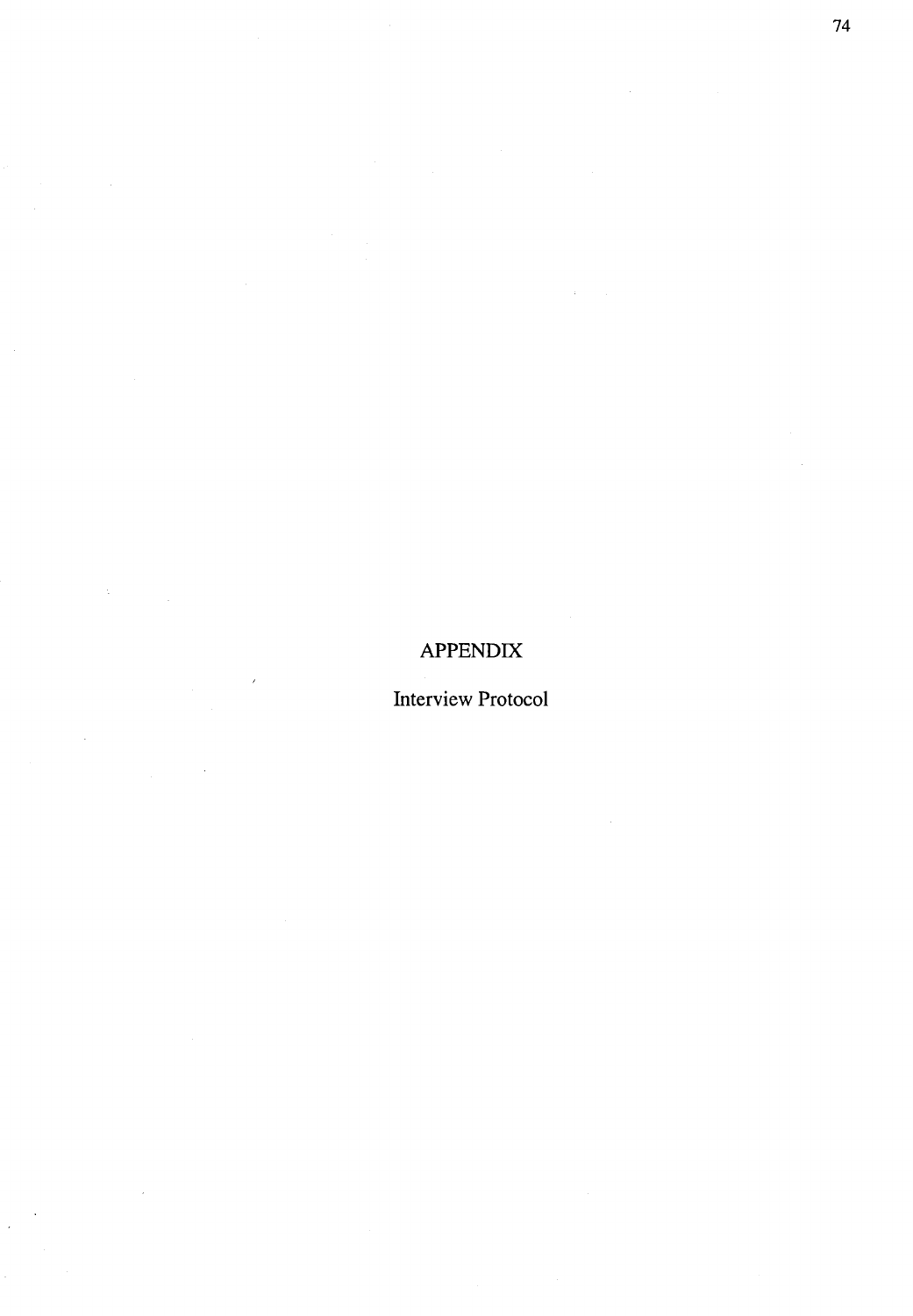# **APPENDIX**

Interview Protocol

 $\hat{\mathcal{A}}$